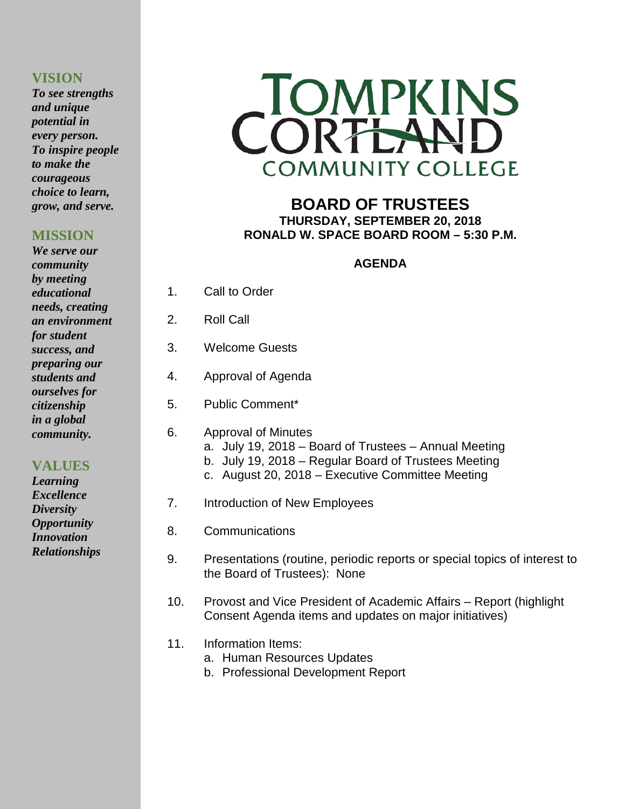# **VISION**

*To see strengths and unique potential in every person. To inspire people to make the courageous choice to learn, grow, and serve.*

# **MISSION**

*We serve our community by meeting educational needs, creating an environment for student success, and preparing our students and ourselves for citizenship in a global community.*

# **VALUES**

*Learning Excellence Diversity Opportunity Innovation Relationships*



# **BOARD OF TRUSTEES THURSDAY, SEPTEMBER 20, 2018 RONALD W. SPACE BOARD ROOM – 5:30 P.M.**

# **AGENDA**

- 1. Call to Order
- 2. Roll Call
- 3. Welcome Guests
- 4. Approval of Agenda
- 5. Public Comment\*
- 6. Approval of Minutes a. July 19, 2018 – Board of Trustees – Annual Meeting b. July 19, 2018 – Regular Board of Trustees Meeting
	- c. August 20, 2018 Executive Committee Meeting
- 7. Introduction of New Employees
- 8. Communications
- 9. Presentations (routine, periodic reports or special topics of interest to the Board of Trustees): None
- 10. Provost and Vice President of Academic Affairs Report (highlight Consent Agenda items and updates on major initiatives)
- 11. Information Items:
	- a. Human Resources Updates
	- b. Professional Development Report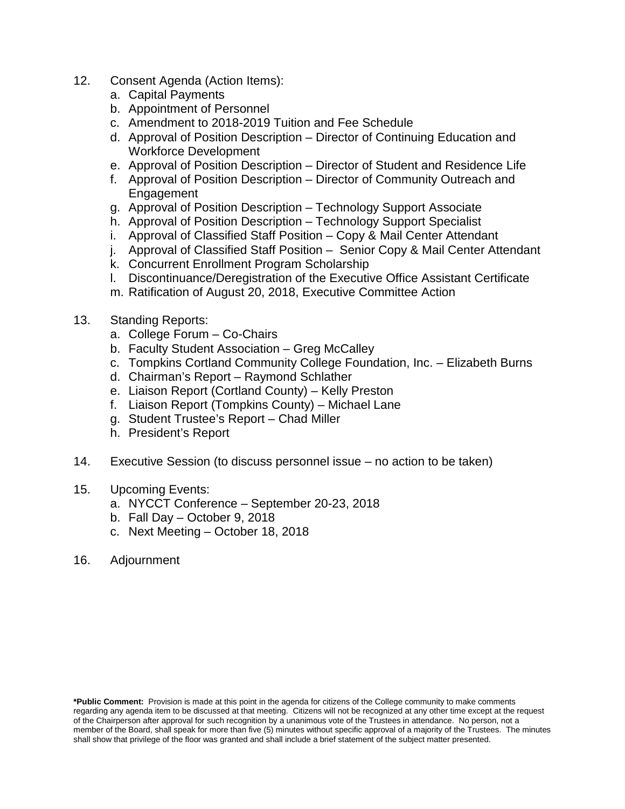- 12. Consent Agenda (Action Items):
	- a. Capital Payments
	- b. Appointment of Personnel
	- c. Amendment to 2018-2019 Tuition and Fee Schedule
	- d. Approval of Position Description Director of Continuing Education and Workforce Development
	- e. Approval of Position Description Director of Student and Residence Life
	- f. Approval of Position Description Director of Community Outreach and **Engagement**
	- g. Approval of Position Description Technology Support Associate
	- h. Approval of Position Description Technology Support Specialist
	- i. Approval of Classified Staff Position Copy & Mail Center Attendant
	- j. Approval of Classified Staff Position Senior Copy & Mail Center Attendant
	- k. Concurrent Enrollment Program Scholarship
	- l. Discontinuance/Deregistration of the Executive Office Assistant Certificate
	- m. Ratification of August 20, 2018, Executive Committee Action
- 13. Standing Reports:
	- a. College Forum Co-Chairs
	- b. Faculty Student Association Greg McCalley
	- c. Tompkins Cortland Community College Foundation, Inc. Elizabeth Burns
	- d. Chairman's Report Raymond Schlather
	- e. Liaison Report (Cortland County) Kelly Preston
	- f. Liaison Report (Tompkins County) Michael Lane
	- g. Student Trustee's Report Chad Miller
	- h. President's Report
- 14. Executive Session (to discuss personnel issue no action to be taken)
- 15. Upcoming Events:
	- a. NYCCT Conference September 20-23, 2018
	- b. Fall Day October 9, 2018
	- c. Next Meeting October 18, 2018
- 16. Adjournment

**\*Public Comment:** Provision is made at this point in the agenda for citizens of the College community to make comments regarding any agenda item to be discussed at that meeting. Citizens will not be recognized at any other time except at the request of the Chairperson after approval for such recognition by a unanimous vote of the Trustees in attendance. No person, not a member of the Board, shall speak for more than five (5) minutes without specific approval of a majority of the Trustees. The minutes shall show that privilege of the floor was granted and shall include a brief statement of the subject matter presented.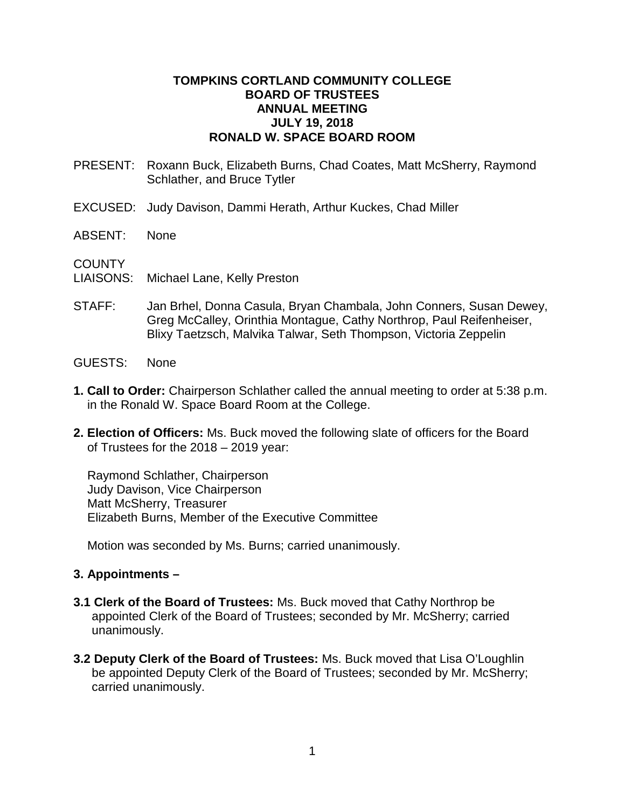### **TOMPKINS CORTLAND COMMUNITY COLLEGE BOARD OF TRUSTEES ANNUAL MEETING JULY 19, 2018 RONALD W. SPACE BOARD ROOM**

- PRESENT: Roxann Buck, Elizabeth Burns, Chad Coates, Matt McSherry, Raymond Schlather, and Bruce Tytler
- EXCUSED: Judy Davison, Dammi Herath, Arthur Kuckes, Chad Miller
- ABSENT: None

**COUNTY** 

- LIAISONS: Michael Lane, Kelly Preston
- STAFF: Jan Brhel, Donna Casula, Bryan Chambala, John Conners, Susan Dewey, Greg McCalley, Orinthia Montague, Cathy Northrop, Paul Reifenheiser, Blixy Taetzsch, Malvika Talwar, Seth Thompson, Victoria Zeppelin
- GUESTS: None
- **1. Call to Order:** Chairperson Schlather called the annual meeting to order at 5:38 p.m. in the Ronald W. Space Board Room at the College.
- **2. Election of Officers:** Ms. Buck moved the following slate of officers for the Board of Trustees for the 2018 – 2019 year:

Raymond Schlather, Chairperson Judy Davison, Vice Chairperson Matt McSherry, Treasurer Elizabeth Burns, Member of the Executive Committee

Motion was seconded by Ms. Burns; carried unanimously.

# **3. Appointments –**

- **3.1 Clerk of the Board of Trustees:** Ms. Buck moved that Cathy Northrop be appointed Clerk of the Board of Trustees; seconded by Mr. McSherry; carried unanimously.
- **3.2 Deputy Clerk of the Board of Trustees:** Ms. Buck moved that Lisa O'Loughlin be appointed Deputy Clerk of the Board of Trustees; seconded by Mr. McSherry; carried unanimously.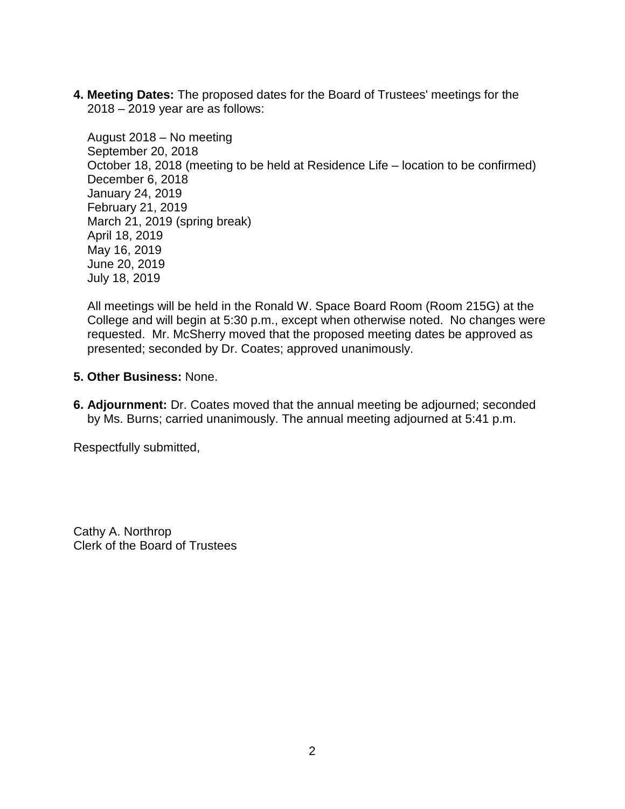**4. Meeting Dates:** The proposed dates for the Board of Trustees' meetings for the 2018 – 2019 year are as follows:

August 2018 – No meeting September 20, 2018 October 18, 2018 (meeting to be held at Residence Life – location to be confirmed) December 6, 2018 January 24, 2019 February 21, 2019 March 21, 2019 (spring break) April 18, 2019 May 16, 2019 June 20, 2019 July 18, 2019

All meetings will be held in the Ronald W. Space Board Room (Room 215G) at the College and will begin at 5:30 p.m., except when otherwise noted. No changes were requested. Mr. McSherry moved that the proposed meeting dates be approved as presented; seconded by Dr. Coates; approved unanimously.

- **5. Other Business:** None.
- **6. Adjournment:** Dr. Coates moved that the annual meeting be adjourned; seconded by Ms. Burns; carried unanimously. The annual meeting adjourned at 5:41 p.m.

Respectfully submitted,

Cathy A. Northrop Clerk of the Board of Trustees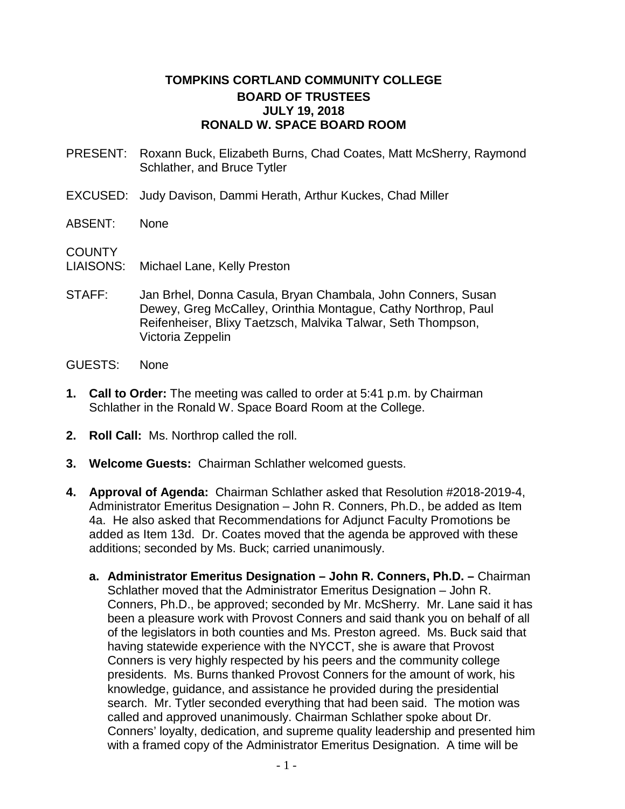# **TOMPKINS CORTLAND COMMUNITY COLLEGE BOARD OF TRUSTEES JULY 19, 2018 RONALD W. SPACE BOARD ROOM**

- PRESENT: Roxann Buck, Elizabeth Burns, Chad Coates, Matt McSherry, Raymond Schlather, and Bruce Tytler
- EXCUSED: Judy Davison, Dammi Herath, Arthur Kuckes, Chad Miller
- ABSENT: None

**COUNTY** 

- LIAISONS: Michael Lane, Kelly Preston
- STAFF: Jan Brhel, Donna Casula, Bryan Chambala, John Conners, Susan Dewey, Greg McCalley, Orinthia Montague, Cathy Northrop, Paul Reifenheiser, Blixy Taetzsch, Malvika Talwar, Seth Thompson, Victoria Zeppelin
- GUESTS: None
- **1. Call to Order:** The meeting was called to order at 5:41 p.m. by Chairman Schlather in the Ronald W. Space Board Room at the College.
- **2. Roll Call:** Ms. Northrop called the roll.
- **3. Welcome Guests:** Chairman Schlather welcomed guests.
- **4. Approval of Agenda:** Chairman Schlather asked that Resolution #2018-2019-4, Administrator Emeritus Designation – John R. Conners, Ph.D., be added as Item 4a. He also asked that Recommendations for Adjunct Faculty Promotions be added as Item 13d. Dr. Coates moved that the agenda be approved with these additions; seconded by Ms. Buck; carried unanimously.
	- **a. Administrator Emeritus Designation – John R. Conners, Ph.D. –** Chairman Schlather moved that the Administrator Emeritus Designation – John R. Conners, Ph.D., be approved; seconded by Mr. McSherry. Mr. Lane said it has been a pleasure work with Provost Conners and said thank you on behalf of all of the legislators in both counties and Ms. Preston agreed. Ms. Buck said that having statewide experience with the NYCCT, she is aware that Provost Conners is very highly respected by his peers and the community college presidents. Ms. Burns thanked Provost Conners for the amount of work, his knowledge, guidance, and assistance he provided during the presidential search. Mr. Tytler seconded everything that had been said. The motion was called and approved unanimously. Chairman Schlather spoke about Dr. Conners' loyalty, dedication, and supreme quality leadership and presented him with a framed copy of the Administrator Emeritus Designation. A time will be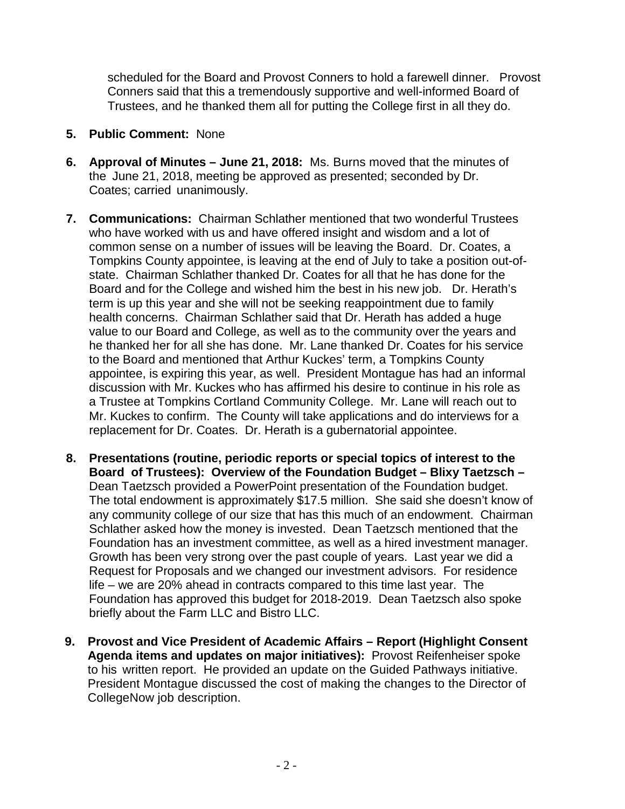scheduled for the Board and Provost Conners to hold a farewell dinner. Provost Conners said that this a tremendously supportive and well-informed Board of Trustees, and he thanked them all for putting the College first in all they do.

- **5. Public Comment:** None
- **6. Approval of Minutes – June 21, 2018:** Ms. Burns moved that the minutes of the June 21, 2018, meeting be approved as presented; seconded by Dr. Coates; carried unanimously.
- **7. Communications:** Chairman Schlather mentioned that two wonderful Trustees who have worked with us and have offered insight and wisdom and a lot of common sense on a number of issues will be leaving the Board. Dr. Coates, a Tompkins County appointee, is leaving at the end of July to take a position out-ofstate. Chairman Schlather thanked Dr. Coates for all that he has done for the Board and for the College and wished him the best in his new job. Dr. Herath's term is up this year and she will not be seeking reappointment due to family health concerns. Chairman Schlather said that Dr. Herath has added a huge value to our Board and College, as well as to the community over the years and he thanked her for all she has done. Mr. Lane thanked Dr. Coates for his service to the Board and mentioned that Arthur Kuckes' term, a Tompkins County appointee, is expiring this year, as well. President Montague has had an informal discussion with Mr. Kuckes who has affirmed his desire to continue in his role as a Trustee at Tompkins Cortland Community College. Mr. Lane will reach out to Mr. Kuckes to confirm. The County will take applications and do interviews for a replacement for Dr. Coates. Dr. Herath is a gubernatorial appointee.
- **8. Presentations (routine, periodic reports or special topics of interest to the Board of Trustees): Overview of the Foundation Budget – Blixy Taetzsch –** Dean Taetzsch provided a PowerPoint presentation of the Foundation budget. The total endowment is approximately \$17.5 million. She said she doesn't know of any community college of our size that has this much of an endowment. Chairman Schlather asked how the money is invested. Dean Taetzsch mentioned that the Foundation has an investment committee, as well as a hired investment manager. Growth has been very strong over the past couple of years. Last year we did a Request for Proposals and we changed our investment advisors. For residence life – we are 20% ahead in contracts compared to this time last year. The Foundation has approved this budget for 2018-2019. Dean Taetzsch also spoke briefly about the Farm LLC and Bistro LLC.
- **9. Provost and Vice President of Academic Affairs – Report (Highlight Consent Agenda items and updates on major initiatives):** Provost Reifenheiser spoke to his written report. He provided an update on the Guided Pathways initiative. President Montague discussed the cost of making the changes to the Director of CollegeNow job description.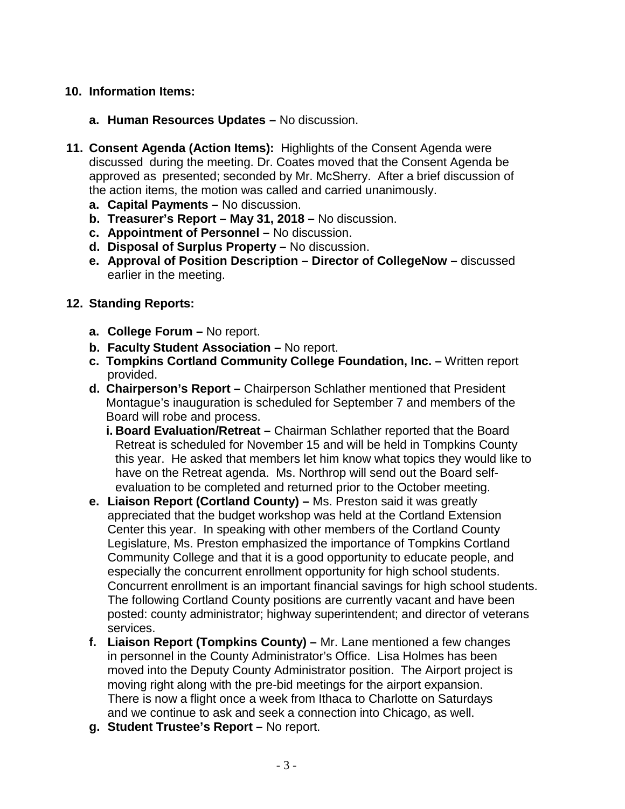# **10. Information Items:**

- **a. Human Resources Updates –** No discussion.
- **11. Consent Agenda (Action Items):** Highlights of the Consent Agenda were discussed during the meeting. Dr. Coates moved that the Consent Agenda be approved as presented; seconded by Mr. McSherry. After a brief discussion of the action items, the motion was called and carried unanimously.
	- **a. Capital Payments –** No discussion.
	- **b. Treasurer's Report – May 31, 2018 –** No discussion.
	- **c. Appointment of Personnel –** No discussion.
	- **d. Disposal of Surplus Property –** No discussion.
	- **e. Approval of Position Description – Director of CollegeNow –** discussed earlier in the meeting.

# **12. Standing Reports:**

- **a. College Forum –** No report.
- **b. Faculty Student Association –** No report.
- **c. Tompkins Cortland Community College Foundation, Inc. –** Written report provided.
- **d. Chairperson's Report –** Chairperson Schlather mentioned that President Montague's inauguration is scheduled for September 7 and members of the Board will robe and process.
	- **i. Board Evaluation/Retreat –** Chairman Schlather reported that the Board Retreat is scheduled for November 15 and will be held in Tompkins County this year. He asked that members let him know what topics they would like to have on the Retreat agenda. Ms. Northrop will send out the Board selfevaluation to be completed and returned prior to the October meeting.
- **e. Liaison Report (Cortland County) –** Ms. Preston said it was greatly appreciated that the budget workshop was held at the Cortland Extension Center this year. In speaking with other members of the Cortland County Legislature, Ms. Preston emphasized the importance of Tompkins Cortland Community College and that it is a good opportunity to educate people, and especially the concurrent enrollment opportunity for high school students. Concurrent enrollment is an important financial savings for high school students. The following Cortland County positions are currently vacant and have been posted: county administrator; highway superintendent; and director of veterans services.
- **f. Liaison Report (Tompkins County) –** Mr. Lane mentioned a few changes in personnel in the County Administrator's Office. Lisa Holmes has been moved into the Deputy County Administrator position. The Airport project is moving right along with the pre-bid meetings for the airport expansion. There is now a flight once a week from Ithaca to Charlotte on Saturdays and we continue to ask and seek a connection into Chicago, as well.
- **g. Student Trustee's Report –** No report.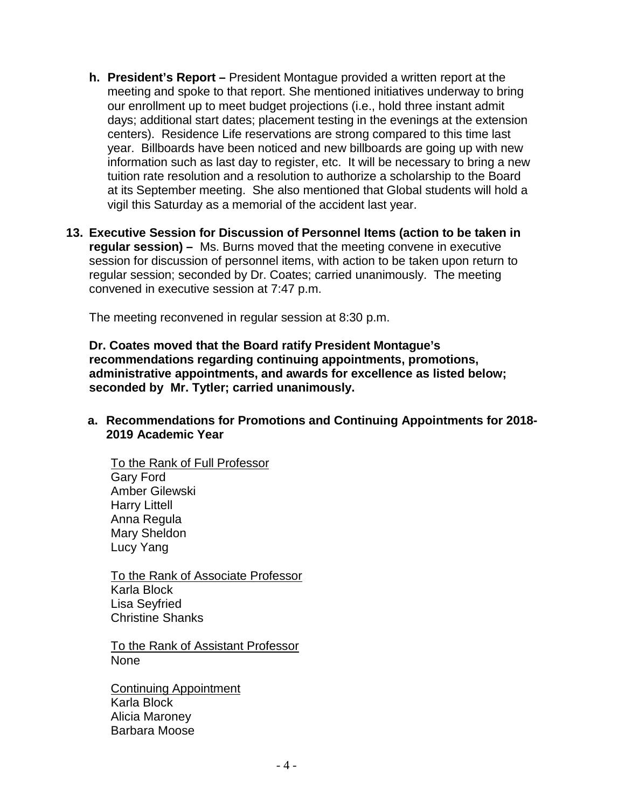- **h. President's Report –** President Montague provided a written report at the meeting and spoke to that report. She mentioned initiatives underway to bring our enrollment up to meet budget projections (i.e., hold three instant admit days; additional start dates; placement testing in the evenings at the extension centers). Residence Life reservations are strong compared to this time last year. Billboards have been noticed and new billboards are going up with new information such as last day to register, etc. It will be necessary to bring a new tuition rate resolution and a resolution to authorize a scholarship to the Board at its September meeting. She also mentioned that Global students will hold a vigil this Saturday as a memorial of the accident last year.
- **13. Executive Session for Discussion of Personnel Items (action to be taken in regular session) –** Ms. Burns moved that the meeting convene in executive session for discussion of personnel items, with action to be taken upon return to regular session; seconded by Dr. Coates; carried unanimously. The meeting convened in executive session at 7:47 p.m.

The meeting reconvened in regular session at 8:30 p.m.

**Dr. Coates moved that the Board ratify President Montague's recommendations regarding continuing appointments, promotions, administrative appointments, and awards for excellence as listed below; seconded by Mr. Tytler; carried unanimously.**

# **a. Recommendations for Promotions and Continuing Appointments for 2018- 2019 Academic Year**

To the Rank of Full Professor Gary Ford Amber Gilewski Harry Littell Anna Regula Mary Sheldon Lucy Yang

To the Rank of Associate Professor Karla Block Lisa Seyfried Christine Shanks

To the Rank of Assistant Professor None

Continuing Appointment Karla Block Alicia Maroney Barbara Moose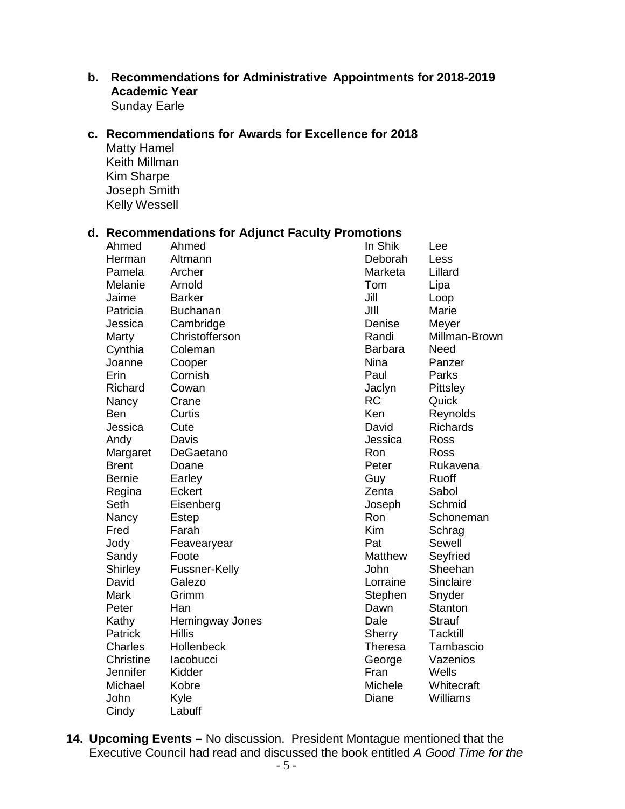### **b. Recommendations for Administrative Appointments for 2018-2019 Academic Year** Sunday Earle

**c. Recommendations for Awards for Excellence for 2018**

Matty Hamel Keith Millman Kim Sharpe Joseph Smith Kelly Wessell

# **d. Recommendations for Adjunct Faculty Promotions**

| Ahmed          | Ahmed           | In Shik        | Lee             |
|----------------|-----------------|----------------|-----------------|
| Herman         | Altmann         | Deborah        | Less            |
| Pamela         | Archer          | Marketa        | Lillard         |
| Melanie        | Arnold          | Tom            | Lipa            |
| Jaime          | <b>Barker</b>   | Jill           | Loop            |
| Patricia       | <b>Buchanan</b> | JIII           | Marie           |
| Jessica        | Cambridge       | Denise         | Meyer           |
| Marty          | Christofferson  | Randi          | Millman-Brown   |
| Cynthia        | Coleman         | <b>Barbara</b> | Need            |
| Joanne         | Cooper          | <b>Nina</b>    | Panzer          |
| Erin           | Cornish         | Paul           | Parks           |
| Richard        | Cowan           | Jaclyn         | Pittsley        |
| Nancy          | Crane           | <b>RC</b>      | Quick           |
| Ben            | Curtis          | Ken            | Reynolds        |
| Jessica        | Cute            | David          | <b>Richards</b> |
| Andy           | Davis           | Jessica        | Ross            |
| Margaret       | DeGaetano       | Ron            | Ross            |
| <b>Brent</b>   | Doane           | Peter          | Rukavena        |
| Bernie         | Earley          | Guy            | Ruoff           |
| Regina         | Eckert          | Zenta          | Sabol           |
| Seth           | Eisenberg       | Joseph         | Schmid          |
| Nancy          | Estep           | Ron            | Schoneman       |
| Fred           | Farah           | <b>Kim</b>     | Schrag          |
| Jody           | Feavearyear     | Pat            | Sewell          |
| Sandy          | Foote           | <b>Matthew</b> | Seyfried        |
| <b>Shirley</b> | Fussner-Kelly   | John           | Sheehan         |
| David          | Galezo          | Lorraine       | Sinclaire       |
| Mark           | Grimm           | Stephen        | Snyder          |
| Peter          | Han             | Dawn           | <b>Stanton</b>  |
| Kathy          | Hemingway Jones | Dale           | <b>Strauf</b>   |
| Patrick        | <b>Hillis</b>   | Sherry         | <b>Tacktill</b> |
| Charles        | Hollenbeck      | <b>Theresa</b> | Tambascio       |
| Christine      | lacobucci       | George         | Vazenios        |
| Jennifer       | Kidder          | Fran           | Wells           |
| Michael        | Kobre           | Michele        | Whitecraft      |
| John           | Kyle            | Diane          | Williams        |
| Cindy          | Labuff          |                |                 |

**14. Upcoming Events –** No discussion. President Montague mentioned that the Executive Council had read and discussed the book entitled *A Good Time for the*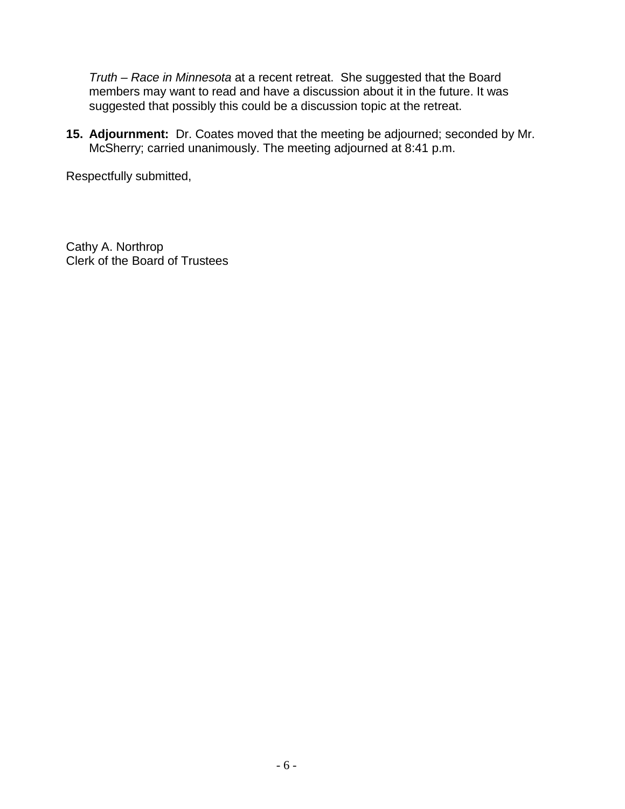*Truth – Race in Minnesota* at a recent retreat. She suggested that the Board members may want to read and have a discussion about it in the future. It was suggested that possibly this could be a discussion topic at the retreat.

**15. Adjournment:** Dr. Coates moved that the meeting be adjourned; seconded by Mr. McSherry; carried unanimously. The meeting adjourned at 8:41 p.m.

Respectfully submitted,

Cathy A. Northrop Clerk of the Board of Trustees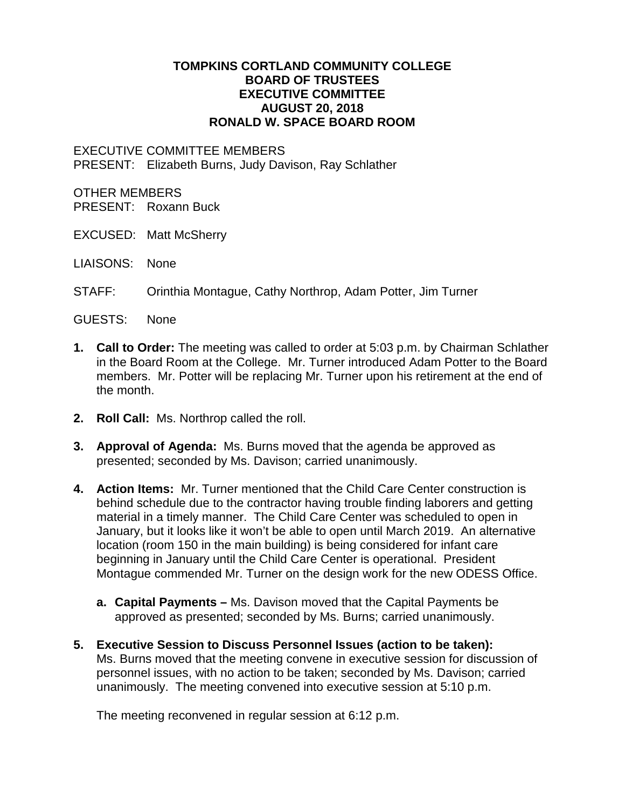### **TOMPKINS CORTLAND COMMUNITY COLLEGE BOARD OF TRUSTEES EXECUTIVE COMMITTEE AUGUST 20, 2018 RONALD W. SPACE BOARD ROOM**

#### EXECUTIVE COMMITTEE MEMBERS PRESENT: Elizabeth Burns, Judy Davison, Ray Schlather

#### OTHER MEMBERS

PRESENT: Roxann Buck

- EXCUSED: Matt McSherry
- LIAISONS: None
- STAFF: Orinthia Montague, Cathy Northrop, Adam Potter, Jim Turner
- GUESTS: None
- **1. Call to Order:** The meeting was called to order at 5:03 p.m. by Chairman Schlather in the Board Room at the College. Mr. Turner introduced Adam Potter to the Board members. Mr. Potter will be replacing Mr. Turner upon his retirement at the end of the month.
- **2. Roll Call:** Ms. Northrop called the roll.
- **3. Approval of Agenda:** Ms. Burns moved that the agenda be approved as presented; seconded by Ms. Davison; carried unanimously.
- **4. Action Items:** Mr. Turner mentioned that the Child Care Center construction is behind schedule due to the contractor having trouble finding laborers and getting material in a timely manner. The Child Care Center was scheduled to open in January, but it looks like it won't be able to open until March 2019. An alternative location (room 150 in the main building) is being considered for infant care beginning in January until the Child Care Center is operational. President Montague commended Mr. Turner on the design work for the new ODESS Office.
	- **a. Capital Payments –** Ms. Davison moved that the Capital Payments be approved as presented; seconded by Ms. Burns; carried unanimously.
- **5. Executive Session to Discuss Personnel Issues (action to be taken):** Ms. Burns moved that the meeting convene in executive session for discussion of personnel issues, with no action to be taken; seconded by Ms. Davison; carried unanimously. The meeting convened into executive session at 5:10 p.m.

The meeting reconvened in regular session at 6:12 p.m.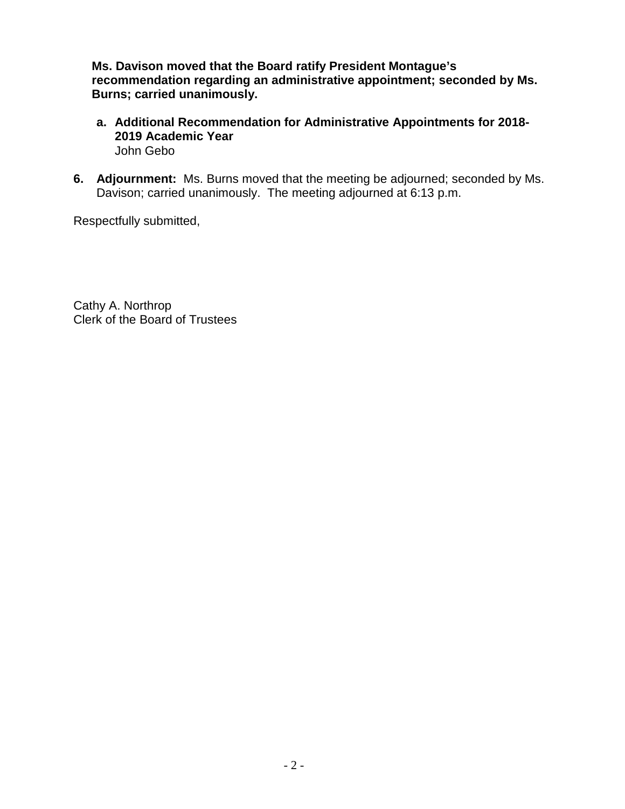**Ms. Davison moved that the Board ratify President Montague's recommendation regarding an administrative appointment; seconded by Ms. Burns; carried unanimously.**

- **a. Additional Recommendation for Administrative Appointments for 2018- 2019 Academic Year** John Gebo
- **6. Adjournment:** Ms. Burns moved that the meeting be adjourned; seconded by Ms. Davison; carried unanimously.The meeting adjourned at 6:13 p.m.

Respectfully submitted,

Cathy A. Northrop Clerk of the Board of Trustees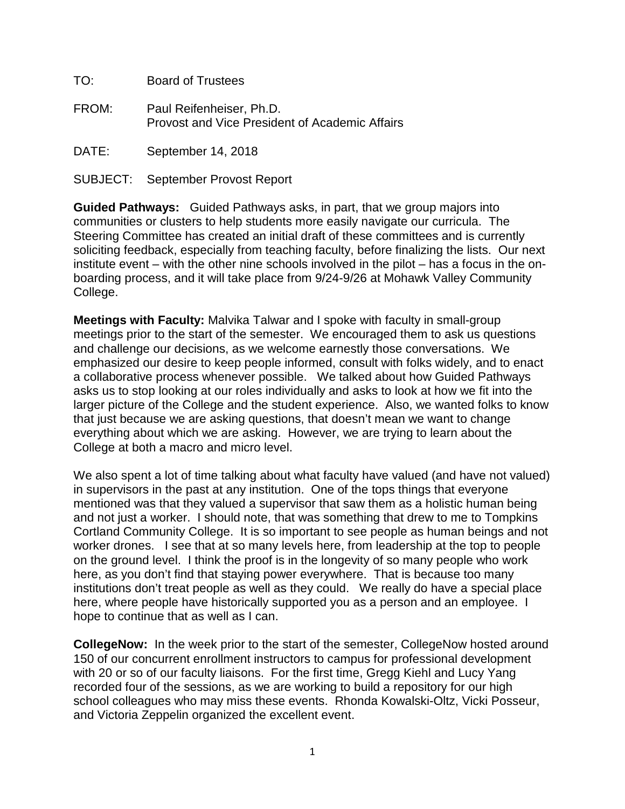| TO:   | <b>Board of Trustees</b>                                                          |
|-------|-----------------------------------------------------------------------------------|
| FROM: | Paul Reifenheiser, Ph.D.<br><b>Provost and Vice President of Academic Affairs</b> |
| DATE: | September 14, 2018                                                                |

SUBJECT: September Provost Report

**Guided Pathways:**Guided Pathways asks, in part, that we group majors into communities or clusters to help students more easily navigate our curricula. The Steering Committee has created an initial draft of these committees and is currently soliciting feedback, especially from teaching faculty, before finalizing the lists. Our next institute event – with the other nine schools involved in the pilot – has a focus in the onboarding process, and it will take place from 9/24-9/26 at Mohawk Valley Community College.

**Meetings with Faculty:** Malvika Talwar and I spoke with faculty in small-group meetings prior to the start of the semester. We encouraged them to ask us questions and challenge our decisions, as we welcome earnestly those conversations. We emphasized our desire to keep people informed, consult with folks widely, and to enact a collaborative process whenever possible. We talked about how Guided Pathways asks us to stop looking at our roles individually and asks to look at how we fit into the larger picture of the College and the student experience. Also, we wanted folks to know that just because we are asking questions, that doesn't mean we want to change everything about which we are asking. However, we are trying to learn about the College at both a macro and micro level.

We also spent a lot of time talking about what faculty have valued (and have not valued) in supervisors in the past at any institution. One of the tops things that everyone mentioned was that they valued a supervisor that saw them as a holistic human being and not just a worker. I should note, that was something that drew to me to Tompkins Cortland Community College. It is so important to see people as human beings and not worker drones. I see that at so many levels here, from leadership at the top to people on the ground level. I think the proof is in the longevity of so many people who work here, as you don't find that staying power everywhere. That is because too many institutions don't treat people as well as they could. We really do have a special place here, where people have historically supported you as a person and an employee. I hope to continue that as well as I can.

**CollegeNow:** In the week prior to the start of the semester, CollegeNow hosted around 150 of our concurrent enrollment instructors to campus for professional development with 20 or so of our faculty liaisons. For the first time, Gregg Kiehl and Lucy Yang recorded four of the sessions, as we are working to build a repository for our high school colleagues who may miss these events. Rhonda Kowalski-Oltz, Vicki Posseur, and Victoria Zeppelin organized the excellent event.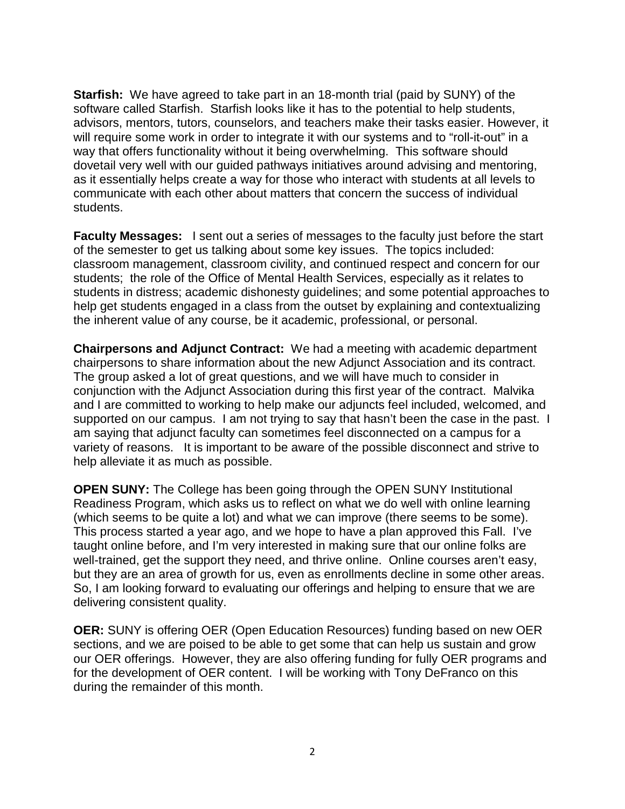**Starfish:** We have agreed to take part in an 18-month trial (paid by SUNY) of the software called Starfish. Starfish looks like it has to the potential to help students, advisors, mentors, tutors, counselors, and teachers make their tasks easier. However, it will require some work in order to integrate it with our systems and to "roll-it-out" in a way that offers functionality without it being overwhelming. This software should dovetail very well with our guided pathways initiatives around advising and mentoring, as it essentially helps create a way for those who interact with students at all levels to communicate with each other about matters that concern the success of individual students.

**Faculty Messages:** I sent out a series of messages to the faculty just before the start of the semester to get us talking about some key issues. The topics included: classroom management, classroom civility, and continued respect and concern for our students; the role of the Office of Mental Health Services, especially as it relates to students in distress; academic dishonesty guidelines; and some potential approaches to help get students engaged in a class from the outset by explaining and contextualizing the inherent value of any course, be it academic, professional, or personal.

**Chairpersons and Adjunct Contract:** We had a meeting with academic department chairpersons to share information about the new Adjunct Association and its contract. The group asked a lot of great questions, and we will have much to consider in conjunction with the Adjunct Association during this first year of the contract. Malvika and I are committed to working to help make our adjuncts feel included, welcomed, and supported on our campus. I am not trying to say that hasn't been the case in the past. I am saying that adjunct faculty can sometimes feel disconnected on a campus for a variety of reasons. It is important to be aware of the possible disconnect and strive to help alleviate it as much as possible.

**OPEN SUNY:** The College has been going through the OPEN SUNY Institutional Readiness Program, which asks us to reflect on what we do well with online learning (which seems to be quite a lot) and what we can improve (there seems to be some). This process started a year ago, and we hope to have a plan approved this Fall. I've taught online before, and I'm very interested in making sure that our online folks are well-trained, get the support they need, and thrive online. Online courses aren't easy, but they are an area of growth for us, even as enrollments decline in some other areas. So, I am looking forward to evaluating our offerings and helping to ensure that we are delivering consistent quality.

**OER:** SUNY is offering OER (Open Education Resources) funding based on new OER sections, and we are poised to be able to get some that can help us sustain and grow our OER offerings. However, they are also offering funding for fully OER programs and for the development of OER content. I will be working with Tony DeFranco on this during the remainder of this month.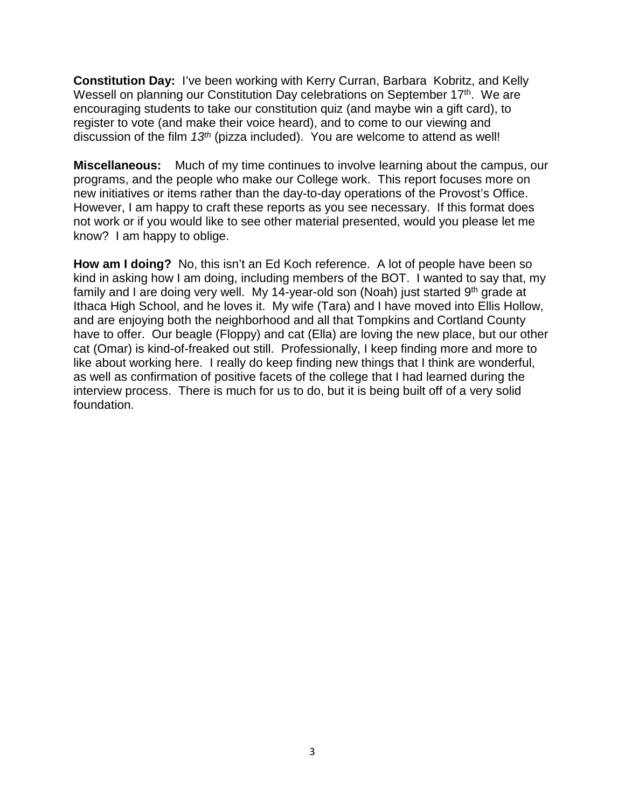**Constitution Day:** I've been working with Kerry Curran, Barbara Kobritz, and Kelly Wessell on planning our Constitution Day celebrations on September 17<sup>th</sup>. We are encouraging students to take our constitution quiz (and maybe win a gift card), to register to vote (and make their voice heard), and to come to our viewing and discussion of the film *13th* (pizza included). You are welcome to attend as well!

**Miscellaneous:** Much of my time continues to involve learning about the campus, our programs, and the people who make our College work. This report focuses more on new initiatives or items rather than the day-to-day operations of the Provost's Office. However, I am happy to craft these reports as you see necessary. If this format does not work or if you would like to see other material presented, would you please let me know? I am happy to oblige.

**How am I doing?** No, this isn't an Ed Koch reference. A lot of people have been so kind in asking how I am doing, including members of the BOT. I wanted to say that, my family and I are doing very well. My 14-year-old son (Noah) just started  $9<sup>th</sup>$  grade at Ithaca High School, and he loves it. My wife (Tara) and I have moved into Ellis Hollow, and are enjoying both the neighborhood and all that Tompkins and Cortland County have to offer. Our beagle (Floppy) and cat (Ella) are loving the new place, but our other cat (Omar) is kind-of-freaked out still. Professionally, I keep finding more and more to like about working here. I really do keep finding new things that I think are wonderful, as well as confirmation of positive facets of the college that I had learned during the interview process. There is much for us to do, but it is being built off of a very solid foundation.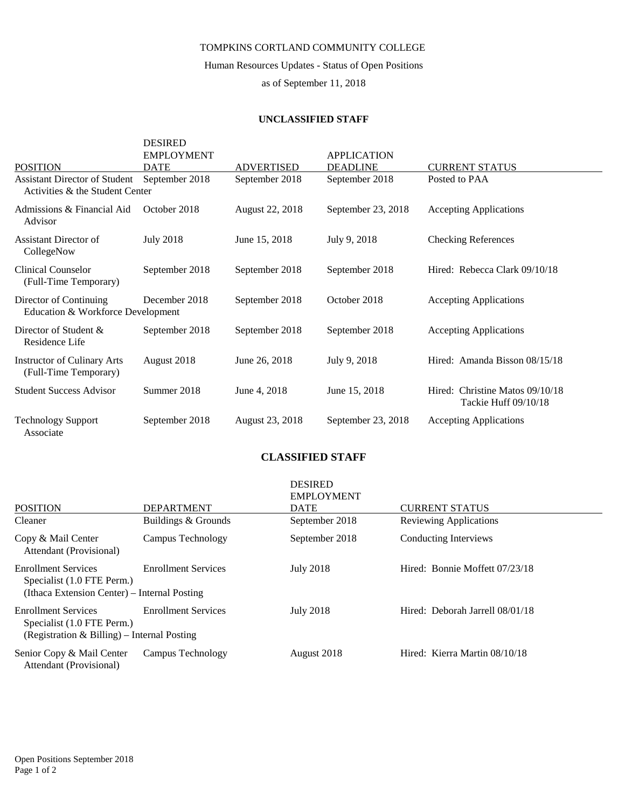Human Resources Updates - Status of Open Positions

as of September 11, 2018

#### **UNCLASSIFIED STAFF**

| <b>POSITION</b>                                                         | <b>DESIRED</b><br><b>EMPLOYMENT</b><br><b>DATE</b> | <b>ADVERTISED</b> | <b>APPLICATION</b><br><b>DEADLINE</b> | <b>CURRENT STATUS</b>                                   |
|-------------------------------------------------------------------------|----------------------------------------------------|-------------------|---------------------------------------|---------------------------------------------------------|
| <b>Assistant Director of Student</b><br>Activities & the Student Center | September 2018                                     | September 2018    | September 2018                        | Posted to PAA                                           |
| Admissions & Financial Aid<br>Advisor                                   | October 2018                                       | August 22, 2018   | September 23, 2018                    | <b>Accepting Applications</b>                           |
| Assistant Director of<br>CollegeNow                                     | <b>July 2018</b>                                   | June 15, 2018     | July 9, 2018                          | <b>Checking References</b>                              |
| Clinical Counselor<br>(Full-Time Temporary)                             | September 2018                                     | September 2018    | September 2018                        | Hired: Rebecca Clark 09/10/18                           |
| Director of Continuing<br>Education & Workforce Development             | December 2018                                      | September 2018    | October 2018                          | <b>Accepting Applications</b>                           |
| Director of Student &<br>Residence Life                                 | September 2018                                     | September 2018    | September 2018                        | <b>Accepting Applications</b>                           |
| <b>Instructor of Culinary Arts</b><br>(Full-Time Temporary)             | August 2018                                        | June 26, 2018     | July 9, 2018                          | Hired: Amanda Bisson 08/15/18                           |
| <b>Student Success Advisor</b>                                          | Summer 2018                                        | June 4, 2018      | June 15, 2018                         | Hired: Christine Matos 09/10/18<br>Tackie Huff 09/10/18 |
| <b>Technology Support</b><br>Associate                                  | September 2018                                     | August 23, 2018   | September 23, 2018                    | <b>Accepting Applications</b>                           |

#### **CLASSIFIED STAFF**

|                                                                                                          |                            | <b>DESIRED</b><br><b>EMPLOYMENT</b> |                                 |
|----------------------------------------------------------------------------------------------------------|----------------------------|-------------------------------------|---------------------------------|
| <b>POSITION</b>                                                                                          | <b>DEPARTMENT</b>          | <b>DATE</b>                         | <b>CURRENT STATUS</b>           |
| Cleaner                                                                                                  | Buildings & Grounds        | September 2018                      | <b>Reviewing Applications</b>   |
| Copy & Mail Center<br>Attendant (Provisional)                                                            | Campus Technology          | September 2018                      | Conducting Interviews           |
| <b>Enrollment Services</b><br>Specialist (1.0 FTE Perm.)<br>(Ithaca Extension Center) – Internal Posting | <b>Enrollment Services</b> | <b>July 2018</b>                    | Hired: Bonnie Moffett 07/23/18  |
| <b>Enrollment Services</b><br>Specialist (1.0 FTE Perm.)<br>(Registration & Billing) – Internal Posting  | <b>Enrollment Services</b> | <b>July 2018</b>                    | Hired: Deborah Jarrell 08/01/18 |
| Senior Copy & Mail Center<br>Attendant (Provisional)                                                     | Campus Technology          | August 2018                         | Hired: Kierra Martin 08/10/18   |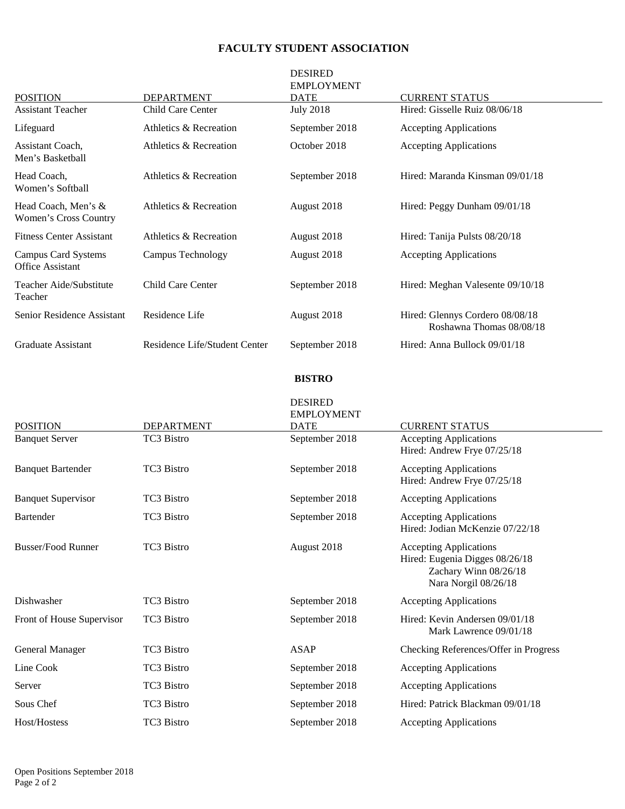# **FACULTY STUDENT ASSOCIATION**

| <b>POSITION</b>                                | <b>DEPARTMENT</b>             | <b>DESIRED</b><br><b>EMPLOYMENT</b><br><b>DATE</b> | <b>CURRENT STATUS</b>                                       |
|------------------------------------------------|-------------------------------|----------------------------------------------------|-------------------------------------------------------------|
| <b>Assistant Teacher</b>                       | Child Care Center             | <b>July 2018</b>                                   | Hired: Gisselle Ruiz 08/06/18                               |
| Lifeguard                                      | Athletics & Recreation        | September 2018                                     | <b>Accepting Applications</b>                               |
| Assistant Coach,<br>Men's Basketball           | Athletics & Recreation        | October 2018                                       | <b>Accepting Applications</b>                               |
| Head Coach.<br>Women's Softball                | Athletics & Recreation        | September 2018                                     | Hired: Maranda Kinsman 09/01/18                             |
| Head Coach, Men's &<br>Women's Cross Country   | Athletics & Recreation        | August 2018                                        | Hired: Peggy Dunham 09/01/18                                |
| <b>Fitness Center Assistant</b>                | Athletics & Recreation        | August 2018                                        | Hired: Tanija Pulsts 08/20/18                               |
| Campus Card Systems<br><b>Office Assistant</b> | Campus Technology             | August 2018                                        | <b>Accepting Applications</b>                               |
| Teacher Aide/Substitute<br>Teacher             | Child Care Center             | September 2018                                     | Hired: Meghan Valesente 09/10/18                            |
| Senior Residence Assistant                     | Residence Life                | August 2018                                        | Hired: Glennys Cordero 08/08/18<br>Roshawna Thomas 08/08/18 |
| Graduate Assistant                             | Residence Life/Student Center | September 2018                                     | Hired: Anna Bullock 09/01/18                                |

#### **BISTRO**

| <b>POSITION</b>           | <b>DEPARTMENT</b> | <b>DESIRED</b><br><b>EMPLOYMENT</b><br><b>DATE</b> | <b>CURRENT STATUS</b>                                                                                            |
|---------------------------|-------------------|----------------------------------------------------|------------------------------------------------------------------------------------------------------------------|
| <b>Banquet Server</b>     | TC3 Bistro        | September 2018                                     | <b>Accepting Applications</b><br>Hired: Andrew Frye 07/25/18                                                     |
| <b>Banquet Bartender</b>  | TC3 Bistro        | September 2018                                     | <b>Accepting Applications</b><br>Hired: Andrew Frye 07/25/18                                                     |
| <b>Banquet Supervisor</b> | <b>TC3 Bistro</b> | September 2018                                     | <b>Accepting Applications</b>                                                                                    |
| <b>Bartender</b>          | <b>TC3 Bistro</b> | September 2018                                     | <b>Accepting Applications</b><br>Hired: Jodian McKenzie 07/22/18                                                 |
| <b>Busser/Food Runner</b> | <b>TC3 Bistro</b> | August 2018                                        | <b>Accepting Applications</b><br>Hired: Eugenia Digges 08/26/18<br>Zachary Winn 08/26/18<br>Nara Norgil 08/26/18 |
| Dishwasher                | TC3 Bistro        | September 2018                                     | <b>Accepting Applications</b>                                                                                    |
| Front of House Supervisor | TC3 Bistro        | September 2018                                     | Hired: Kevin Andersen 09/01/18<br>Mark Lawrence 09/01/18                                                         |
| General Manager           | TC3 Bistro        | <b>ASAP</b>                                        | Checking References/Offer in Progress                                                                            |
| Line Cook                 | TC3 Bistro        | September 2018                                     | <b>Accepting Applications</b>                                                                                    |
| Server                    | TC3 Bistro        | September 2018                                     | <b>Accepting Applications</b>                                                                                    |
| Sous Chef                 | TC3 Bistro        | September 2018                                     | Hired: Patrick Blackman 09/01/18                                                                                 |
| Host/Hostess              | TC3 Bistro        | September 2018                                     | <b>Accepting Applications</b>                                                                                    |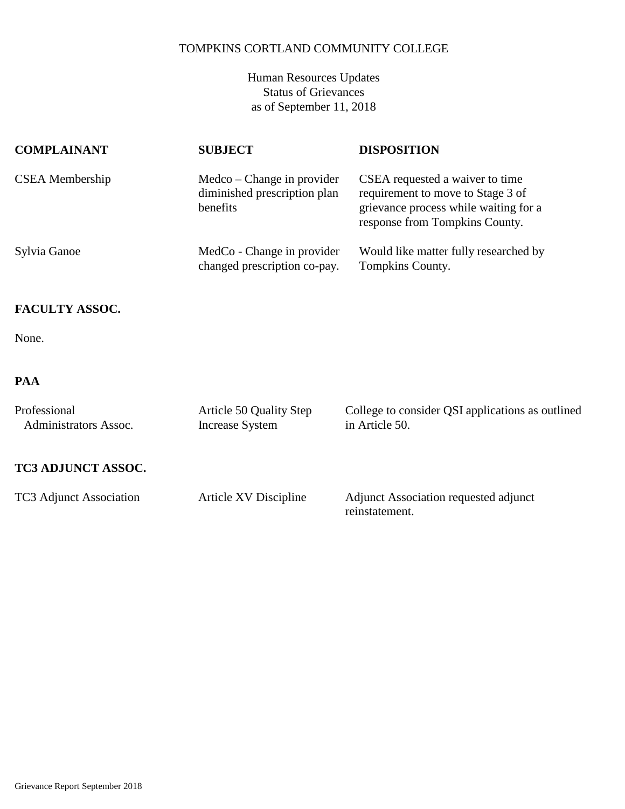Human Resources Updates Status of Grievances as of September 11, 2018

| <b>COMPLAINANT</b>     | <b>SUBJECT</b>                                                         | <b>DISPOSITION</b>                                                                                                                              |
|------------------------|------------------------------------------------------------------------|-------------------------------------------------------------------------------------------------------------------------------------------------|
| <b>CSEA</b> Membership | Medco – Change in provider<br>diminished prescription plan<br>benefits | CSEA requested a waiver to time<br>requirement to move to Stage 3 of<br>grievance process while waiting for a<br>response from Tompkins County. |
| Sylvia Ganoe           | MedCo - Change in provider<br>changed prescription co-pay.             | Would like matter fully researched by<br>Tompkins County.                                                                                       |

### **FACULTY ASSOC.**

None.

# **PAA**

| Professional<br>Administrators Assoc. | Article 50 Quality Step<br><b>Increase System</b> | College to consider QSI applications as outlined<br>in Article 50. |
|---------------------------------------|---------------------------------------------------|--------------------------------------------------------------------|
| <b>TC3 ADJUNCT ASSOC.</b>             |                                                   |                                                                    |
| TC3 Adjunct Association               | Article XV Discipline                             | Adjunct Association requested adjunct<br>reinstatement.            |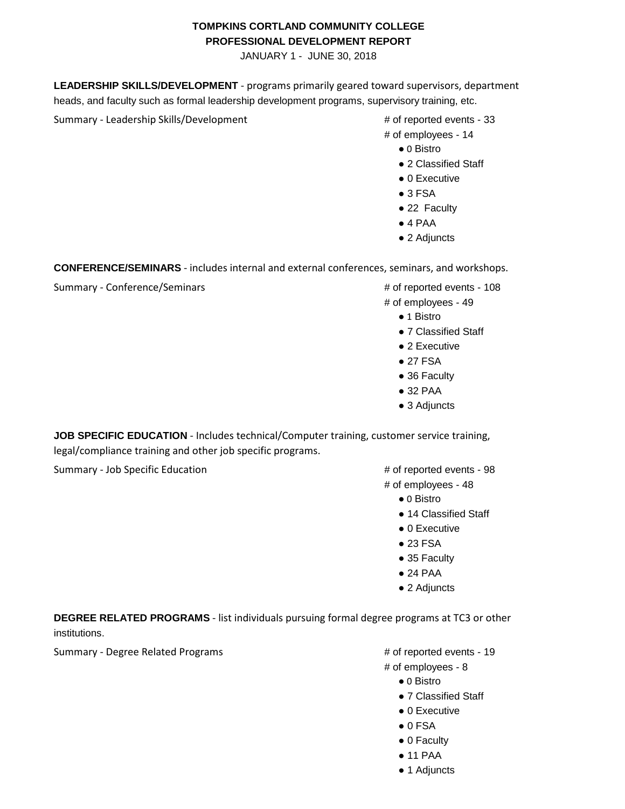#### **TOMPKINS CORTLAND COMMUNITY COLLEGE PROFESSIONAL DEVELOPMENT REPORT**

JANUARY 1 - JUNE 30, 2018

**LEADERSHIP SKILLS/DEVELOPMENT** - programs primarily geared toward supervisors, department heads, and faculty such as formal leadership development programs, supervisory training, etc.

Summary - Leadership Skills/Development # of reported events - 33

- 
- # of employees 14
	- 0 Bistro
	- 2 Classified Staff
	- 0 Executive
	- $3$  FSA
	- 22 Faculty
	- $\bullet$  4 PAA
	- 2 Adjuncts

**CONFERENCE/SEMINARS** - includes internal and external conferences, seminars, and workshops.

Summary - Conference/Seminars # of reported events - 108

- 
- # of employees 49
	- 1 Bistro
	- 7 Classified Staff
	- 2 Executive
	- 27 FSA
	- 36 Faculty
	- 32 PAA
	- 3 Adjuncts

**JOB SPECIFIC EDUCATION** - Includes technical/Computer training, customer service training, legal/compliance training and other job specific programs.

Summary - Job Specific Education  $\mu$  of reported events - 98

# of employees - 48

- 0 Bistro
- 14 Classified Staff
- 0 Executive
- 23 FSA
- 35 Faculty
- 24 PAA
- 2 Adjuncts

**DEGREE RELATED PROGRAMS** - list individuals pursuing formal degree programs at TC3 or other institutions.

Summary - Degree Related Programs **Accord 2018** 2019 4 of reported events - 19

- 
- # of employees 8
	- 0 Bistro
	- 7 Classified Staff
	- 0 Executive
	- $\bullet$  0 FSA
	- 0 Faculty
	- 11 PAA
	- 1 Adjuncts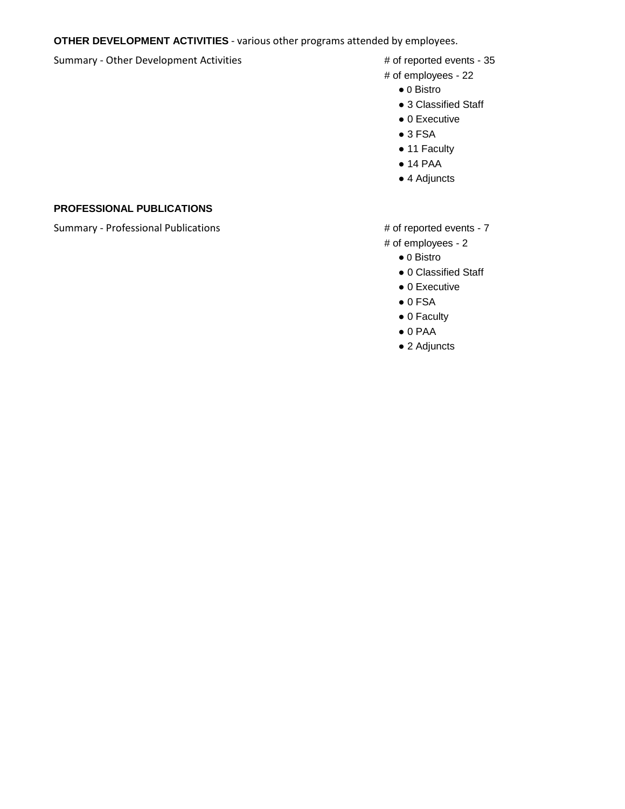#### **OTHER DEVELOPMENT ACTIVITIES** - various other programs attended by employees.

#### Summary - Other Development Activities # of reported events - 35

- 
- # of employees 22
	- 0 Bistro
	- 3 Classified Staff
	- 0 Executive
	- $3$  FSA
	- 11 Faculty
	- 14 PAA
	- 4 Adjuncts

#### **PROFESSIONAL PUBLICATIONS**

Summary - Professional Publications  $\qquad$   $\qquad$   $\qquad$   $\qquad$   $\qquad$   $\qquad$   $\qquad$   $\qquad$   $\qquad$   $\qquad$   $\qquad$   $\qquad$   $\qquad$   $\qquad$   $\qquad$   $\qquad$   $\qquad$   $\qquad$   $\qquad$   $\qquad$   $\qquad$   $\qquad$   $\qquad$   $\qquad$   $\qquad$   $\qquad$   $\qquad$   $\qquad$   $\qquad$   $\qquad$   $\qquad$ 

# of employees - 2

- 0 Bistro
- 0 Classified Staff
- 0 Executive
- $\bullet$  0 FSA
- 0 Faculty
- $\bullet$  0 PAA
- 2 Adjuncts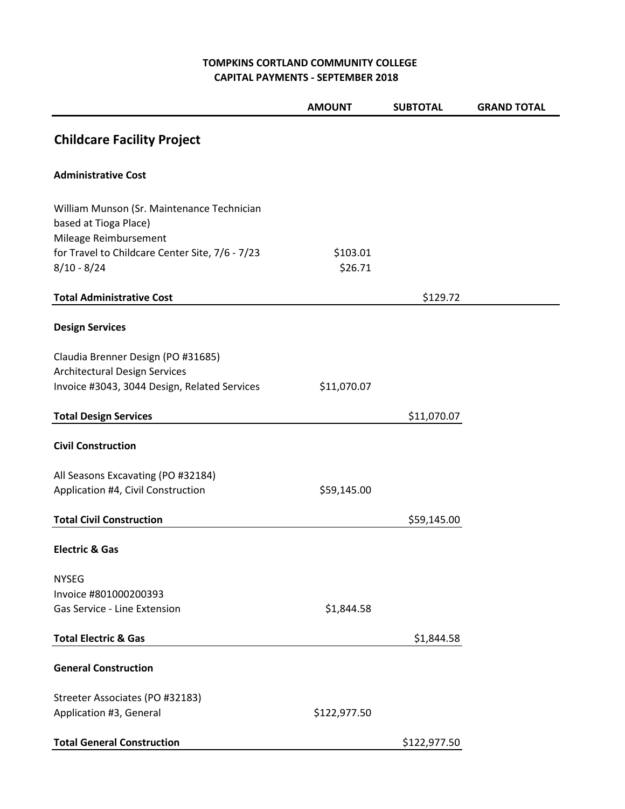### **TOMPKINS CORTLAND COMMUNITY COLLEGE CAPITAL PAYMENTS - SEPTEMBER 2018**

|                                                                                                                            | <b>AMOUNT</b>       | <b>SUBTOTAL</b> | <b>GRAND TOTAL</b> |
|----------------------------------------------------------------------------------------------------------------------------|---------------------|-----------------|--------------------|
| <b>Childcare Facility Project</b>                                                                                          |                     |                 |                    |
| <b>Administrative Cost</b>                                                                                                 |                     |                 |                    |
| William Munson (Sr. Maintenance Technician<br>based at Tioga Place)<br>Mileage Reimbursement                               |                     |                 |                    |
| for Travel to Childcare Center Site, 7/6 - 7/23<br>$8/10 - 8/24$                                                           | \$103.01<br>\$26.71 |                 |                    |
| <b>Total Administrative Cost</b>                                                                                           |                     | \$129.72        |                    |
| <b>Design Services</b>                                                                                                     |                     |                 |                    |
| Claudia Brenner Design (PO #31685)<br><b>Architectural Design Services</b><br>Invoice #3043, 3044 Design, Related Services | \$11,070.07         |                 |                    |
| <b>Total Design Services</b>                                                                                               |                     | \$11,070.07     |                    |
| <b>Civil Construction</b>                                                                                                  |                     |                 |                    |
| All Seasons Excavating (PO #32184)                                                                                         | \$59,145.00         |                 |                    |
| Application #4, Civil Construction<br><b>Total Civil Construction</b>                                                      |                     | \$59,145.00     |                    |
| <b>Electric &amp; Gas</b>                                                                                                  |                     |                 |                    |
| <b>NYSEG</b><br>Invoice #801000200393<br>Gas Service - Line Extension                                                      | \$1,844.58          |                 |                    |
| <b>Total Electric &amp; Gas</b>                                                                                            |                     | \$1,844.58      |                    |
|                                                                                                                            |                     |                 |                    |
| <b>General Construction</b>                                                                                                |                     |                 |                    |
| Streeter Associates (PO #32183)<br>Application #3, General                                                                 | \$122,977.50        |                 |                    |
| <b>Total General Construction</b>                                                                                          |                     | \$122,977.50    |                    |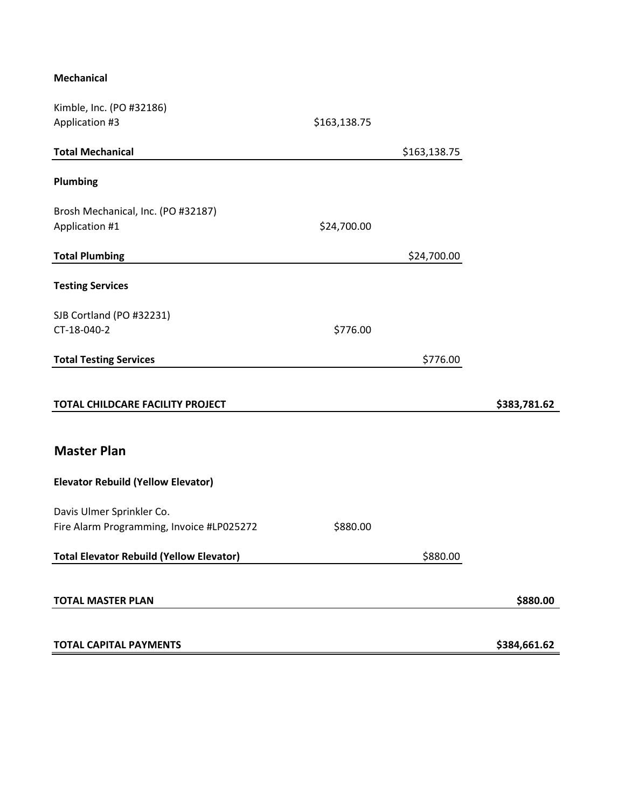#### **Mechanical**

| Kimble, Inc. (PO #32186)                        |              |              |              |
|-------------------------------------------------|--------------|--------------|--------------|
| Application #3                                  | \$163,138.75 |              |              |
| <b>Total Mechanical</b>                         |              | \$163,138.75 |              |
| Plumbing                                        |              |              |              |
| Brosh Mechanical, Inc. (PO #32187)              |              |              |              |
| Application #1                                  | \$24,700.00  |              |              |
| <b>Total Plumbing</b>                           |              | \$24,700.00  |              |
| <b>Testing Services</b>                         |              |              |              |
| SJB Cortland (PO #32231)                        |              |              |              |
| CT-18-040-2                                     | \$776.00     |              |              |
| <b>Total Testing Services</b>                   |              | \$776.00     |              |
| TOTAL CHILDCARE FACILITY PROJECT                |              |              | \$383,781.62 |
| <b>Master Plan</b>                              |              |              |              |
| <b>Elevator Rebuild (Yellow Elevator)</b>       |              |              |              |
| Davis Ulmer Sprinkler Co.                       |              |              |              |
| Fire Alarm Programming, Invoice #LP025272       | \$880.00     |              |              |
| <b>Total Elevator Rebuild (Yellow Elevator)</b> | \$880.00     |              |              |
| <b>TOTAL MASTER PLAN</b>                        |              |              | \$880.00     |
| <b>TOTAL CAPITAL PAYMENTS</b>                   |              |              | \$384,661.62 |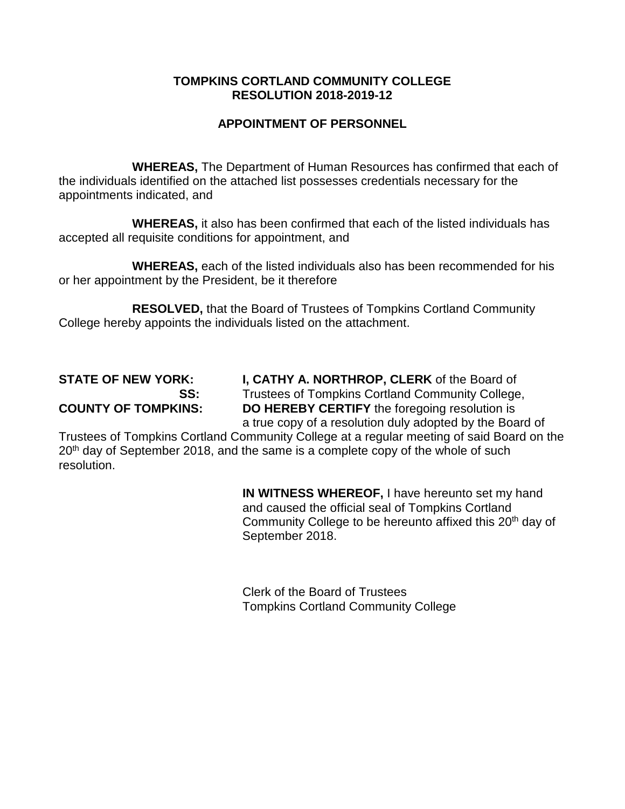# **APPOINTMENT OF PERSONNEL**

**WHEREAS,** The Department of Human Resources has confirmed that each of the individuals identified on the attached list possesses credentials necessary for the appointments indicated, and

**WHEREAS,** it also has been confirmed that each of the listed individuals has accepted all requisite conditions for appointment, and

**WHEREAS,** each of the listed individuals also has been recommended for his or her appointment by the President, be it therefore

**RESOLVED,** that the Board of Trustees of Tompkins Cortland Community College hereby appoints the individuals listed on the attachment.

**STATE OF NEW YORK: I, CATHY A. NORTHROP, CLERK** of the Board of **SS:** Trustees of Tompkins Cortland Community College, **COUNTY OF TOMPKINS: DO HEREBY CERTIFY** the foregoing resolution is a true copy of a resolution duly adopted by the Board of

Trustees of Tompkins Cortland Community College at a regular meeting of said Board on the  $20<sup>th</sup>$  day of September 2018, and the same is a complete copy of the whole of such resolution.

> **IN WITNESS WHEREOF,** I have hereunto set my hand and caused the official seal of Tompkins Cortland Community College to be hereunto affixed this 20<sup>th</sup> day of September 2018.

Clerk of the Board of Trustees Tompkins Cortland Community College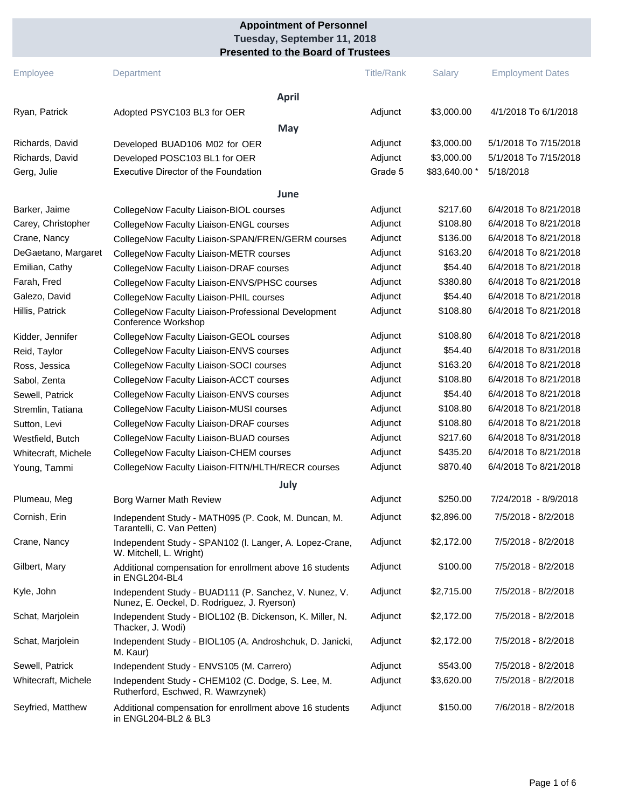#### **Presented to the Board of Trustees Tuesday, September 11, 2018 Appointment of Personnel**

| Employee                                          | Department                                                                                             | <b>Title/Rank</b>             | <b>Salary</b>                             | <b>Employment Dates</b>                                     |
|---------------------------------------------------|--------------------------------------------------------------------------------------------------------|-------------------------------|-------------------------------------------|-------------------------------------------------------------|
|                                                   | <b>April</b>                                                                                           |                               |                                           |                                                             |
| Ryan, Patrick                                     | Adopted PSYC103 BL3 for OER                                                                            | Adjunct                       | \$3,000.00                                | 4/1/2018 To 6/1/2018                                        |
|                                                   | May                                                                                                    |                               |                                           |                                                             |
| Richards, David<br>Richards, David<br>Gerg, Julie | Developed BUAD106 M02 for OER<br>Developed POSC103 BL1 for OER<br>Executive Director of the Foundation | Adjunct<br>Adjunct<br>Grade 5 | \$3,000.00<br>\$3,000.00<br>\$83,640.00 * | 5/1/2018 To 7/15/2018<br>5/1/2018 To 7/15/2018<br>5/18/2018 |
|                                                   | June                                                                                                   |                               |                                           |                                                             |
| Barker, Jaime                                     | CollegeNow Faculty Liaison-BIOL courses                                                                | Adjunct                       | \$217.60                                  | 6/4/2018 To 8/21/2018                                       |
| Carey, Christopher                                | CollegeNow Faculty Liaison-ENGL courses                                                                | Adjunct                       | \$108.80                                  | 6/4/2018 To 8/21/2018                                       |
| Crane, Nancy                                      | CollegeNow Faculty Liaison-SPAN/FREN/GERM courses                                                      | Adjunct                       | \$136.00                                  | 6/4/2018 To 8/21/2018                                       |
| DeGaetano, Margaret                               | CollegeNow Faculty Liaison-METR courses                                                                | Adjunct                       | \$163.20                                  | 6/4/2018 To 8/21/2018                                       |
| Emilian, Cathy                                    | CollegeNow Faculty Liaison-DRAF courses                                                                | Adjunct                       | \$54.40                                   | 6/4/2018 To 8/21/2018                                       |
| Farah, Fred                                       | CollegeNow Faculty Liaison-ENVS/PHSC courses                                                           | Adjunct                       | \$380.80                                  | 6/4/2018 To 8/21/2018                                       |
| Galezo, David                                     | CollegeNow Faculty Liaison-PHIL courses                                                                | Adjunct                       | \$54.40                                   | 6/4/2018 To 8/21/2018                                       |
| Hillis, Patrick                                   | CollegeNow Faculty Liaison-Professional Development<br>Conference Workshop                             | Adjunct                       | \$108.80                                  | 6/4/2018 To 8/21/2018                                       |
| Kidder, Jennifer                                  | CollegeNow Faculty Liaison-GEOL courses                                                                | Adjunct                       | \$108.80                                  | 6/4/2018 To 8/21/2018                                       |
| Reid, Taylor                                      | CollegeNow Faculty Liaison-ENVS courses                                                                | Adjunct                       | \$54.40                                   | 6/4/2018 To 8/31/2018                                       |
| Ross, Jessica                                     | CollegeNow Faculty Liaison-SOCI courses                                                                | Adjunct                       | \$163.20                                  | 6/4/2018 To 8/21/2018                                       |
| Sabol, Zenta                                      | CollegeNow Faculty Liaison-ACCT courses                                                                | Adjunct                       | \$108.80                                  | 6/4/2018 To 8/21/2018                                       |
| Sewell, Patrick                                   | CollegeNow Faculty Liaison-ENVS courses                                                                | Adjunct                       | \$54.40                                   | 6/4/2018 To 8/21/2018                                       |
| Stremlin, Tatiana                                 | CollegeNow Faculty Liaison-MUSI courses                                                                | Adjunct                       | \$108.80                                  | 6/4/2018 To 8/21/2018                                       |
| Sutton, Levi                                      | CollegeNow Faculty Liaison-DRAF courses                                                                | Adjunct                       | \$108.80                                  | 6/4/2018 To 8/21/2018                                       |
| Westfield, Butch                                  | CollegeNow Faculty Liaison-BUAD courses                                                                | Adjunct                       | \$217.60                                  | 6/4/2018 To 8/31/2018                                       |
| Whitecraft, Michele                               | CollegeNow Faculty Liaison-CHEM courses                                                                | Adjunct                       | \$435.20                                  | 6/4/2018 To 8/21/2018                                       |
| Young, Tammi                                      | CollegeNow Faculty Liaison-FITN/HLTH/RECR courses                                                      | Adjunct                       | \$870.40                                  | 6/4/2018 To 8/21/2018                                       |
|                                                   | July                                                                                                   |                               |                                           |                                                             |
| Plumeau, Meg                                      | Borg Warner Math Review                                                                                | Adjunct                       | \$250.00                                  | 7/24/2018 - 8/9/2018                                        |
| Cornish, Erin                                     | Independent Study - MATH095 (P. Cook, M. Duncan, M.<br>Tarantelli, C. Van Petten)                      | Adjunct                       | \$2,896.00                                | 7/5/2018 - 8/2/2018                                         |
| Crane, Nancy                                      | Independent Study - SPAN102 (I. Langer, A. Lopez-Crane,<br>W. Mitchell, L. Wright)                     | Adjunct                       | \$2,172.00                                | 7/5/2018 - 8/2/2018                                         |
| Gilbert, Mary                                     | Additional compensation for enrollment above 16 students<br>in ENGL204-BL4                             | Adjunct                       | \$100.00                                  | 7/5/2018 - 8/2/2018                                         |
| Kyle, John                                        | Independent Study - BUAD111 (P. Sanchez, V. Nunez, V.<br>Nunez, E. Oeckel, D. Rodriguez, J. Ryerson)   | Adjunct                       | \$2,715.00                                | 7/5/2018 - 8/2/2018                                         |
| Schat, Marjolein                                  | Independent Study - BIOL102 (B. Dickenson, K. Miller, N.<br>Thacker, J. Wodi)                          | Adjunct                       | \$2,172.00                                | 7/5/2018 - 8/2/2018                                         |
| Schat, Marjolein                                  | Independent Study - BIOL105 (A. Androshchuk, D. Janicki,<br>M. Kaur)                                   | Adjunct                       | \$2,172.00                                | 7/5/2018 - 8/2/2018                                         |
| Sewell, Patrick                                   | Independent Study - ENVS105 (M. Carrero)                                                               | Adjunct                       | \$543.00                                  | 7/5/2018 - 8/2/2018                                         |
| Whitecraft, Michele                               | Independent Study - CHEM102 (C. Dodge, S. Lee, M.<br>Rutherford, Eschwed, R. Wawrzynek)                | Adjunct                       | \$3,620.00                                | 7/5/2018 - 8/2/2018                                         |
| Seyfried, Matthew                                 | Additional compensation for enrollment above 16 students<br>in ENGL204-BL2 & BL3                       | Adjunct                       | \$150.00                                  | 7/6/2018 - 8/2/2018                                         |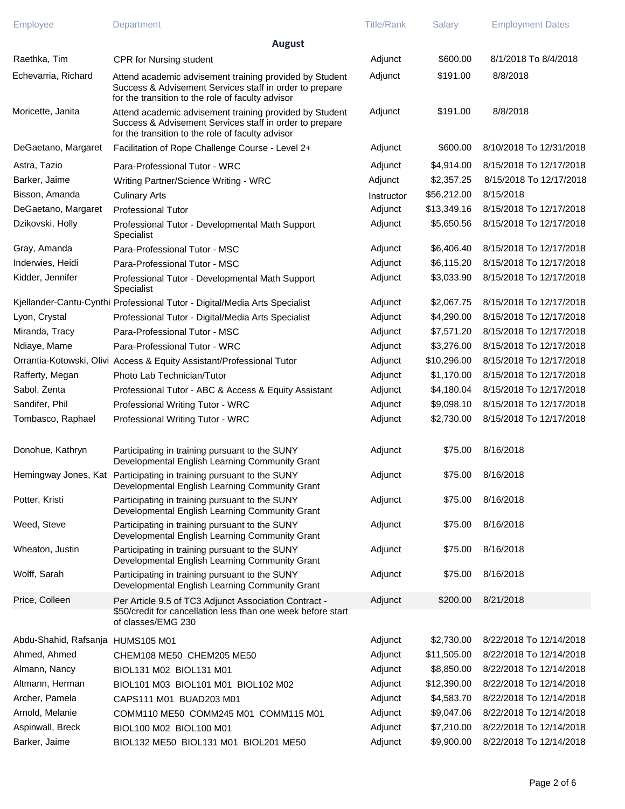| Employee                          | Department                                                                                                                                                              | <b>Title/Rank</b> | Salary      | <b>Employment Dates</b> |
|-----------------------------------|-------------------------------------------------------------------------------------------------------------------------------------------------------------------------|-------------------|-------------|-------------------------|
|                                   | <b>August</b>                                                                                                                                                           |                   |             |                         |
| Raethka, Tim                      | CPR for Nursing student                                                                                                                                                 | Adjunct           | \$600.00    | 8/1/2018 To 8/4/2018    |
| Echevarria, Richard               | Attend academic advisement training provided by Student<br>Success & Advisement Services staff in order to prepare<br>for the transition to the role of faculty advisor | Adjunct           | \$191.00    | 8/8/2018                |
| Moricette, Janita                 | Attend academic advisement training provided by Student<br>Success & Advisement Services staff in order to prepare<br>for the transition to the role of faculty advisor | Adjunct           | \$191.00    | 8/8/2018                |
| DeGaetano, Margaret               | Facilitation of Rope Challenge Course - Level 2+                                                                                                                        | Adjunct           | \$600.00    | 8/10/2018 To 12/31/2018 |
| Astra, Tazio                      | Para-Professional Tutor - WRC                                                                                                                                           | Adjunct           | \$4,914.00  | 8/15/2018 To 12/17/2018 |
| Barker, Jaime                     | Writing Partner/Science Writing - WRC                                                                                                                                   | Adjunct           | \$2,357.25  | 8/15/2018 To 12/17/2018 |
| Bisson, Amanda                    | <b>Culinary Arts</b>                                                                                                                                                    | Instructor        | \$56,212.00 | 8/15/2018               |
| DeGaetano, Margaret               | <b>Professional Tutor</b>                                                                                                                                               | Adjunct           | \$13,349.16 | 8/15/2018 To 12/17/2018 |
| Dzikovski, Holly                  | Professional Tutor - Developmental Math Support<br>Specialist                                                                                                           | Adjunct           | \$5,650.56  | 8/15/2018 To 12/17/2018 |
| Gray, Amanda                      | Para-Professional Tutor - MSC                                                                                                                                           | Adjunct           | \$6,406.40  | 8/15/2018 To 12/17/2018 |
| Inderwies, Heidi                  | Para-Professional Tutor - MSC                                                                                                                                           | Adjunct           | \$6,115.20  | 8/15/2018 To 12/17/2018 |
| Kidder, Jennifer                  | Professional Tutor - Developmental Math Support<br>Specialist                                                                                                           | Adjunct           | \$3,033.90  | 8/15/2018 To 12/17/2018 |
|                                   | Kjellander-Cantu-Cynthi Professional Tutor - Digital/Media Arts Specialist                                                                                              | Adjunct           | \$2,067.75  | 8/15/2018 To 12/17/2018 |
| Lyon, Crystal                     | Professional Tutor - Digital/Media Arts Specialist                                                                                                                      | Adjunct           | \$4,290.00  | 8/15/2018 To 12/17/2018 |
| Miranda, Tracy                    | Para-Professional Tutor - MSC                                                                                                                                           | Adjunct           | \$7,571.20  | 8/15/2018 To 12/17/2018 |
| Ndiaye, Mame                      | Para-Professional Tutor - WRC                                                                                                                                           | Adjunct           | \$3,276.00  | 8/15/2018 To 12/17/2018 |
|                                   | Orrantia-Kotowski, Olivi Access & Equity Assistant/Professional Tutor                                                                                                   | Adjunct           | \$10,296.00 | 8/15/2018 To 12/17/2018 |
| Rafferty, Megan                   | Photo Lab Technician/Tutor                                                                                                                                              | Adjunct           | \$1,170.00  | 8/15/2018 To 12/17/2018 |
| Sabol, Zenta                      | Professional Tutor - ABC & Access & Equity Assistant                                                                                                                    | Adjunct           | \$4,180.04  | 8/15/2018 To 12/17/2018 |
| Sandifer, Phil                    | Professional Writing Tutor - WRC                                                                                                                                        | Adjunct           | \$9,098.10  | 8/15/2018 To 12/17/2018 |
| Tombasco, Raphael                 | Professional Writing Tutor - WRC                                                                                                                                        | Adjunct           | \$2,730.00  | 8/15/2018 To 12/17/2018 |
| Donohue, Kathryn                  | Participating in training pursuant to the SUNY<br>Developmental English Learning Community Grant                                                                        | Adjunct           | \$75.00     | 8/16/2018               |
|                                   | Hemingway Jones, Kat Participating in training pursuant to the SUNY<br>Developmental English Learning Community Grant                                                   | Adjunct           |             | \$75.00 8/16/2018       |
| Potter, Kristi                    | Participating in training pursuant to the SUNY<br>Developmental English Learning Community Grant                                                                        | Adjunct           | \$75.00     | 8/16/2018               |
| Weed, Steve                       | Participating in training pursuant to the SUNY<br>Developmental English Learning Community Grant                                                                        | Adjunct           | \$75.00     | 8/16/2018               |
| Wheaton, Justin                   | Participating in training pursuant to the SUNY<br>Developmental English Learning Community Grant                                                                        | Adjunct           | \$75.00     | 8/16/2018               |
| Wolff, Sarah                      | Participating in training pursuant to the SUNY<br>Developmental English Learning Community Grant                                                                        | Adjunct           | \$75.00     | 8/16/2018               |
| Price, Colleen                    | Per Article 9.5 of TC3 Adjunct Association Contract -<br>\$50/credit for cancellation less than one week before start<br>of classes/EMG 230                             | Adjunct           | \$200.00    | 8/21/2018               |
| Abdu-Shahid, Rafsanja HUMS105 M01 |                                                                                                                                                                         | Adjunct           | \$2,730.00  | 8/22/2018 To 12/14/2018 |
| Ahmed, Ahmed                      | CHEM108 ME50 CHEM205 ME50                                                                                                                                               | Adjunct           | \$11,505.00 | 8/22/2018 To 12/14/2018 |
| Almann, Nancy                     | BIOL131 M02 BIOL131 M01                                                                                                                                                 | Adjunct           | \$8,850.00  | 8/22/2018 To 12/14/2018 |
| Altmann, Herman                   | BIOL101 M03 BIOL101 M01 BIOL102 M02                                                                                                                                     | Adjunct           | \$12,390.00 | 8/22/2018 To 12/14/2018 |
| Archer, Pamela                    | CAPS111 M01 BUAD203 M01                                                                                                                                                 | Adjunct           | \$4,583.70  | 8/22/2018 To 12/14/2018 |
| Arnold, Melanie                   | COMM110 ME50 COMM245 M01 COMM115 M01                                                                                                                                    | Adjunct           | \$9,047.06  | 8/22/2018 To 12/14/2018 |
| Aspinwall, Breck                  | BIOL100 M02 BIOL100 M01                                                                                                                                                 | Adjunct           | \$7,210.00  | 8/22/2018 To 12/14/2018 |
| Barker, Jaime                     | BIOL132 ME50 BIOL131 M01 BIOL201 ME50                                                                                                                                   | Adjunct           | \$9,900.00  | 8/22/2018 To 12/14/2018 |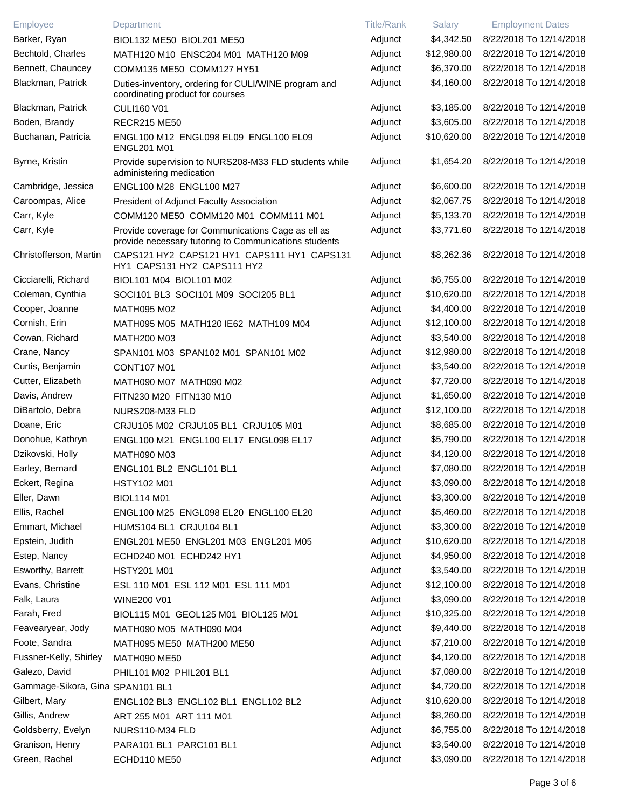| Employee                         | Department                                                                                                  | <b>Title/Rank</b> | Salary      | <b>Employment Dates</b> |
|----------------------------------|-------------------------------------------------------------------------------------------------------------|-------------------|-------------|-------------------------|
| Barker, Ryan                     | BIOL132 ME50 BIOL201 ME50                                                                                   | Adjunct           | \$4,342.50  | 8/22/2018 To 12/14/2018 |
| Bechtold, Charles                | MATH120 M10 ENSC204 M01 MATH120 M09                                                                         | Adjunct           | \$12,980.00 | 8/22/2018 To 12/14/2018 |
| Bennett, Chauncey                | COMM135 ME50 COMM127 HY51                                                                                   | Adjunct           | \$6,370.00  | 8/22/2018 To 12/14/2018 |
| Blackman, Patrick                | Duties-inventory, ordering for CULI/WINE program and<br>coordinating product for courses                    | Adjunct           | \$4,160.00  | 8/22/2018 To 12/14/2018 |
| Blackman, Patrick                | <b>CULI160 V01</b>                                                                                          | Adjunct           | \$3,185.00  | 8/22/2018 To 12/14/2018 |
| Boden, Brandy                    | <b>RECR215 ME50</b>                                                                                         | Adjunct           | \$3,605.00  | 8/22/2018 To 12/14/2018 |
| Buchanan, Patricia               | ENGL100 M12 ENGL098 EL09 ENGL100 EL09<br><b>ENGL201 M01</b>                                                 | Adjunct           | \$10,620.00 | 8/22/2018 To 12/14/2018 |
| Byrne, Kristin                   | Provide supervision to NURS208-M33 FLD students while<br>administering medication                           | Adjunct           | \$1,654.20  | 8/22/2018 To 12/14/2018 |
| Cambridge, Jessica               | ENGL100 M28 ENGL100 M27                                                                                     | Adjunct           | \$6,600.00  | 8/22/2018 To 12/14/2018 |
| Caroompas, Alice                 | President of Adjunct Faculty Association                                                                    | Adjunct           | \$2,067.75  | 8/22/2018 To 12/14/2018 |
| Carr, Kyle                       | COMM120 ME50 COMM120 M01 COMM111 M01                                                                        | Adjunct           | \$5,133.70  | 8/22/2018 To 12/14/2018 |
| Carr, Kyle                       | Provide coverage for Communications Cage as ell as<br>provide necessary tutoring to Communications students | Adjunct           | \$3,771.60  | 8/22/2018 To 12/14/2018 |
| Christofferson, Martin           | CAPS121 HY2 CAPS121 HY1 CAPS111 HY1 CAPS131<br>HY1 CAPS131 HY2 CAPS111 HY2                                  | Adjunct           | \$8,262.36  | 8/22/2018 To 12/14/2018 |
| Cicciarelli, Richard             | BIOL101 M04 BIOL101 M02                                                                                     | Adjunct           | \$6,755.00  | 8/22/2018 To 12/14/2018 |
| Coleman, Cynthia                 | SOCI101 BL3 SOCI101 M09 SOCI205 BL1                                                                         | Adjunct           | \$10,620.00 | 8/22/2018 To 12/14/2018 |
| Cooper, Joanne                   | MATH095 M02                                                                                                 | Adjunct           | \$4,400.00  | 8/22/2018 To 12/14/2018 |
| Cornish, Erin                    | MATH095 M05 MATH120 IE62 MATH109 M04                                                                        | Adjunct           | \$12,100.00 | 8/22/2018 To 12/14/2018 |
| Cowan, Richard                   | <b>MATH200 M03</b>                                                                                          | Adjunct           | \$3,540.00  | 8/22/2018 To 12/14/2018 |
| Crane, Nancy                     | SPAN101 M03 SPAN102 M01 SPAN101 M02                                                                         | Adjunct           | \$12,980.00 | 8/22/2018 To 12/14/2018 |
| Curtis, Benjamin                 | <b>CONT107 M01</b>                                                                                          | Adjunct           | \$3,540.00  | 8/22/2018 To 12/14/2018 |
| Cutter, Elizabeth                | MATH090 M07 MATH090 M02                                                                                     | Adjunct           | \$7,720.00  | 8/22/2018 To 12/14/2018 |
| Davis, Andrew                    | FITN230 M20 FITN130 M10                                                                                     | Adjunct           | \$1,650.00  | 8/22/2018 To 12/14/2018 |
| DiBartolo, Debra                 | NURS208-M33 FLD                                                                                             | Adjunct           | \$12,100.00 | 8/22/2018 To 12/14/2018 |
| Doane, Eric                      | CRJU105 M02 CRJU105 BL1 CRJU105 M01                                                                         | Adjunct           | \$8,685.00  | 8/22/2018 To 12/14/2018 |
| Donohue, Kathryn                 | ENGL100 M21 ENGL100 EL17 ENGL098 EL17                                                                       | Adjunct           | \$5,790.00  | 8/22/2018 To 12/14/2018 |
| Dzikovski, Holly                 | <b>MATH090 M03</b>                                                                                          | Adjunct           | \$4,120.00  | 8/22/2018 To 12/14/2018 |
| Earley, Bernard                  | ENGL101 BL2 ENGL101 BL1                                                                                     | Adjunct           | \$7,080.00  | 8/22/2018 To 12/14/2018 |
| Eckert, Regina                   | <b>HSTY102 M01</b>                                                                                          | Adjunct           | \$3,090.00  | 8/22/2018 To 12/14/2018 |
| Eller, Dawn                      | <b>BIOL114 M01</b>                                                                                          | Adjunct           | \$3,300.00  | 8/22/2018 To 12/14/2018 |
| Ellis, Rachel                    | ENGL100 M25 ENGL098 EL20 ENGL100 EL20                                                                       | Adjunct           | \$5,460.00  | 8/22/2018 To 12/14/2018 |
| Emmart, Michael                  | HUMS104 BL1 CRJU104 BL1                                                                                     | Adjunct           | \$3,300.00  | 8/22/2018 To 12/14/2018 |
| Epstein, Judith                  | ENGL201 ME50 ENGL201 M03 ENGL201 M05                                                                        | Adjunct           | \$10,620.00 | 8/22/2018 To 12/14/2018 |
| Estep, Nancy                     | ECHD240 M01 ECHD242 HY1                                                                                     | Adjunct           | \$4,950.00  | 8/22/2018 To 12/14/2018 |
| Esworthy, Barrett                | <b>HSTY201 M01</b>                                                                                          | Adjunct           | \$3,540.00  | 8/22/2018 To 12/14/2018 |
| Evans, Christine                 | ESL 110 M01 ESL 112 M01 ESL 111 M01                                                                         | Adjunct           | \$12,100.00 | 8/22/2018 To 12/14/2018 |
| Falk, Laura                      | <b>WINE200 V01</b>                                                                                          | Adjunct           | \$3,090.00  | 8/22/2018 To 12/14/2018 |
| Farah, Fred                      | BIOL115 M01 GEOL125 M01 BIOL125 M01                                                                         | Adjunct           | \$10,325.00 | 8/22/2018 To 12/14/2018 |
| Feavearyear, Jody                | MATH090 M05 MATH090 M04                                                                                     | Adjunct           | \$9,440.00  | 8/22/2018 To 12/14/2018 |
| Foote, Sandra                    | MATH095 ME50 MATH200 ME50                                                                                   | Adjunct           | \$7,210.00  | 8/22/2018 To 12/14/2018 |
| Fussner-Kelly, Shirley           | <b>MATH090 ME50</b>                                                                                         | Adjunct           | \$4,120.00  | 8/22/2018 To 12/14/2018 |
| Galezo, David                    | PHIL101 M02 PHIL201 BL1                                                                                     | Adjunct           | \$7,080.00  | 8/22/2018 To 12/14/2018 |
| Gammage-Sikora, Gina SPAN101 BL1 |                                                                                                             | Adjunct           | \$4,720.00  | 8/22/2018 To 12/14/2018 |
| Gilbert, Mary                    | ENGL102 BL3 ENGL102 BL1 ENGL102 BL2                                                                         | Adjunct           | \$10,620.00 | 8/22/2018 To 12/14/2018 |
| Gillis, Andrew                   | ART 255 M01 ART 111 M01                                                                                     | Adjunct           | \$8,260.00  | 8/22/2018 To 12/14/2018 |
| Goldsberry, Evelyn               | NURS110-M34 FLD                                                                                             | Adjunct           | \$6,755.00  | 8/22/2018 To 12/14/2018 |
| Granison, Henry                  | PARA101 BL1 PARC101 BL1                                                                                     | Adjunct           | \$3,540.00  | 8/22/2018 To 12/14/2018 |
| Green, Rachel                    | <b>ECHD110 ME50</b>                                                                                         | Adjunct           | \$3,090.00  | 8/22/2018 To 12/14/2018 |
|                                  |                                                                                                             |                   |             |                         |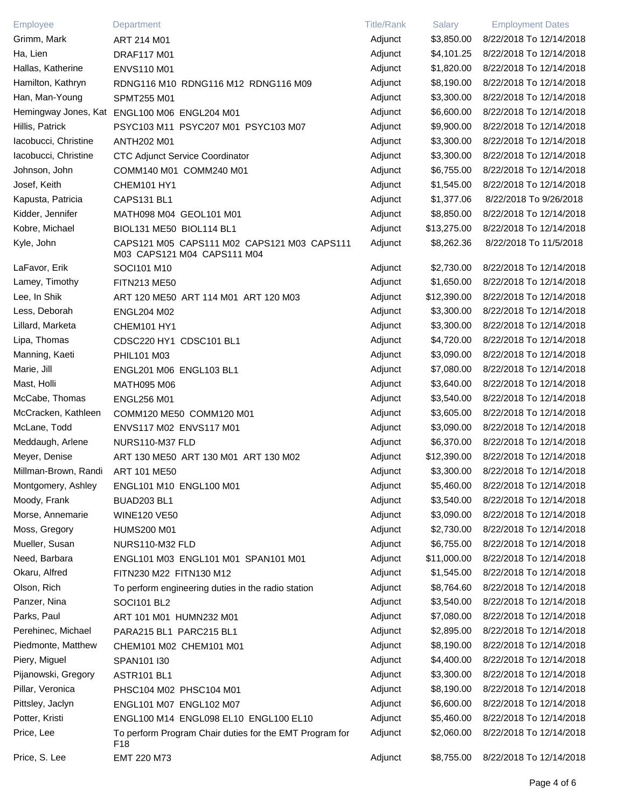| Employee             | Department                                                                 | <b>Title/Rank</b> | Salary      | <b>Employment Dates</b> |
|----------------------|----------------------------------------------------------------------------|-------------------|-------------|-------------------------|
| Grimm, Mark          | ART 214 M01                                                                | Adjunct           | \$3,850.00  | 8/22/2018 To 12/14/2018 |
| Ha, Lien             | <b>DRAF117 M01</b>                                                         | Adjunct           | \$4,101.25  | 8/22/2018 To 12/14/2018 |
| Hallas, Katherine    | <b>ENVS110 M01</b>                                                         | Adjunct           | \$1,820.00  | 8/22/2018 To 12/14/2018 |
| Hamilton, Kathryn    | RDNG116 M10 RDNG116 M12 RDNG116 M09                                        | Adjunct           | \$8,190.00  | 8/22/2018 To 12/14/2018 |
| Han, Man-Young       | SPMT255 M01                                                                | Adjunct           | \$3,300.00  | 8/22/2018 To 12/14/2018 |
|                      | Hemingway Jones, Kat ENGL100 M06 ENGL204 M01                               | Adjunct           | \$6,600.00  | 8/22/2018 To 12/14/2018 |
| Hillis, Patrick      | PSYC103 M11 PSYC207 M01 PSYC103 M07                                        | Adjunct           | \$9,900.00  | 8/22/2018 To 12/14/2018 |
| Iacobucci, Christine | <b>ANTH202 M01</b>                                                         | Adjunct           | \$3,300.00  | 8/22/2018 To 12/14/2018 |
| lacobucci, Christine | <b>CTC Adjunct Service Coordinator</b>                                     | Adjunct           | \$3,300.00  | 8/22/2018 To 12/14/2018 |
| Johnson, John        | COMM140 M01 COMM240 M01                                                    | Adjunct           | \$6,755.00  | 8/22/2018 To 12/14/2018 |
| Josef, Keith         | CHEM101 HY1                                                                | Adjunct           | \$1,545.00  | 8/22/2018 To 12/14/2018 |
| Kapusta, Patricia    | CAPS131 BL1                                                                | Adjunct           | \$1,377.06  | 8/22/2018 To 9/26/2018  |
| Kidder, Jennifer     | MATH098 M04 GEOL101 M01                                                    | Adjunct           | \$8,850.00  | 8/22/2018 To 12/14/2018 |
| Kobre, Michael       | BIOL131 ME50 BIOL114 BL1                                                   | Adjunct           | \$13,275.00 | 8/22/2018 To 12/14/2018 |
| Kyle, John           | CAPS121 M05 CAPS111 M02 CAPS121 M03 CAPS111<br>M03 CAPS121 M04 CAPS111 M04 | Adjunct           | \$8,262.36  | 8/22/2018 To 11/5/2018  |
| LaFavor, Erik        | SOCI101 M10                                                                | Adjunct           | \$2,730.00  | 8/22/2018 To 12/14/2018 |
| Lamey, Timothy       | <b>FITN213 ME50</b>                                                        | Adjunct           | \$1,650.00  | 8/22/2018 To 12/14/2018 |
| Lee, In Shik         | ART 120 ME50 ART 114 M01 ART 120 M03                                       | Adjunct           | \$12,390.00 | 8/22/2018 To 12/14/2018 |
| Less, Deborah        | <b>ENGL204 M02</b>                                                         | Adjunct           | \$3,300.00  | 8/22/2018 To 12/14/2018 |
| Lillard, Marketa     | CHEM101 HY1                                                                | Adjunct           | \$3,300.00  | 8/22/2018 To 12/14/2018 |
| Lipa, Thomas         | CDSC220 HY1 CDSC101 BL1                                                    | Adjunct           | \$4,720.00  | 8/22/2018 To 12/14/2018 |
| Manning, Kaeti       | PHIL101 M03                                                                | Adjunct           | \$3,090.00  | 8/22/2018 To 12/14/2018 |
| Marie, Jill          | ENGL201 M06 ENGL103 BL1                                                    | Adjunct           | \$7,080.00  | 8/22/2018 To 12/14/2018 |
| Mast, Holli          | MATH095 M06                                                                | Adjunct           | \$3,640.00  | 8/22/2018 To 12/14/2018 |
| McCabe, Thomas       | <b>ENGL256 M01</b>                                                         | Adjunct           | \$3,540.00  | 8/22/2018 To 12/14/2018 |
| McCracken, Kathleen  | COMM120 ME50 COMM120 M01                                                   | Adjunct           | \$3,605.00  | 8/22/2018 To 12/14/2018 |
| McLane, Todd         | ENVS117 M02 ENVS117 M01                                                    | Adjunct           | \$3,090.00  | 8/22/2018 To 12/14/2018 |
| Meddaugh, Arlene     | NURS110-M37 FLD                                                            | Adjunct           | \$6,370.00  | 8/22/2018 To 12/14/2018 |
| Meyer, Denise        | ART 130 ME50 ART 130 M01 ART 130 M02                                       | Adjunct           | \$12,390.00 | 8/22/2018 To 12/14/2018 |
| Millman-Brown, Randi | <b>ART 101 ME50</b>                                                        | Adjunct           | \$3,300.00  | 8/22/2018 To 12/14/2018 |
| Montgomery, Ashley   | ENGL101 M10 ENGL100 M01                                                    | Adjunct           | \$5,460.00  | 8/22/2018 To 12/14/2018 |
| Moody, Frank         | BUAD203 BL1                                                                | Adjunct           | \$3,540.00  | 8/22/2018 To 12/14/2018 |
| Morse, Annemarie     | <b>WINE120 VE50</b>                                                        | Adjunct           | \$3,090.00  | 8/22/2018 To 12/14/2018 |
| Moss, Gregory        | <b>HUMS200 M01</b>                                                         | Adjunct           | \$2,730.00  | 8/22/2018 To 12/14/2018 |
| Mueller, Susan       | NURS110-M32 FLD                                                            | Adjunct           | \$6,755.00  | 8/22/2018 To 12/14/2018 |
| Need, Barbara        | ENGL101 M03 ENGL101 M01 SPAN101 M01                                        | Adjunct           | \$11,000.00 | 8/22/2018 To 12/14/2018 |
| Okaru, Alfred        | FITN230 M22 FITN130 M12                                                    | Adjunct           | \$1,545.00  | 8/22/2018 To 12/14/2018 |
| Olson, Rich          | To perform engineering duties in the radio station                         | Adjunct           | \$8,764.60  | 8/22/2018 To 12/14/2018 |
| Panzer, Nina         | SOCI101 BL2                                                                | Adjunct           | \$3,540.00  | 8/22/2018 To 12/14/2018 |
| Parks, Paul          | ART 101 M01 HUMN232 M01                                                    | Adjunct           | \$7,080.00  | 8/22/2018 To 12/14/2018 |
| Perehinec, Michael   | PARA215 BL1 PARC215 BL1                                                    | Adjunct           | \$2,895.00  | 8/22/2018 To 12/14/2018 |
| Piedmonte, Matthew   | CHEM101 M02 CHEM101 M01                                                    | Adjunct           | \$8,190.00  | 8/22/2018 To 12/14/2018 |
| Piery, Miguel        | SPAN101 I30                                                                | Adjunct           | \$4,400.00  | 8/22/2018 To 12/14/2018 |
| Pijanowski, Gregory  | ASTR101 BL1                                                                | Adjunct           | \$3,300.00  | 8/22/2018 To 12/14/2018 |
| Pillar, Veronica     | PHSC104 M02 PHSC104 M01                                                    | Adjunct           | \$8,190.00  | 8/22/2018 To 12/14/2018 |
| Pittsley, Jaclyn     | ENGL101 M07 ENGL102 M07                                                    | Adjunct           | \$6,600.00  | 8/22/2018 To 12/14/2018 |
| Potter, Kristi       | ENGL100 M14 ENGL098 EL10 ENGL100 EL10                                      | Adjunct           | \$5,460.00  | 8/22/2018 To 12/14/2018 |
| Price, Lee           | To perform Program Chair duties for the EMT Program for<br>F <sub>18</sub> | Adjunct           | \$2,060.00  | 8/22/2018 To 12/14/2018 |
| Price, S. Lee        | EMT 220 M73                                                                | Adjunct           | \$8,755.00  | 8/22/2018 To 12/14/2018 |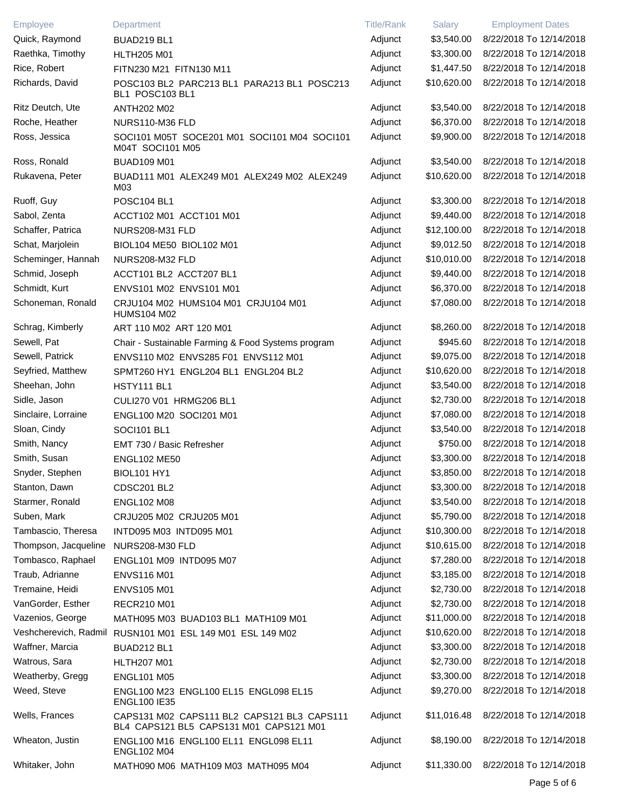| Employee             | Department                                                                             | <b>Title/Rank</b> | Salary      | <b>Employment Dates</b> |
|----------------------|----------------------------------------------------------------------------------------|-------------------|-------------|-------------------------|
| Quick, Raymond       | BUAD219 BL1                                                                            | Adjunct           | \$3,540.00  | 8/22/2018 To 12/14/2018 |
| Raethka, Timothy     | <b>HLTH205 M01</b>                                                                     | Adjunct           | \$3,300.00  | 8/22/2018 To 12/14/2018 |
| Rice, Robert         | FITN230 M21 FITN130 M11                                                                | Adjunct           | \$1,447.50  | 8/22/2018 To 12/14/2018 |
| Richards, David      | POSC103 BL2 PARC213 BL1 PARA213 BL1 POSC213<br>BL1 POSC103 BL1                         | Adjunct           | \$10,620.00 | 8/22/2018 To 12/14/2018 |
| Ritz Deutch, Ute     | <b>ANTH202 M02</b>                                                                     | Adjunct           | \$3,540.00  | 8/22/2018 To 12/14/2018 |
| Roche, Heather       | NURS110-M36 FLD                                                                        | Adjunct           | \$6,370.00  | 8/22/2018 To 12/14/2018 |
| Ross, Jessica        | SOCI101 M05T SOCE201 M01 SOCI101 M04 SOCI101<br>M04T SOCI101 M05                       | Adjunct           | \$9,900.00  | 8/22/2018 To 12/14/2018 |
| Ross, Ronald         | <b>BUAD109 M01</b>                                                                     | Adjunct           | \$3,540.00  | 8/22/2018 To 12/14/2018 |
| Rukavena, Peter      | BUAD111 M01 ALEX249 M01 ALEX249 M02 ALEX249<br>M03                                     | Adjunct           | \$10,620.00 | 8/22/2018 To 12/14/2018 |
| Ruoff, Guy           | <b>POSC104 BL1</b>                                                                     | Adjunct           | \$3,300.00  | 8/22/2018 To 12/14/2018 |
| Sabol, Zenta         | ACCT102 M01 ACCT101 M01                                                                | Adjunct           | \$9,440.00  | 8/22/2018 To 12/14/2018 |
| Schaffer, Patrica    | NURS208-M31 FLD                                                                        | Adjunct           | \$12,100.00 | 8/22/2018 To 12/14/2018 |
| Schat, Marjolein     | BIOL104 ME50 BIOL102 M01                                                               | Adjunct           | \$9,012.50  | 8/22/2018 To 12/14/2018 |
| Scheminger, Hannah   | NURS208-M32 FLD                                                                        | Adjunct           | \$10,010.00 | 8/22/2018 To 12/14/2018 |
| Schmid, Joseph       | ACCT101 BL2 ACCT207 BL1                                                                | Adjunct           | \$9,440.00  | 8/22/2018 To 12/14/2018 |
| Schmidt, Kurt        | ENVS101 M02 ENVS101 M01                                                                | Adjunct           | \$6,370.00  | 8/22/2018 To 12/14/2018 |
| Schoneman, Ronald    | CRJU104 M02 HUMS104 M01 CRJU104 M01<br><b>HUMS104 M02</b>                              | Adjunct           | \$7,080.00  | 8/22/2018 To 12/14/2018 |
| Schrag, Kimberly     | ART 110 M02 ART 120 M01                                                                | Adjunct           | \$8,260.00  | 8/22/2018 To 12/14/2018 |
| Sewell, Pat          | Chair - Sustainable Farming & Food Systems program                                     | Adjunct           | \$945.60    | 8/22/2018 To 12/14/2018 |
| Sewell, Patrick      | ENVS110 M02 ENVS285 F01 ENVS112 M01                                                    | Adjunct           | \$9,075.00  | 8/22/2018 To 12/14/2018 |
| Seyfried, Matthew    | SPMT260 HY1 ENGL204 BL1 ENGL204 BL2                                                    | Adjunct           | \$10,620.00 | 8/22/2018 To 12/14/2018 |
| Sheehan, John        | HSTY111 BL1                                                                            | Adjunct           | \$3,540.00  | 8/22/2018 To 12/14/2018 |
| Sidle, Jason         | CULI270 V01 HRMG206 BL1                                                                | Adjunct           | \$2,730.00  | 8/22/2018 To 12/14/2018 |
| Sinclaire, Lorraine  | ENGL100 M20 SOCI201 M01                                                                | Adjunct           | \$7,080.00  | 8/22/2018 To 12/14/2018 |
| Sloan, Cindy         | SOCI101 BL1                                                                            | Adjunct           | \$3,540.00  | 8/22/2018 To 12/14/2018 |
| Smith, Nancy         | EMT 730 / Basic Refresher                                                              | Adjunct           | \$750.00    | 8/22/2018 To 12/14/2018 |
| Smith, Susan         | <b>ENGL102 ME50</b>                                                                    | Adjunct           | \$3,300.00  | 8/22/2018 To 12/14/2018 |
| Snyder, Stephen      | <b>BIOL101 HY1</b>                                                                     | Adjunct           | \$3,850.00  | 8/22/2018 To 12/14/2018 |
| Stanton, Dawn        | <b>CDSC201 BL2</b>                                                                     | Adjunct           | \$3,300.00  | 8/22/2018 To 12/14/2018 |
| Starmer, Ronald      | <b>ENGL102 M08</b>                                                                     | Adjunct           | \$3,540.00  | 8/22/2018 To 12/14/2018 |
| Suben, Mark          | CRJU205 M02 CRJU205 M01                                                                | Adjunct           | \$5,790.00  | 8/22/2018 To 12/14/2018 |
| Tambascio, Theresa   | INTD095 M03 INTD095 M01                                                                | Adjunct           | \$10,300.00 | 8/22/2018 To 12/14/2018 |
| Thompson, Jacqueline | NURS208-M30 FLD                                                                        | Adjunct           | \$10,615.00 | 8/22/2018 To 12/14/2018 |
| Tombasco, Raphael    | ENGL101 M09 INTD095 M07                                                                | Adjunct           | \$7,280.00  | 8/22/2018 To 12/14/2018 |
| Traub, Adrianne      | <b>ENVS116 M01</b>                                                                     | Adjunct           | \$3,185.00  | 8/22/2018 To 12/14/2018 |
| Tremaine, Heidi      | <b>ENVS105 M01</b>                                                                     | Adjunct           | \$2,730.00  | 8/22/2018 To 12/14/2018 |
| VanGorder, Esther    | <b>RECR210 M01</b>                                                                     | Adjunct           | \$2,730.00  | 8/22/2018 To 12/14/2018 |
| Vazenios, George     | MATH095 M03 BUAD103 BL1 MATH109 M01                                                    | Adjunct           | \$11,000.00 | 8/22/2018 To 12/14/2018 |
|                      | Veshcherevich, Radmil RUSN101 M01 ESL 149 M01 ESL 149 M02                              | Adjunct           | \$10,620.00 | 8/22/2018 To 12/14/2018 |
| Waffner, Marcia      | BUAD212 BL1                                                                            | Adjunct           | \$3,300.00  | 8/22/2018 To 12/14/2018 |
| Watrous, Sara        | <b>HLTH207 M01</b>                                                                     | Adjunct           | \$2,730.00  | 8/22/2018 To 12/14/2018 |
| Weatherby, Gregg     |                                                                                        | Adjunct           | \$3,300.00  | 8/22/2018 To 12/14/2018 |
| Weed, Steve          | <b>ENGL101 M05</b>                                                                     | Adjunct           | \$9,270.00  | 8/22/2018 To 12/14/2018 |
|                      | ENGL100 M23 ENGL100 EL15 ENGL098 EL15<br><b>ENGL100 IE35</b>                           |                   |             |                         |
| Wells, Frances       | CAPS131 M02 CAPS111 BL2 CAPS121 BL3 CAPS111<br>BL4 CAPS121 BL5 CAPS131 M01 CAPS121 M01 | Adjunct           | \$11,016.48 | 8/22/2018 To 12/14/2018 |
| Wheaton, Justin      | ENGL100 M16 ENGL100 EL11 ENGL098 EL11<br><b>ENGL102 M04</b>                            | Adjunct           | \$8,190.00  | 8/22/2018 To 12/14/2018 |
| Whitaker, John       | MATH090 M06 MATH109 M03 MATH095 M04                                                    | Adjunct           | \$11,330.00 | 8/22/2018 To 12/14/2018 |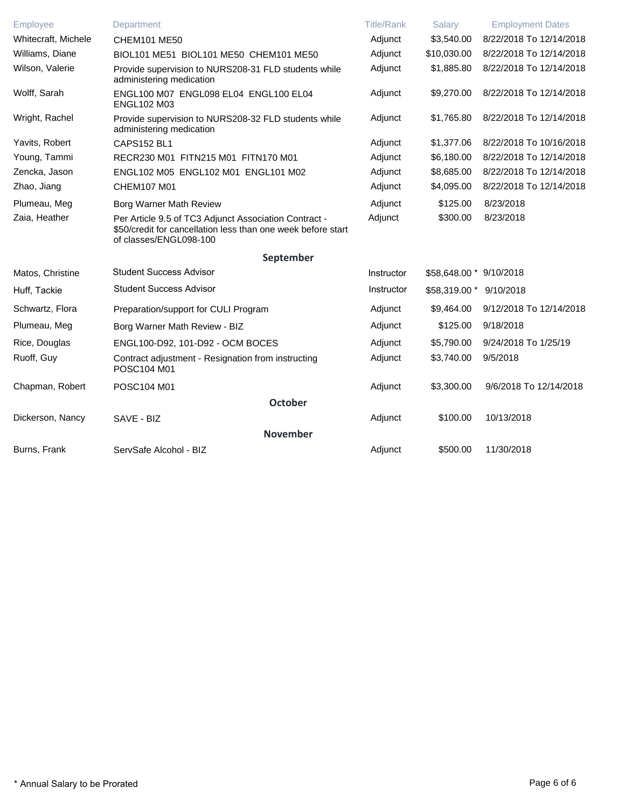| Employee            | Department                                                                                                                                      | <b>Title/Rank</b> | Salary                  | <b>Employment Dates</b> |
|---------------------|-------------------------------------------------------------------------------------------------------------------------------------------------|-------------------|-------------------------|-------------------------|
| Whitecraft, Michele | <b>CHEM101 ME50</b>                                                                                                                             | Adjunct           | \$3,540.00              | 8/22/2018 To 12/14/2018 |
| Williams, Diane     | BIOL101 ME51 BIOL101 ME50 CHEM101 ME50                                                                                                          | Adjunct           | \$10,030.00             | 8/22/2018 To 12/14/2018 |
| Wilson, Valerie     | Provide supervision to NURS208-31 FLD students while<br>administering medication                                                                | Adjunct           | \$1,885.80              | 8/22/2018 To 12/14/2018 |
| Wolff, Sarah        | ENGL100 M07 ENGL098 EL04 ENGL100 EL04<br><b>ENGL102 M03</b>                                                                                     | Adjunct           | \$9,270.00              | 8/22/2018 To 12/14/2018 |
| Wright, Rachel      | Provide supervision to NURS208-32 FLD students while<br>administering medication                                                                | Adjunct           | \$1,765.80              | 8/22/2018 To 12/14/2018 |
| Yavits, Robert      | <b>CAPS152 BL1</b>                                                                                                                              | Adjunct           | \$1,377.06              | 8/22/2018 To 10/16/2018 |
| Young, Tammi        | RECR230 M01 FITN215 M01 FITN170 M01                                                                                                             | Adjunct           | \$6,180.00              | 8/22/2018 To 12/14/2018 |
| Zencka, Jason       | ENGL102 M05 ENGL102 M01 ENGL101 M02                                                                                                             | Adjunct           | \$8,685.00              | 8/22/2018 To 12/14/2018 |
| Zhao, Jiang         | CHEM107 M01                                                                                                                                     | Adjunct           | \$4,095.00              | 8/22/2018 To 12/14/2018 |
| Plumeau, Meg        | Borg Warner Math Review                                                                                                                         | Adjunct           | \$125.00                | 8/23/2018               |
| Zaia, Heather       | Per Article 9.5 of TC3 Adjunct Association Contract -<br>\$50/credit for cancellation less than one week before start<br>of classes/ENGL098-100 | Adjunct           | \$300.00                | 8/23/2018               |
|                     | September                                                                                                                                       |                   |                         |                         |
| Matos, Christine    | <b>Student Success Advisor</b>                                                                                                                  | Instructor        | \$58,648.00 * 9/10/2018 |                         |
| Huff, Tackie        | <b>Student Success Advisor</b>                                                                                                                  | Instructor        | \$58,319.00 * 9/10/2018 |                         |
| Schwartz, Flora     | Preparation/support for CULI Program                                                                                                            | Adjunct           | \$9,464.00              | 9/12/2018 To 12/14/2018 |
| Plumeau, Meg        | Borg Warner Math Review - BIZ                                                                                                                   | Adjunct           | \$125.00                | 9/18/2018               |
| Rice, Douglas       | ENGL100-D92, 101-D92 - OCM BOCES                                                                                                                | Adjunct           | \$5,790.00              | 9/24/2018 To 1/25/19    |
| Ruoff, Guy          | Contract adjustment - Resignation from instructing<br>POSC104 M01                                                                               | Adjunct           | \$3,740.00              | 9/5/2018                |
| Chapman, Robert     | POSC104 M01                                                                                                                                     | Adjunct           | \$3,300.00              | 9/6/2018 To 12/14/2018  |
|                     | <b>October</b>                                                                                                                                  |                   |                         |                         |
| Dickerson, Nancy    | SAVE - BIZ                                                                                                                                      | Adjunct           | \$100.00                | 10/13/2018              |
|                     | <b>November</b>                                                                                                                                 |                   |                         |                         |
| Burns, Frank        | ServSafe Alcohol - BIZ                                                                                                                          | Adjunct           | \$500.00                | 11/30/2018              |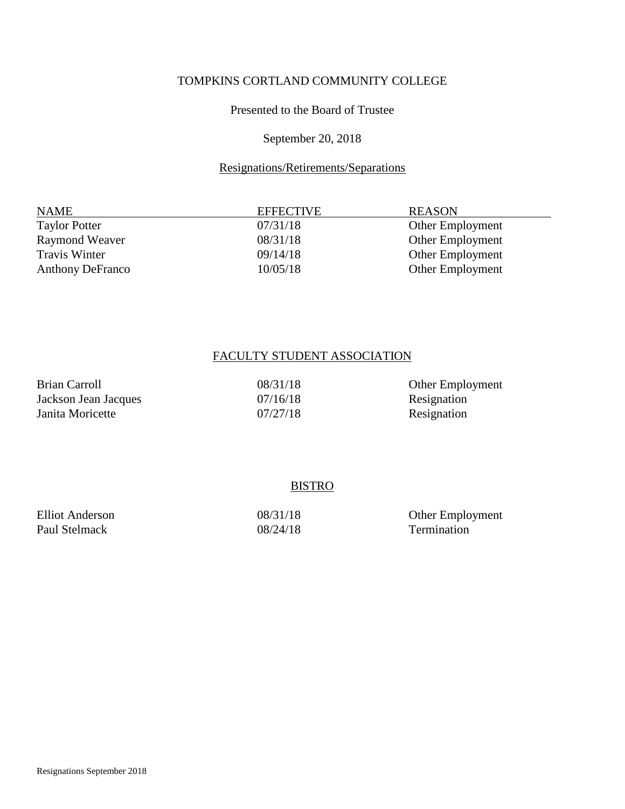#### Presented to the Board of Trustee

# September 20, 2018

# Resignations/Retirements/Separations

| <b>NAME</b>             | <b>EFFECTIVE</b> | <b>REASON</b>           |
|-------------------------|------------------|-------------------------|
| <b>Taylor Potter</b>    | 07/31/18         | <b>Other Employment</b> |
| <b>Raymond Weaver</b>   | 08/31/18         | Other Employment        |
| Travis Winter           | 09/14/18         | <b>Other Employment</b> |
| <b>Anthony DeFranco</b> | 10/05/18         | Other Employment        |

# FACULTY STUDENT ASSOCIATION

| <b>Brian Carroll</b> | 08/31/18 | <b>Other Employment</b> |
|----------------------|----------|-------------------------|
| Jackson Jean Jacques | 07/16/18 | Resignation             |
| Janita Moricette     | 07/27/18 | Resignation             |

| BIS<br>R<br>ïП<br>0 |
|---------------------|
|---------------------|

| Elliot Anderson | 08/31/18 | Other Employment |
|-----------------|----------|------------------|
| Paul Stelmack   | 08/24/18 | Termination      |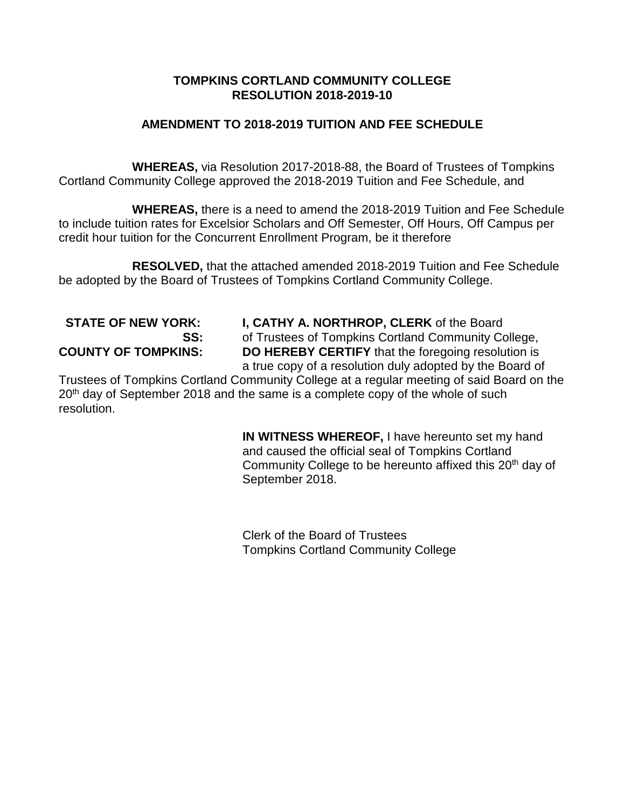# **AMENDMENT TO 2018-2019 TUITION AND FEE SCHEDULE**

**WHEREAS,** via Resolution 2017-2018-88, the Board of Trustees of Tompkins Cortland Community College approved the 2018-2019 Tuition and Fee Schedule, and

**WHEREAS,** there is a need to amend the 2018-2019 Tuition and Fee Schedule to include tuition rates for Excelsior Scholars and Off Semester, Off Hours, Off Campus per credit hour tuition for the Concurrent Enrollment Program, be it therefore

**RESOLVED,** that the attached amended 2018-2019 Tuition and Fee Schedule be adopted by the Board of Trustees of Tompkins Cortland Community College.

 **STATE OF NEW YORK: I, CATHY A. NORTHROP, CLERK** of the Board **SS:** of Trustees of Tompkins Cortland Community College, **COUNTY OF TOMPKINS: DO HEREBY CERTIFY** that the foregoing resolution is a true copy of a resolution duly adopted by the Board of

Trustees of Tompkins Cortland Community College at a regular meeting of said Board on the 20<sup>th</sup> day of September 2018 and the same is a complete copy of the whole of such resolution.

> **IN WITNESS WHEREOF,** I have hereunto set my hand and caused the official seal of Tompkins Cortland Community College to be hereunto affixed this 20<sup>th</sup> day of September 2018.

Clerk of the Board of Trustees Tompkins Cortland Community College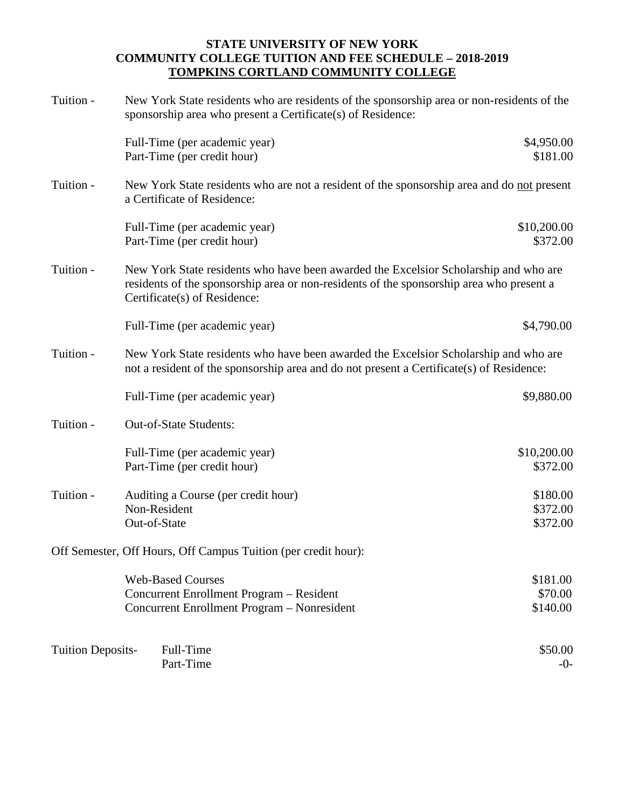| Tuition -                | New York State residents who are residents of the sponsorship area or non-residents of the<br>sponsorship area who present a Certificate(s) of Residence:                                                        |                                  |
|--------------------------|------------------------------------------------------------------------------------------------------------------------------------------------------------------------------------------------------------------|----------------------------------|
|                          | Full-Time (per academic year)<br>Part-Time (per credit hour)                                                                                                                                                     | \$4,950.00<br>\$181.00           |
| Tuition -                | New York State residents who are not a resident of the sponsorship area and do not present<br>a Certificate of Residence:                                                                                        |                                  |
|                          | Full-Time (per academic year)<br>Part-Time (per credit hour)                                                                                                                                                     | \$10,200.00<br>\$372.00          |
| Tuition -                | New York State residents who have been awarded the Excelsior Scholarship and who are<br>residents of the sponsorship area or non-residents of the sponsorship area who present a<br>Certificate(s) of Residence: |                                  |
|                          | Full-Time (per academic year)                                                                                                                                                                                    | \$4,790.00                       |
| Tuition -                | New York State residents who have been awarded the Excelsior Scholarship and who are<br>not a resident of the sponsorship area and do not present a Certificate(s) of Residence:                                 |                                  |
|                          | Full-Time (per academic year)                                                                                                                                                                                    | \$9,880.00                       |
| Tuition -                | Out-of-State Students:                                                                                                                                                                                           |                                  |
|                          | Full-Time (per academic year)<br>Part-Time (per credit hour)                                                                                                                                                     | \$10,200.00<br>\$372.00          |
| Tuition -                | Auditing a Course (per credit hour)<br>Non-Resident<br>Out-of-State                                                                                                                                              | \$180.00<br>\$372.00<br>\$372.00 |
|                          | Off Semester, Off Hours, Off Campus Tuition (per credit hour):                                                                                                                                                   |                                  |
|                          | <b>Web-Based Courses</b><br>Concurrent Enrollment Program - Resident<br>Concurrent Enrollment Program - Nonresident                                                                                              | \$181.00<br>\$70.00<br>\$140.00  |
| <b>Tuition Deposits-</b> | Full-Time<br>Part-Time                                                                                                                                                                                           | \$50.00<br>$-0-$                 |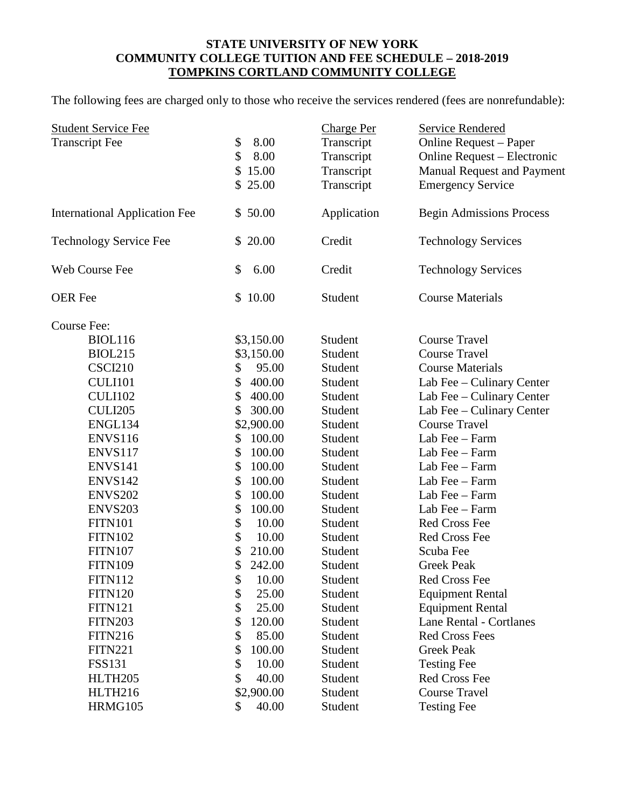The following fees are charged only to those who receive the services rendered (fees are nonrefundable):

| \$<br>8.00<br><b>Transcript Fee</b><br>Transcript<br>Online Request – Paper<br>\$<br>8.00<br>Transcript<br>Online Request - Electronic<br>\$<br>15.00<br>Transcript<br>\$25.00<br>Transcript<br><b>Emergency Service</b><br><b>International Application Fee</b><br>\$50.00<br>Application<br><b>Begin Admissions Process</b><br>\$20.00<br><b>Technology Service Fee</b><br>Credit<br><b>Technology Services</b><br>Web Course Fee<br>\$<br>6.00<br>Credit<br><b>Technology Services</b><br>\$10.00<br><b>Course Materials</b><br><b>OER</b> Fee<br>Student<br>Course Fee:<br><b>Course Travel</b><br>BIOL116<br>\$3,150.00<br>Student<br><b>BIOL215</b><br>\$3,150.00<br>Student<br><b>Course Travel</b><br>95.00<br><b>CSCI210</b><br>\$<br>Student<br><b>Course Materials</b> | <b>Student Service Fee</b> |              | <b>Charge Per</b> | <b>Service Rendered</b>           |
|-----------------------------------------------------------------------------------------------------------------------------------------------------------------------------------------------------------------------------------------------------------------------------------------------------------------------------------------------------------------------------------------------------------------------------------------------------------------------------------------------------------------------------------------------------------------------------------------------------------------------------------------------------------------------------------------------------------------------------------------------------------------------------------|----------------------------|--------------|-------------------|-----------------------------------|
|                                                                                                                                                                                                                                                                                                                                                                                                                                                                                                                                                                                                                                                                                                                                                                                   |                            |              |                   | <b>Manual Request and Payment</b> |
|                                                                                                                                                                                                                                                                                                                                                                                                                                                                                                                                                                                                                                                                                                                                                                                   |                            |              |                   |                                   |
|                                                                                                                                                                                                                                                                                                                                                                                                                                                                                                                                                                                                                                                                                                                                                                                   |                            |              |                   |                                   |
|                                                                                                                                                                                                                                                                                                                                                                                                                                                                                                                                                                                                                                                                                                                                                                                   |                            |              |                   |                                   |
|                                                                                                                                                                                                                                                                                                                                                                                                                                                                                                                                                                                                                                                                                                                                                                                   |                            |              |                   |                                   |
|                                                                                                                                                                                                                                                                                                                                                                                                                                                                                                                                                                                                                                                                                                                                                                                   |                            |              |                   |                                   |
|                                                                                                                                                                                                                                                                                                                                                                                                                                                                                                                                                                                                                                                                                                                                                                                   |                            |              |                   |                                   |
|                                                                                                                                                                                                                                                                                                                                                                                                                                                                                                                                                                                                                                                                                                                                                                                   |                            |              |                   |                                   |
|                                                                                                                                                                                                                                                                                                                                                                                                                                                                                                                                                                                                                                                                                                                                                                                   |                            |              |                   |                                   |
|                                                                                                                                                                                                                                                                                                                                                                                                                                                                                                                                                                                                                                                                                                                                                                                   | CULI101                    | \$<br>400.00 | Student           | Lab Fee - Culinary Center         |
| \$<br><b>CULI102</b><br>400.00<br>Lab Fee – Culinary Center<br>Student                                                                                                                                                                                                                                                                                                                                                                                                                                                                                                                                                                                                                                                                                                            |                            |              |                   |                                   |
| <b>CULI205</b><br>\$<br>300.00<br>Student<br>Lab Fee – Culinary Center                                                                                                                                                                                                                                                                                                                                                                                                                                                                                                                                                                                                                                                                                                            |                            |              |                   |                                   |
| ENGL134<br>\$2,900.00<br><b>Course Travel</b><br>Student                                                                                                                                                                                                                                                                                                                                                                                                                                                                                                                                                                                                                                                                                                                          |                            |              |                   |                                   |
| <b>ENVS116</b><br>100.00<br>Student<br>Lab Fee - Farm<br>\$                                                                                                                                                                                                                                                                                                                                                                                                                                                                                                                                                                                                                                                                                                                       |                            |              |                   |                                   |
| \$<br>100.00<br>Student<br>ENVS117<br>Lab Fee - Farm                                                                                                                                                                                                                                                                                                                                                                                                                                                                                                                                                                                                                                                                                                                              |                            |              |                   |                                   |
| \$<br>100.00<br>Student<br>ENVS141<br>Lab Fee - Farm                                                                                                                                                                                                                                                                                                                                                                                                                                                                                                                                                                                                                                                                                                                              |                            |              |                   |                                   |
| <b>ENVS142</b><br>\$<br>100.00<br>Student<br>Lab Fee - Farm                                                                                                                                                                                                                                                                                                                                                                                                                                                                                                                                                                                                                                                                                                                       |                            |              |                   |                                   |
| <b>ENVS202</b><br>\$<br>100.00<br>Student<br>Lab Fee - Farm                                                                                                                                                                                                                                                                                                                                                                                                                                                                                                                                                                                                                                                                                                                       |                            |              |                   |                                   |
| \$<br><b>ENVS203</b><br>100.00<br>Student<br>Lab Fee - Farm                                                                                                                                                                                                                                                                                                                                                                                                                                                                                                                                                                                                                                                                                                                       |                            |              |                   |                                   |
| \$<br>10.00<br>Student<br>Red Cross Fee<br><b>FITN101</b>                                                                                                                                                                                                                                                                                                                                                                                                                                                                                                                                                                                                                                                                                                                         |                            |              |                   |                                   |
| \$<br><b>FITN102</b><br>10.00<br>Student<br><b>Red Cross Fee</b>                                                                                                                                                                                                                                                                                                                                                                                                                                                                                                                                                                                                                                                                                                                  |                            |              |                   |                                   |
| <b>FITN107</b><br>\$<br>210.00<br>Student<br>Scuba Fee                                                                                                                                                                                                                                                                                                                                                                                                                                                                                                                                                                                                                                                                                                                            |                            |              |                   |                                   |
| \$<br>242.00<br><b>Greek Peak</b><br><b>FITN109</b><br>Student                                                                                                                                                                                                                                                                                                                                                                                                                                                                                                                                                                                                                                                                                                                    |                            |              |                   |                                   |
| ሖ<br>10.00<br>Student<br>Red Cross Fee<br><b>FITN112</b><br>P                                                                                                                                                                                                                                                                                                                                                                                                                                                                                                                                                                                                                                                                                                                     |                            |              |                   |                                   |
| \$<br><b>FITN120</b><br>25.00<br>Student<br><b>Equipment Rental</b>                                                                                                                                                                                                                                                                                                                                                                                                                                                                                                                                                                                                                                                                                                               |                            |              |                   |                                   |
| \$<br>25.00<br>Student<br><b>Equipment Rental</b><br><b>FITN121</b>                                                                                                                                                                                                                                                                                                                                                                                                                                                                                                                                                                                                                                                                                                               |                            |              |                   |                                   |
| <b>FITN203</b><br>Student<br><b>Lane Rental - Cortlanes</b><br>\$<br>120.00                                                                                                                                                                                                                                                                                                                                                                                                                                                                                                                                                                                                                                                                                                       |                            |              |                   |                                   |
| <b>FITN216</b><br>85.00<br>Student<br><b>Red Cross Fees</b><br>\$                                                                                                                                                                                                                                                                                                                                                                                                                                                                                                                                                                                                                                                                                                                 |                            |              |                   |                                   |
| \$<br>100.00<br>Student<br><b>Greek Peak</b><br><b>FITN221</b>                                                                                                                                                                                                                                                                                                                                                                                                                                                                                                                                                                                                                                                                                                                    |                            |              |                   |                                   |
| \$<br>10.00<br>Student<br><b>Testing Fee</b><br><b>FSS131</b>                                                                                                                                                                                                                                                                                                                                                                                                                                                                                                                                                                                                                                                                                                                     |                            |              |                   |                                   |
| HLTH <sub>205</sub><br>\$<br>40.00<br>Student<br><b>Red Cross Fee</b>                                                                                                                                                                                                                                                                                                                                                                                                                                                                                                                                                                                                                                                                                                             |                            |              |                   |                                   |
| \$2,900.00<br>HLTH216<br>Student<br><b>Course Travel</b>                                                                                                                                                                                                                                                                                                                                                                                                                                                                                                                                                                                                                                                                                                                          |                            |              |                   |                                   |
| HRMG105<br>40.00<br><b>Testing Fee</b><br>\$<br>Student                                                                                                                                                                                                                                                                                                                                                                                                                                                                                                                                                                                                                                                                                                                           |                            |              |                   |                                   |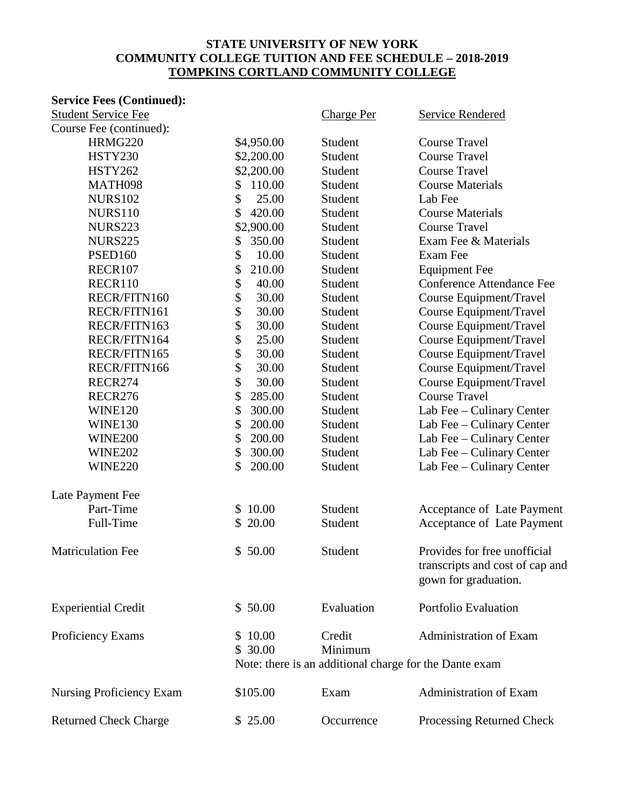# **Service Fees (Continued):**

| <b>Student Service Fee</b>      |                    | <b>Charge Per</b> | <b>Service Rendered</b>                                                                 |
|---------------------------------|--------------------|-------------------|-----------------------------------------------------------------------------------------|
| Course Fee (continued):         |                    |                   |                                                                                         |
| HRMG220                         | \$4,950.00         | Student           | <b>Course Travel</b>                                                                    |
| <b>HSTY230</b>                  | \$2,200.00         | Student           | <b>Course Travel</b>                                                                    |
| <b>HSTY262</b>                  | \$2,200.00         | Student           | <b>Course Travel</b>                                                                    |
| MATH098                         | 110.00<br>\$       | Student           | <b>Course Materials</b>                                                                 |
| <b>NURS102</b>                  | \$<br>25.00        | Student           | Lab Fee                                                                                 |
| <b>NURS110</b>                  | \$<br>420.00       | Student           | <b>Course Materials</b>                                                                 |
| <b>NURS223</b>                  | \$2,900.00         | Student           | <b>Course Travel</b>                                                                    |
| <b>NURS225</b>                  | \$<br>350.00       | Student           | Exam Fee & Materials                                                                    |
| <b>PSED160</b>                  | \$<br>10.00        | Student           | Exam Fee                                                                                |
| RECR107                         | \$<br>210.00       | Student           | <b>Equipment Fee</b>                                                                    |
| RECR110                         | \$<br>40.00        | Student           | <b>Conference Attendance Fee</b>                                                        |
| RECR/FITN160                    | \$<br>30.00        | Student           | Course Equipment/Travel                                                                 |
| RECR/FITN161                    | \$<br>30.00        | Student           | Course Equipment/Travel                                                                 |
| RECR/FITN163                    | \$<br>30.00        | Student           | Course Equipment/Travel                                                                 |
| RECR/FITN164                    | \$<br>25.00        | Student           | Course Equipment/Travel                                                                 |
| RECR/FITN165                    | \$<br>30.00        | Student           | Course Equipment/Travel                                                                 |
| RECR/FITN166                    | \$<br>30.00        | Student           | Course Equipment/Travel                                                                 |
| RECR274                         | \$<br>30.00        | Student           | Course Equipment/Travel                                                                 |
| <b>RECR276</b>                  | \$<br>285.00       | Student           | <b>Course Travel</b>                                                                    |
| <b>WINE120</b>                  | \$<br>300.00       | Student           | Lab Fee – Culinary Center                                                               |
| WINE130                         | \$<br>200.00       | Student           | Lab Fee - Culinary Center                                                               |
| <b>WINE200</b>                  | \$<br>200.00       | Student           | Lab Fee – Culinary Center                                                               |
| <b>WINE202</b>                  | \$<br>300.00       | Student           | Lab Fee - Culinary Center                                                               |
| <b>WINE220</b>                  | \$<br>200.00       | Student           | Lab Fee – Culinary Center                                                               |
| Late Payment Fee                |                    |                   |                                                                                         |
| Part-Time                       | \$10.00            | Student           | Acceptance of Late Payment                                                              |
| Full-Time                       | \$20.00            | Student           | Acceptance of Late Payment                                                              |
| <b>Matriculation Fee</b>        | \$50.00            | Student           | Provides for free unofficial<br>transcripts and cost of cap and<br>gown for graduation. |
| <b>Experiential Credit</b>      | \$50.00            | Evaluation        | <b>Portfolio Evaluation</b>                                                             |
| Proficiency Exams               | \$10.00<br>\$30.00 | Credit<br>Minimum | Administration of Exam<br>Note: there is an additional charge for the Dante exam        |
| <b>Nursing Proficiency Exam</b> | \$105.00           | Exam              | Administration of Exam                                                                  |
| <b>Returned Check Charge</b>    | \$25.00            | Occurrence        | Processing Returned Check                                                               |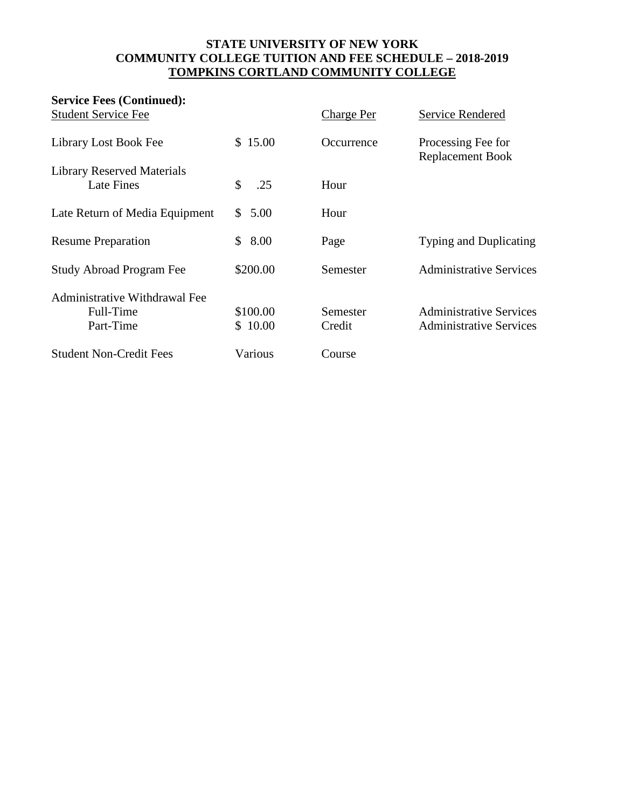| <b>Service Fees (Continued):</b>                        |                     |                    |                                                                  |
|---------------------------------------------------------|---------------------|--------------------|------------------------------------------------------------------|
| <b>Student Service Fee</b>                              |                     | <b>Charge Per</b>  | Service Rendered                                                 |
| Library Lost Book Fee                                   | \$15.00             | Occurrence         | Processing Fee for<br><b>Replacement Book</b>                    |
| <b>Library Reserved Materials</b><br><b>Late Fines</b>  | \$<br>.25           | Hour               |                                                                  |
| Late Return of Media Equipment                          | \$5.00              | Hour               |                                                                  |
| <b>Resume Preparation</b>                               | \$8.00              | Page               | <b>Typing and Duplicating</b>                                    |
| <b>Study Abroad Program Fee</b>                         | \$200.00            | Semester           | <b>Administrative Services</b>                                   |
| Administrative Withdrawal Fee<br>Full-Time<br>Part-Time | \$100.00<br>\$10.00 | Semester<br>Credit | <b>Administrative Services</b><br><b>Administrative Services</b> |
| <b>Student Non-Credit Fees</b>                          | Various             | Course             |                                                                  |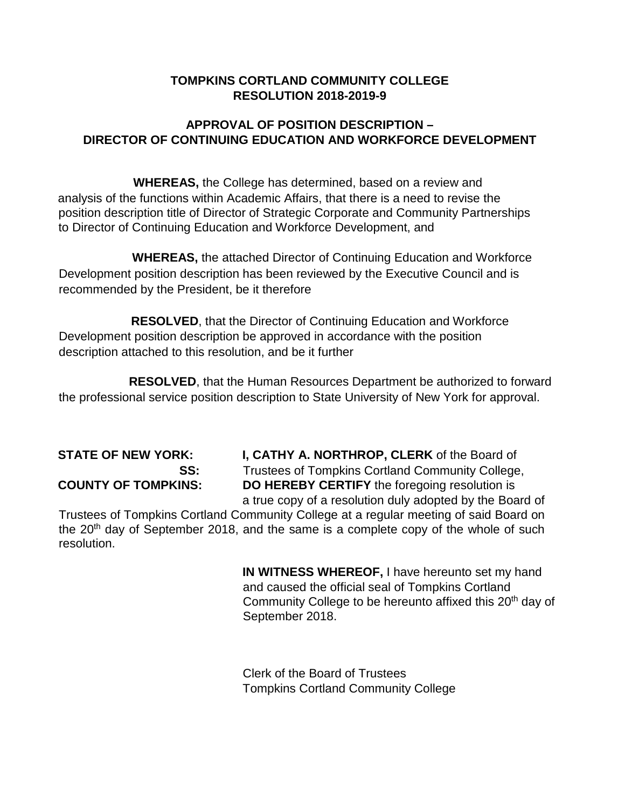# **APPROVAL OF POSITION DESCRIPTION – DIRECTOR OF CONTINUING EDUCATION AND WORKFORCE DEVELOPMENT**

**WHEREAS,** the College has determined, based on a review and analysis of the functions within Academic Affairs, that there is a need to revise the position description title of Director of Strategic Corporate and Community Partnerships to Director of Continuing Education and Workforce Development, and

**WHEREAS,** the attached Director of Continuing Education and Workforce Development position description has been reviewed by the Executive Council and is recommended by the President, be it therefore

 **RESOLVED**, that the Director of Continuing Education and Workforce Development position description be approved in accordance with the position description attached to this resolution, and be it further

 **RESOLVED**, that the Human Resources Department be authorized to forward the professional service position description to State University of New York for approval.

**STATE OF NEW YORK: I, CATHY A. NORTHROP, CLERK** of the Board of **SS:** Trustees of Tompkins Cortland Community College, **COUNTY OF TOMPKINS: DO HEREBY CERTIFY** the foregoing resolution is a true copy of a resolution duly adopted by the Board of

Trustees of Tompkins Cortland Community College at a regular meeting of said Board on the  $20<sup>th</sup>$  day of September 2018, and the same is a complete copy of the whole of such resolution.

> **IN WITNESS WHEREOF,** I have hereunto set my hand and caused the official seal of Tompkins Cortland Community College to be hereunto affixed this 20<sup>th</sup> day of September 2018.

Clerk of the Board of Trustees Tompkins Cortland Community College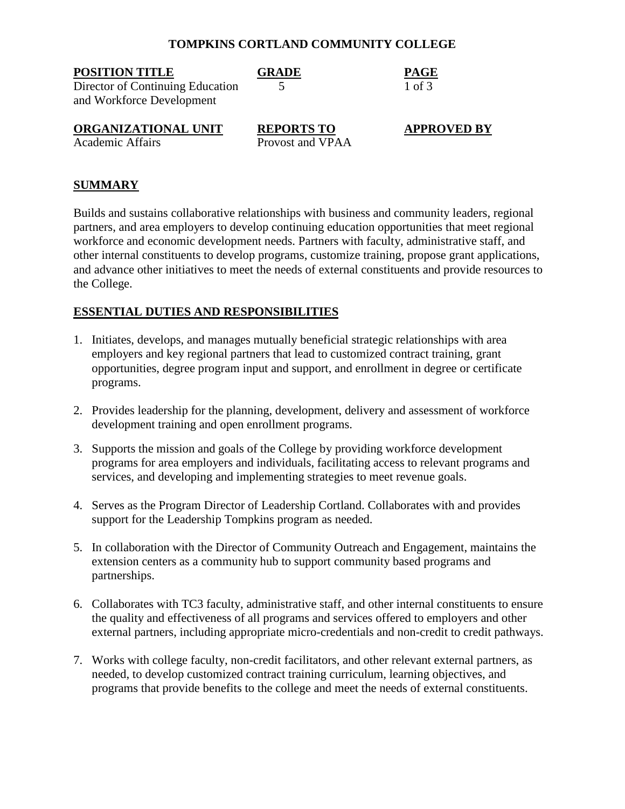| <b>POSITION TITLE</b><br>Director of Continuing Education<br>and Workforce Development | <b>GRADE</b>                          | PAGE<br>1 of 3     |
|----------------------------------------------------------------------------------------|---------------------------------------|--------------------|
| ORGANIZATIONAL UNIT<br><b>Academic Affairs</b>                                         | <b>REPORTS TO</b><br>Provost and VPAA | <b>APPROVED BY</b> |

#### **SUMMARY**

Builds and sustains collaborative relationships with business and community leaders, regional partners, and area employers to develop continuing education opportunities that meet regional workforce and economic development needs. Partners with faculty, administrative staff, and other internal constituents to develop programs, customize training, propose grant applications, and advance other initiatives to meet the needs of external constituents and provide resources to the College.

### **ESSENTIAL DUTIES AND RESPONSIBILITIES**

- 1. Initiates, develops, and manages mutually beneficial strategic relationships with area employers and key regional partners that lead to customized contract training, grant opportunities, degree program input and support, and enrollment in degree or certificate programs.
- 2. Provides leadership for the planning, development, delivery and assessment of workforce development training and open enrollment programs.
- 3. Supports the mission and goals of the College by providing workforce development programs for area employers and individuals, facilitating access to relevant programs and services, and developing and implementing strategies to meet revenue goals.
- 4. Serves as the Program Director of Leadership Cortland. Collaborates with and provides support for the Leadership Tompkins program as needed.
- 5. In collaboration with the Director of Community Outreach and Engagement, maintains the extension centers as a community hub to support community based programs and partnerships.
- 6. Collaborates with TC3 faculty, administrative staff, and other internal constituents to ensure the quality and effectiveness of all programs and services offered to employers and other external partners, including appropriate micro-credentials and non-credit to credit pathways.
- 7. Works with college faculty, non-credit facilitators, and other relevant external partners, as needed, to develop customized contract training curriculum, learning objectives, and programs that provide benefits to the college and meet the needs of external constituents.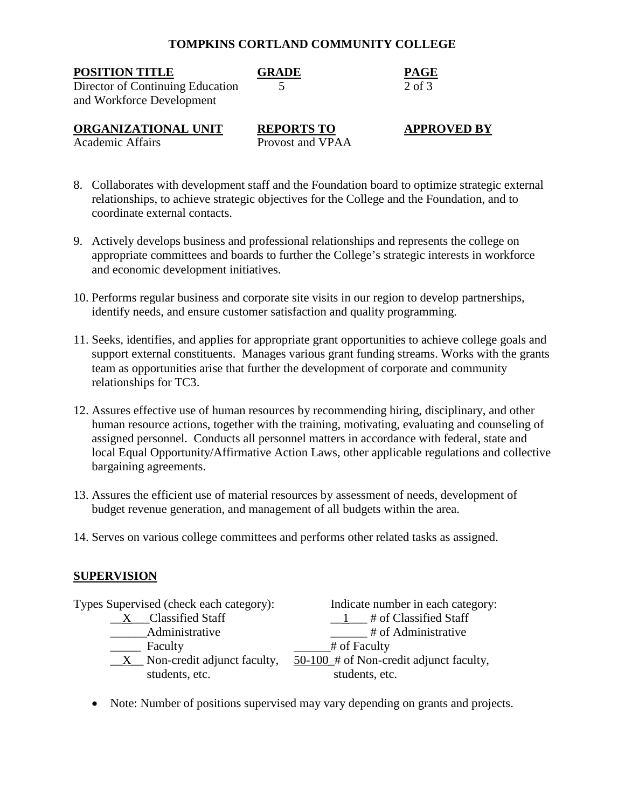| <b>POSITION TITLE</b>                                         | <b>GRADE</b>                          | <b>PAGE</b>        |
|---------------------------------------------------------------|---------------------------------------|--------------------|
| Director of Continuing Education<br>and Workforce Development |                                       | $2$ of $3$         |
| ORGANIZATIONAL UNIT<br><b>Academic Affairs</b>                | <b>REPORTS TO</b><br>Provost and VPAA | <b>APPROVED BY</b> |

- 8. Collaborates with development staff and the Foundation board to optimize strategic external relationships, to achieve strategic objectives for the College and the Foundation, and to coordinate external contacts.
- 9. Actively develops business and professional relationships and represents the college on appropriate committees and boards to further the College's strategic interests in workforce and economic development initiatives.
- 10. Performs regular business and corporate site visits in our region to develop partnerships, identify needs, and ensure customer satisfaction and quality programming.
- 11. Seeks, identifies, and applies for appropriate grant opportunities to achieve college goals and support external constituents. Manages various grant funding streams. Works with the grants team as opportunities arise that further the development of corporate and community relationships for TC3.
- 12. Assures effective use of human resources by recommending hiring, disciplinary, and other human resource actions, together with the training, motivating, evaluating and counseling of assigned personnel. Conducts all personnel matters in accordance with federal, state and local Equal Opportunity/Affirmative Action Laws, other applicable regulations and collective bargaining agreements.
- 13. Assures the efficient use of material resources by assessment of needs, development of budget revenue generation, and management of all budgets within the area.
- 14. Serves on various college committees and performs other related tasks as assigned.

# **SUPERVISION**

| Types Supervised (check each category): | Indicate number in each category:         |
|-----------------------------------------|-------------------------------------------|
| <b>Classified Staff</b>                 | # of Classified Staff                     |
| Administrative                          | # of Administrative                       |
| Faculty                                 | # of Faculty                              |
| $X$ Non-credit adjunct faculty,         | $50-100$ # of Non-credit adjunct faculty, |
| students, etc.                          | students, etc.                            |

• Note: Number of positions supervised may vary depending on grants and projects.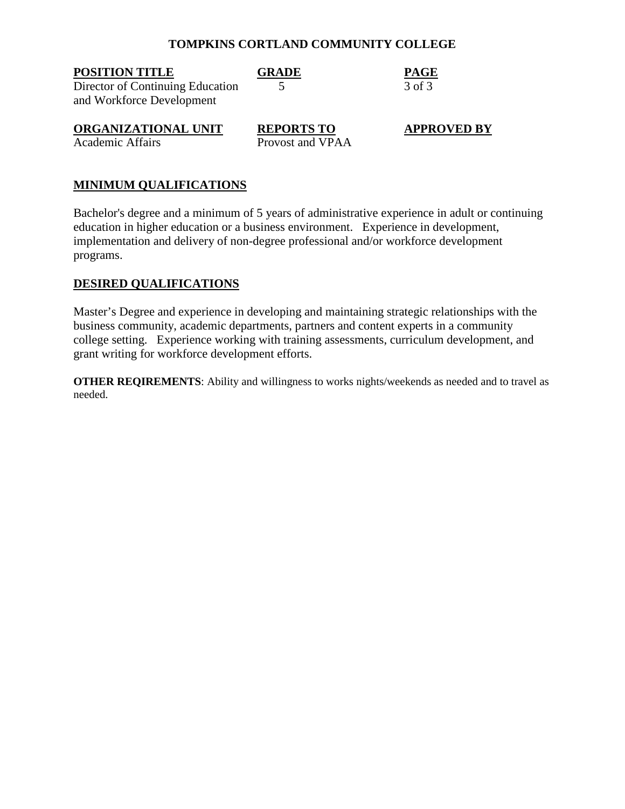| <b>POSITION TITLE</b>            | <b>GRADE</b>      | <b>PAGE</b>        |
|----------------------------------|-------------------|--------------------|
| Director of Continuing Education |                   | 3 of 3             |
| and Workforce Development        |                   |                    |
| ORGANIZATIONAL UNIT              | <b>REPORTS TO</b> | <b>APPROVED BY</b> |
| <b>Academic Affairs</b>          | Provost and VPAA  |                    |

#### **MINIMUM QUALIFICATIONS**

Bachelor's degree and a minimum of 5 years of administrative experience in adult or continuing education in higher education or a business environment. Experience in development, implementation and delivery of non-degree professional and/or workforce development programs.

### **DESIRED QUALIFICATIONS**

Master's Degree and experience in developing and maintaining strategic relationships with the business community, academic departments, partners and content experts in a community college setting. Experience working with training assessments, curriculum development, and grant writing for workforce development efforts.

**OTHER REQIREMENTS**: Ability and willingness to works nights/weekends as needed and to travel as needed.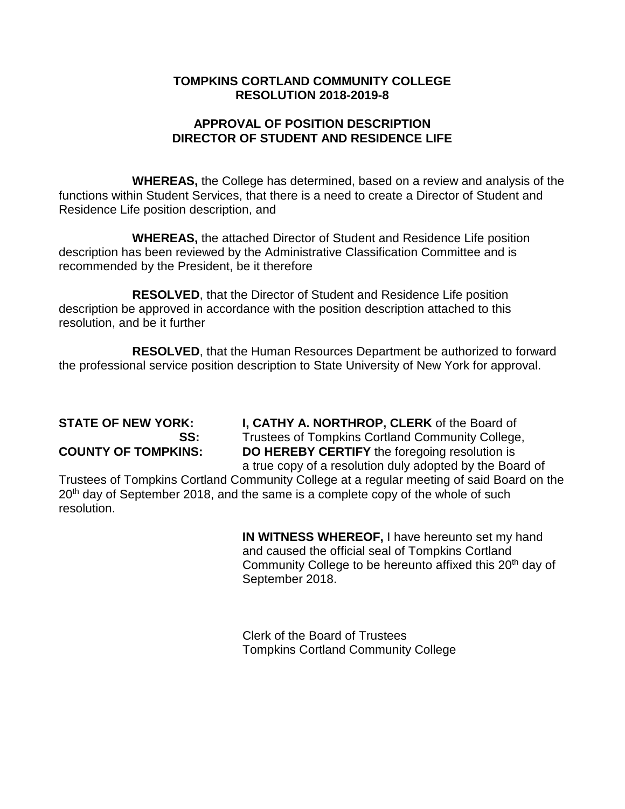# **APPROVAL OF POSITION DESCRIPTION DIRECTOR OF STUDENT AND RESIDENCE LIFE**

**WHEREAS,** the College has determined, based on a review and analysis of the functions within Student Services, that there is a need to create a Director of Student and Residence Life position description, and

**WHEREAS,** the attached Director of Student and Residence Life position description has been reviewed by the Administrative Classification Committee and is recommended by the President, be it therefore

**RESOLVED**, that the Director of Student and Residence Life position description be approved in accordance with the position description attached to this resolution, and be it further

**RESOLVED**, that the Human Resources Department be authorized to forward the professional service position description to State University of New York for approval.

**STATE OF NEW YORK: I, CATHY A. NORTHROP, CLERK** of the Board of **SS:** Trustees of Tompkins Cortland Community College, **COUNTY OF TOMPKINS: DO HEREBY CERTIFY** the foregoing resolution is a true copy of a resolution duly adopted by the Board of

Trustees of Tompkins Cortland Community College at a regular meeting of said Board on the 20<sup>th</sup> day of September 2018, and the same is a complete copy of the whole of such resolution.

> **IN WITNESS WHEREOF,** I have hereunto set my hand and caused the official seal of Tompkins Cortland Community College to be hereunto affixed this 20<sup>th</sup> day of September 2018.

Clerk of the Board of Trustees Tompkins Cortland Community College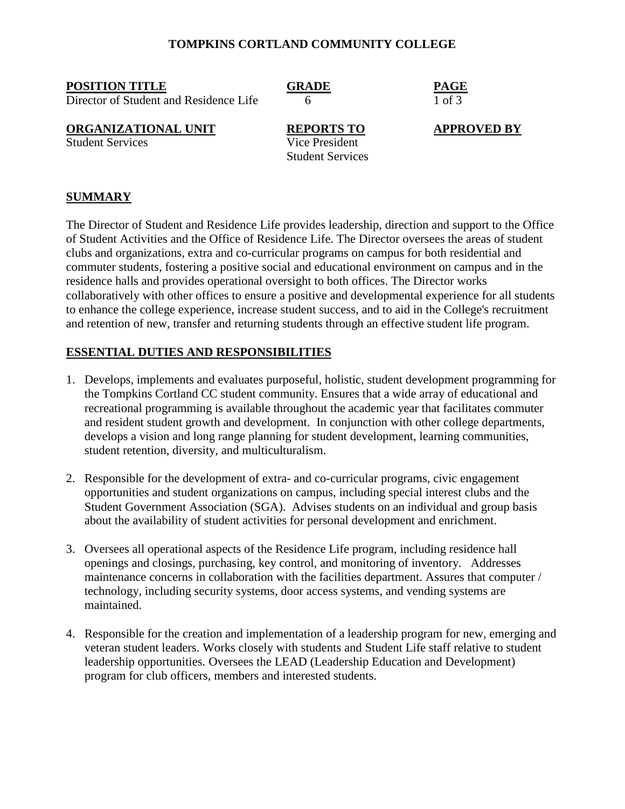#### **POSITION TITLE GRADE PAGE**

Director of Student and Residence Life  $\overline{6}$  6 1 of 3

# **ORGANIZATIONAL UNIT**<br> **REPORTS TO APPROVED BY**<br> **REPORTS TO APPROVED BY**<br> **Vice President**

Student Services

Student Services

**SUMMARY**

The Director of Student and Residence Life provides leadership, direction and support to the Office of Student Activities and the Office of Residence Life. The Director oversees the areas of student clubs and organizations, extra and co-curricular programs on campus for both residential and commuter students, fostering a positive social and educational environment on campus and in the residence halls and provides operational oversight to both offices. The Director works collaboratively with other offices to ensure a positive and developmental experience for all students to enhance the college experience, increase student success, and to aid in the College's recruitment and retention of new, transfer and returning students through an effective student life program.

### **ESSENTIAL DUTIES AND RESPONSIBILITIES**

- 1. Develops, implements and evaluates purposeful, holistic, student development programming for the Tompkins Cortland CC student community. Ensures that a wide array of educational and recreational programming is available throughout the academic year that facilitates commuter and resident student growth and development. In conjunction with other college departments, develops a vision and long range planning for student development, learning communities, student retention, diversity, and multiculturalism.
- 2. Responsible for the development of extra- and co-curricular programs, civic engagement opportunities and student organizations on campus, including special interest clubs and the Student Government Association (SGA). Advises students on an individual and group basis about the availability of student activities for personal development and enrichment.
- 3. Oversees all operational aspects of the Residence Life program, including residence hall openings and closings, purchasing, key control, and monitoring of inventory. Addresses maintenance concerns in collaboration with the facilities department. Assures that computer / technology, including security systems, door access systems, and vending systems are maintained.
- 4. Responsible for the creation and implementation of a leadership program for new, emerging and veteran student leaders. Works closely with students and Student Life staff relative to student leadership opportunities. Oversees the LEAD (Leadership Education and Development) program for club officers, members and interested students.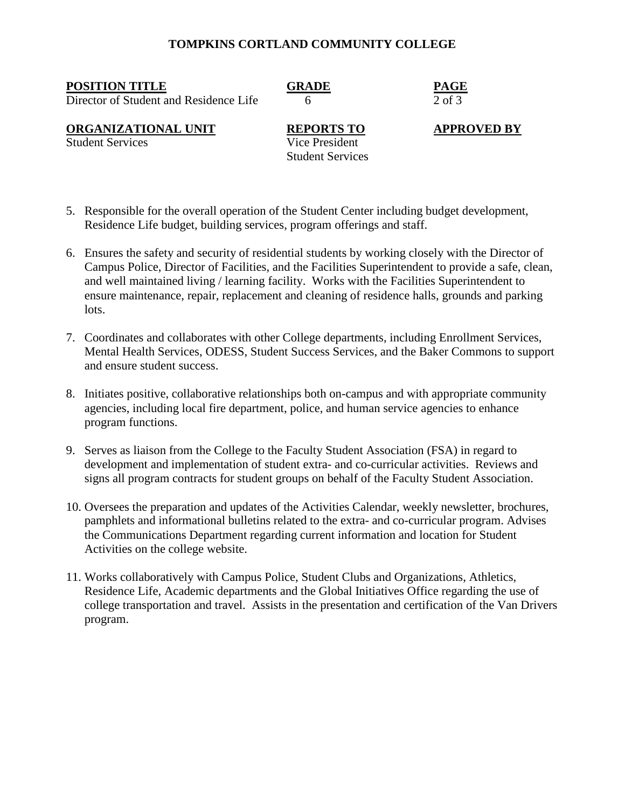**POSITION TITLE GRADE PAGE**

Director of Student and Residence Life  $\overline{6}$  6 2 of 3

**ORGANIZATIONAL UNIT**<br> **REPORTS TO APPROVED BY**<br> **REPORTS TO APPROVED BY**<br> **Vice President** 

Student Services

Student Services

- 5. Responsible for the overall operation of the Student Center including budget development, Residence Life budget, building services, program offerings and staff.
- 6. Ensures the safety and security of residential students by working closely with the Director of Campus Police, Director of Facilities, and the Facilities Superintendent to provide a safe, clean, and well maintained living / learning facility. Works with the Facilities Superintendent to ensure maintenance, repair, replacement and cleaning of residence halls, grounds and parking lots.
- 7. Coordinates and collaborates with other College departments, including Enrollment Services, Mental Health Services, ODESS, Student Success Services, and the Baker Commons to support and ensure student success.
- 8. Initiates positive, collaborative relationships both on-campus and with appropriate community agencies, including local fire department, police, and human service agencies to enhance program functions.
- 9. Serves as liaison from the College to the Faculty Student Association (FSA) in regard to development and implementation of student extra- and co-curricular activities. Reviews and signs all program contracts for student groups on behalf of the Faculty Student Association.
- 10. Oversees the preparation and updates of the Activities Calendar, weekly newsletter, brochures, pamphlets and informational bulletins related to the extra- and co-curricular program. Advises the Communications Department regarding current information and location for Student Activities on the college website.
- 11. Works collaboratively with Campus Police, Student Clubs and Organizations, Athletics, Residence Life, Academic departments and the Global Initiatives Office regarding the use of college transportation and travel. Assists in the presentation and certification of the Van Drivers program.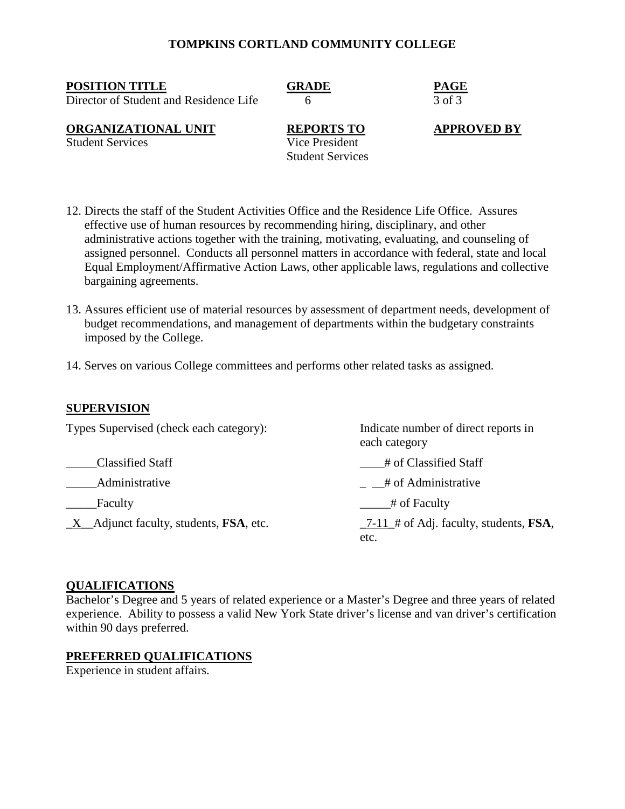**POSITION TITLE GRADE PAGE**

Director of Student and Residence Life  $\overline{6}$  6  $\overline{3}$  of 3

**ORGANIZATIONAL UNIT**<br> **REPORTS TO APPROVED BY**<br> **REPORTS TO APPROVED BY**<br> **Vice President** 

Student Services

Student Services

12. Directs the staff of the Student Activities Office and the Residence Life Office. Assures effective use of human resources by recommending hiring, disciplinary, and other administrative actions together with the training, motivating, evaluating, and counseling of assigned personnel. Conducts all personnel matters in accordance with federal, state and local Equal Employment/Affirmative Action Laws, other applicable laws, regulations and collective bargaining agreements.

- 13. Assures efficient use of material resources by assessment of department needs, development of budget recommendations, and management of departments within the budgetary constraints imposed by the College.
- 14. Serves on various College committees and performs other related tasks as assigned.

# **SUPERVISION**

| Types Supervised (check each category):          | Indicate number of direct reports in<br>each category     |
|--------------------------------------------------|-----------------------------------------------------------|
| <b>Classified Staff</b>                          | # of Classified Staff                                     |
| Administrative                                   | $\frac{4}{1}$ = # of Administrative                       |
| Faculty                                          | # of Faculty                                              |
| $X$ Adjunct faculty, students, <b>FSA</b> , etc. | $-7-11$ # of Adj. faculty, students, <b>FSA</b> ,<br>etc. |

#### **QUALIFICATIONS**

Bachelor's Degree and 5 years of related experience or a Master's Degree and three years of related experience. Ability to possess a valid New York State driver's license and van driver's certification within 90 days preferred.

# **PREFERRED QUALIFICATIONS**

Experience in student affairs.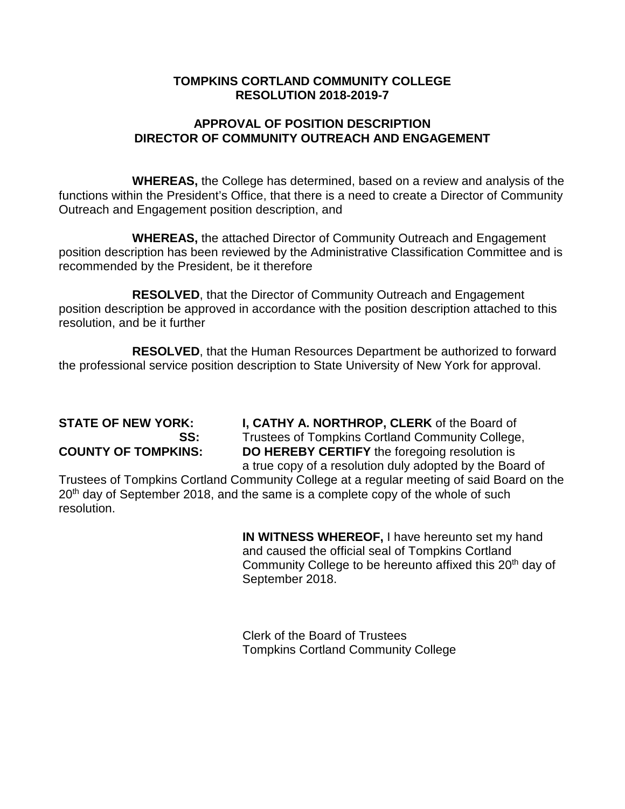# **APPROVAL OF POSITION DESCRIPTION DIRECTOR OF COMMUNITY OUTREACH AND ENGAGEMENT**

**WHEREAS,** the College has determined, based on a review and analysis of the functions within the President's Office, that there is a need to create a Director of Community Outreach and Engagement position description, and

**WHEREAS,** the attached Director of Community Outreach and Engagement position description has been reviewed by the Administrative Classification Committee and is recommended by the President, be it therefore

**RESOLVED**, that the Director of Community Outreach and Engagement position description be approved in accordance with the position description attached to this resolution, and be it further

**RESOLVED**, that the Human Resources Department be authorized to forward the professional service position description to State University of New York for approval.

**STATE OF NEW YORK: I, CATHY A. NORTHROP, CLERK** of the Board of **SS:** Trustees of Tompkins Cortland Community College, **COUNTY OF TOMPKINS: DO HEREBY CERTIFY** the foregoing resolution is a true copy of a resolution duly adopted by the Board of

Trustees of Tompkins Cortland Community College at a regular meeting of said Board on the 20<sup>th</sup> day of September 2018, and the same is a complete copy of the whole of such resolution.

> **IN WITNESS WHEREOF,** I have hereunto set my hand and caused the official seal of Tompkins Cortland Community College to be hereunto affixed this 20<sup>th</sup> day of September 2018.

Clerk of the Board of Trustees Tompkins Cortland Community College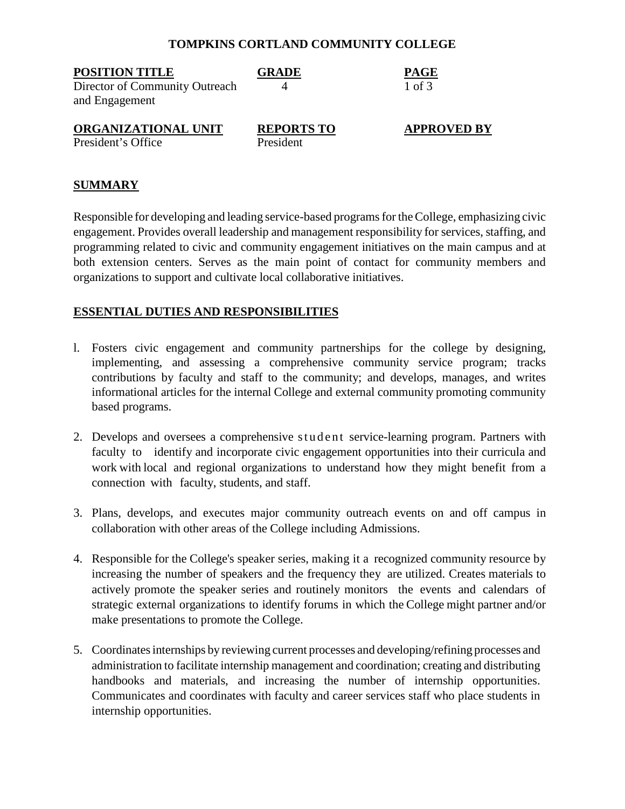| <b>POSITION TITLE</b>                            | <b>GRADE</b>                   | <b>PAGE</b>        |
|--------------------------------------------------|--------------------------------|--------------------|
| Director of Community Outreach<br>and Engagement |                                | 1 of 3             |
| ORGANIZATIONAL UNIT<br>President's Office        | <b>REPORTS TO</b><br>President | <b>APPROVED BY</b> |

#### **SUMMARY**

Responsible for developing and leading service-based programs for the College, emphasizing civic engagement. Provides overall leadership and management responsibility for services, staffing, and programming related to civic and community engagement initiatives on the main campus and at both extension centers. Serves as the main point of contact for community members and organizations to support and cultivate local collaborative initiatives.

#### **ESSENTIAL DUTIES AND RESPONSIBILITIES**

- l. Fosters civic engagement and community partnerships for the college by designing, implementing, and assessing a comprehensive community service program; tracks contributions by faculty and staff to the community; and develops, manages, and writes informational articles for the internal College and external community promoting community based programs.
- 2. Develops and oversees a comprehensive student service-learning program. Partners with faculty to identify and incorporate civic engagement opportunities into their curricula and work with local and regional organizations to understand how they might benefit from a connection with faculty, students, and staff.
- 3. Plans, develops, and executes major community outreach events on and off campus in collaboration with other areas of the College including Admissions.
- 4. Responsible for the College's speaker series, making it a recognized community resource by increasing the number of speakers and the frequency they are utilized. Creates materials to actively promote the speaker series and routinely monitors the events and calendars of strategic external organizations to identify forums in which the College might partner and/or make presentations to promote the College.
- 5. Coordinatesinternships by reviewing current processes and developing/refining processes and administration to facilitate internship management and coordination; creating and distributing handbooks and materials, and increasing the number of internship opportunities. Communicates and coordinates with faculty and career services staff who place students in internship opportunities.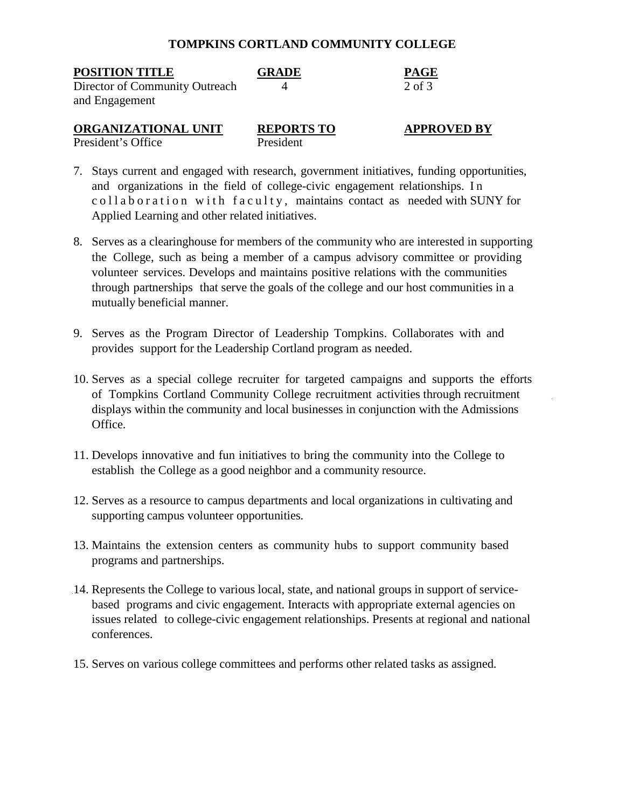| <b>POSITION TITLE</b><br>Director of Community Outreach<br>and Engagement | <b>GRADE</b>                   | <b>PAGE</b><br>$2$ of $3$ |
|---------------------------------------------------------------------------|--------------------------------|---------------------------|
| ORGANIZATIONAL UNIT<br>President's Office                                 | <b>REPORTS TO</b><br>President | <b>APPROVED BY</b>        |

- 7. Stays current and engaged with research, government initiatives, funding opportunities, and organizations in the field of college-civic engagement relationships. In collaboration with faculty, maintains contact as needed with SUNY for Applied Learning and other related initiatives.
- 8. Serves as a clearinghouse for members of the community who are interested in supporting the College, such as being a member of a campus advisory committee or providing volunteer services. Develops and maintains positive relations with the communities through partnerships that serve the goals of the college and our host communities in a mutually beneficial manner.
- 9. Serves as the Program Director of Leadership Tompkins. Collaborates with and provides support for the Leadership Cortland program as needed.
- 10. Serves as a special college recruiter for targeted campaigns and supports the efforts of Tompkins Cortland Community College recruitment activities through recruitment displays within the community and local businesses in conjunction with the Admissions Office.
- 11. Develops innovative and fun initiatives to bring the community into the College to establish the College as a good neighbor and a community resource.
- 12. Serves as a resource to campus departments and local organizations in cultivating and supporting campus volunteer opportunities.
- 13. Maintains the extension centers as community hubs to support community based programs and partnerships.
- 14. Represents the College to various local, state, and national groups in support of servicebased programs and civic engagement. Interacts with appropriate external agencies on issues related to college-civic engagement relationships. Presents at regional and national conferences.
- 15. Serves on various college committees and performs other related tasks as assigned.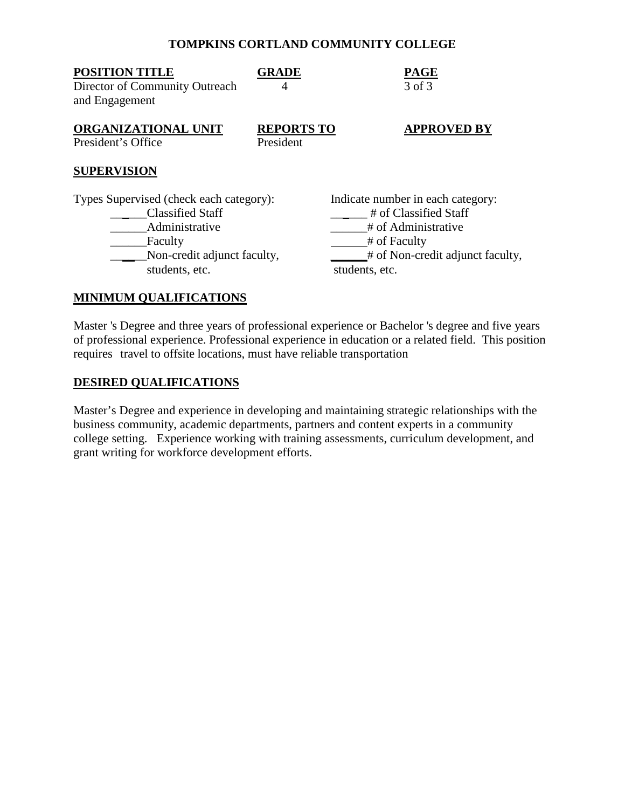| <b>POSITION TITLE</b><br>Director of Community Outreach<br>and Engagement                                                                        | <b>GRADE</b><br>4              | <b>PAGE</b><br>3 of 3                                                                                                                                   |
|--------------------------------------------------------------------------------------------------------------------------------------------------|--------------------------------|---------------------------------------------------------------------------------------------------------------------------------------------------------|
| ORGANIZATIONAL UNIT<br>President's Office                                                                                                        | <b>REPORTS TO</b><br>President | <b>APPROVED BY</b>                                                                                                                                      |
| <b>SUPERVISION</b>                                                                                                                               |                                |                                                                                                                                                         |
| Types Supervised (check each category):<br><b>Classified Staff</b><br>Administrative<br>Faculty<br>Non-credit adjunct faculty,<br>students, etc. |                                | Indicate number in each category:<br># of Classified Staff<br># of Administrative<br># of Faculty<br># of Non-credit adjunct faculty,<br>students, etc. |
| <b>MINIMUM QUALIFICATIONS</b>                                                                                                                    |                                |                                                                                                                                                         |

Master 's Degree and three years of professional experience or Bachelor 's degree and five years of professional experience. Professional experience in education or a related field. This position requires travel to offsite locations, must have reliable transportation

#### **DESIRED QUALIFICATIONS**

Master's Degree and experience in developing and maintaining strategic relationships with the business community, academic departments, partners and content experts in a community college setting. Experience working with training assessments, curriculum development, and grant writing for workforce development efforts.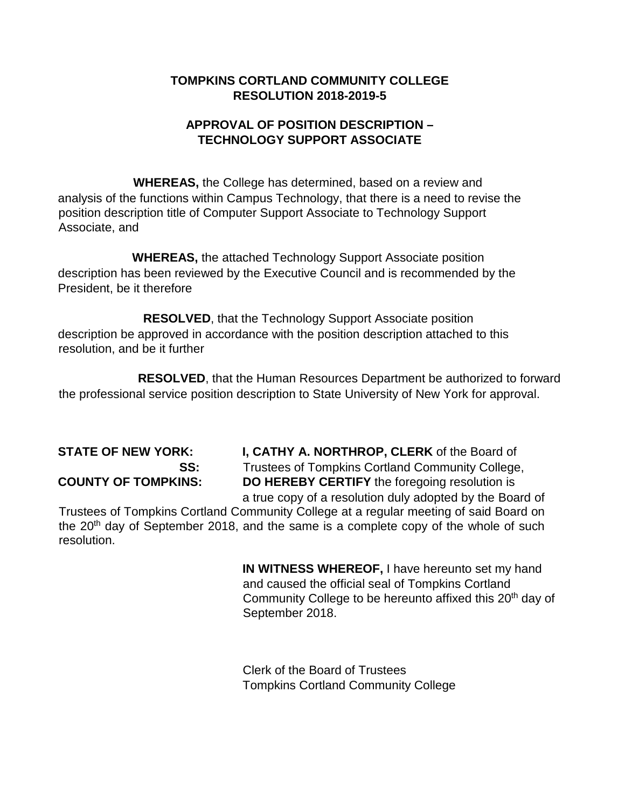# **APPROVAL OF POSITION DESCRIPTION – TECHNOLOGY SUPPORT ASSOCIATE**

**WHEREAS,** the College has determined, based on a review and analysis of the functions within Campus Technology, that there is a need to revise the position description title of Computer Support Associate to Technology Support Associate, and

**WHEREAS,** the attached Technology Support Associate position description has been reviewed by the Executive Council and is recommended by the President, be it therefore

**RESOLVED**, that the Technology Support Associate position description be approved in accordance with the position description attached to this resolution, and be it further

**RESOLVED**, that the Human Resources Department be authorized to forward the professional service position description to State University of New York for approval.

**STATE OF NEW YORK: I, CATHY A. NORTHROP, CLERK** of the Board of **SS:** Trustees of Tompkins Cortland Community College, **COUNTY OF TOMPKINS: DO HEREBY CERTIFY** the foregoing resolution is a true copy of a resolution duly adopted by the Board of

Trustees of Tompkins Cortland Community College at a regular meeting of said Board on the 20<sup>th</sup> day of September 2018, and the same is a complete copy of the whole of such resolution.

> **IN WITNESS WHEREOF,** I have hereunto set my hand and caused the official seal of Tompkins Cortland Community College to be hereunto affixed this 20<sup>th</sup> day of September 2018.

Clerk of the Board of Trustees Tompkins Cortland Community College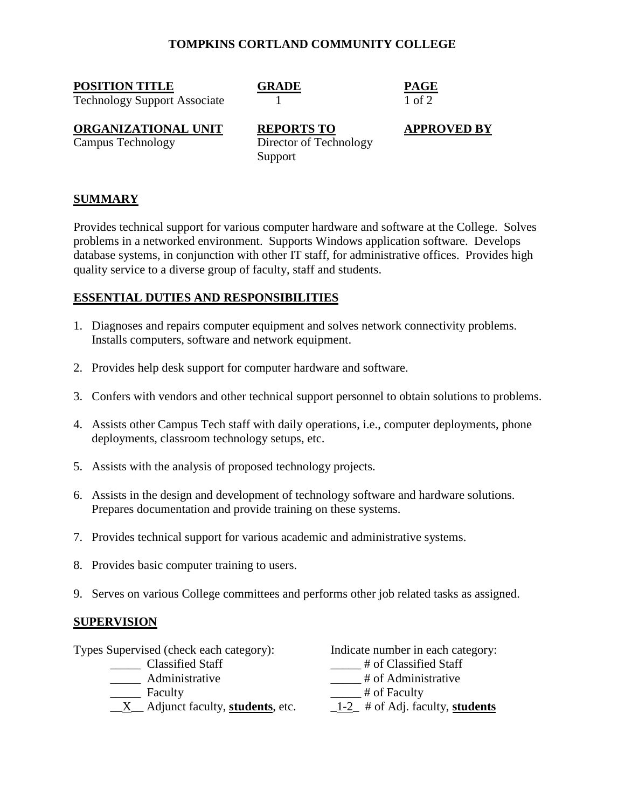**POSITION TITLE GRADE PAGE**

Technology Support Associate 1 1 of 2

**ORGANIZATIONAL UNIT REPORTS TO APPROVED BY** Campus Technology Director of Technology Support

# **SUMMARY**

Provides technical support for various computer hardware and software at the College. Solves problems in a networked environment. Supports Windows application software. Develops database systems, in conjunction with other IT staff, for administrative offices. Provides high quality service to a diverse group of faculty, staff and students.

# **ESSENTIAL DUTIES AND RESPONSIBILITIES**

- 1. Diagnoses and repairs computer equipment and solves network connectivity problems. Installs computers, software and network equipment.
- 2. Provides help desk support for computer hardware and software.
- 3. Confers with vendors and other technical support personnel to obtain solutions to problems.
- 4. Assists other Campus Tech staff with daily operations, i.e., computer deployments, phone deployments, classroom technology setups, etc.
- 5. Assists with the analysis of proposed technology projects.
- 6. Assists in the design and development of technology software and hardware solutions. Prepares documentation and provide training on these systems.
- 7. Provides technical support for various academic and administrative systems.
- 8. Provides basic computer training to users.
- 9. Serves on various College committees and performs other job related tasks as assigned.

# **SUPERVISION**

Types Supervised (check each category): Indicate number in each category:<br>
Classified Staff # of Classified Staff

- 
- 
- \_\_X\_\_ Adjunct faculty, **students**, etc. \_1-2\_ # of Adj. faculty, **students**

- $\frac{1}{\sqrt{1-\frac{1}{\sqrt{1-\frac{1}{\sqrt{1-\frac{1}{\sqrt{1-\frac{1}{\sqrt{1-\frac{1}{\sqrt{1-\frac{1}{\sqrt{1-\frac{1}{\sqrt{1-\frac{1}{\sqrt{1-\frac{1}{\sqrt{1-\frac{1}{\sqrt{1-\frac{1}{\sqrt{1-\frac{1}{\sqrt{1-\frac{1}{\sqrt{1-\frac{1}{\sqrt{1-\frac{1}{\sqrt{1-\frac{1}{\sqrt{1-\frac{1}{\sqrt{1-\frac{1}{\sqrt{1-\frac{1}{\sqrt{1-\frac{1}{\sqrt{1-\frac{1}{\sqrt{1-\frac{1}{\sqrt{1-\frac{1}{\sqrt{1-\frac{1$
- \_\_\_\_\_\_ Administrative \_\_\_\_\_\_ # of Administrative
- Faculty  $\qquad$  # of Faculty
	-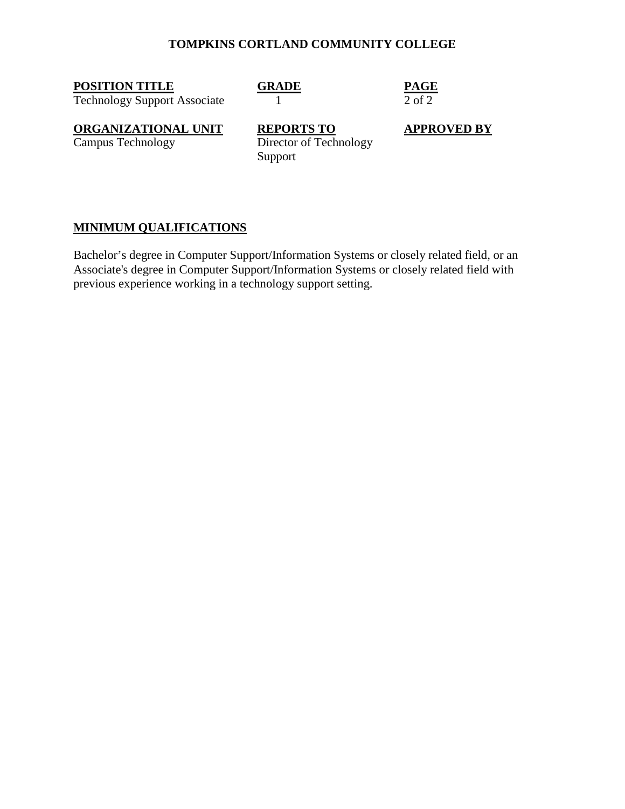**POSITION TITLE GRADE PAGE**

Technology Support Associate 1 2 of 2

**ORGANIZATIONAL UNIT**<br>
Campus Technology<br>
Director of Technology<br> **APPROVED BY** Director of Technology Support

# **MINIMUM QUALIFICATIONS**

Bachelor's degree in Computer Support/Information Systems or closely related field, or an Associate's degree in Computer Support/Information Systems or closely related field with previous experience working in a technology support setting.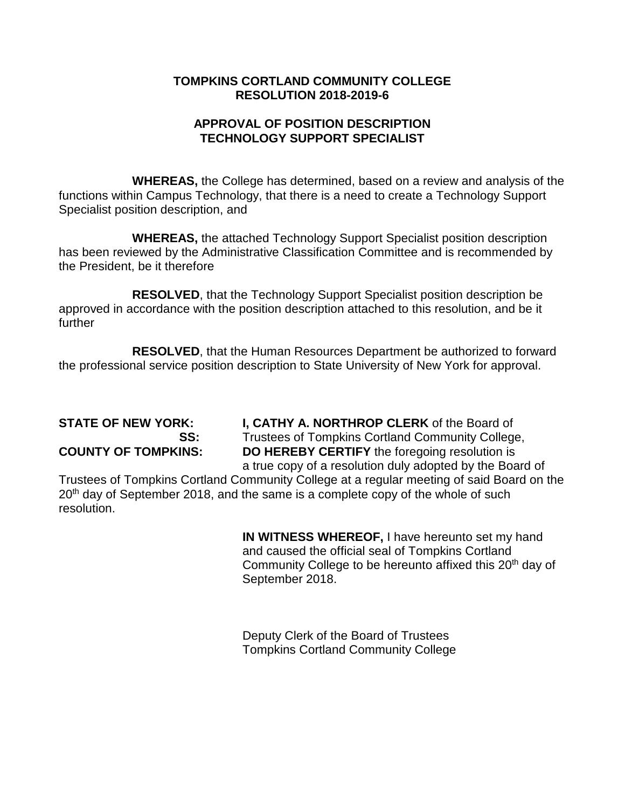# **APPROVAL OF POSITION DESCRIPTION TECHNOLOGY SUPPORT SPECIALIST**

**WHEREAS,** the College has determined, based on a review and analysis of the functions within Campus Technology, that there is a need to create a Technology Support Specialist position description, and

**WHEREAS,** the attached Technology Support Specialist position description has been reviewed by the Administrative Classification Committee and is recommended by the President, be it therefore

**RESOLVED**, that the Technology Support Specialist position description be approved in accordance with the position description attached to this resolution, and be it further

**RESOLVED**, that the Human Resources Department be authorized to forward the professional service position description to State University of New York for approval.

**STATE OF NEW YORK: I, CATHY A. NORTHROP CLERK** of the Board of **SS:** Trustees of Tompkins Cortland Community College, **COUNTY OF TOMPKINS: DO HEREBY CERTIFY** the foregoing resolution is a true copy of a resolution duly adopted by the Board of

Trustees of Tompkins Cortland Community College at a regular meeting of said Board on the  $20<sup>th</sup>$  day of September 2018, and the same is a complete copy of the whole of such resolution.

> **IN WITNESS WHEREOF,** I have hereunto set my hand and caused the official seal of Tompkins Cortland Community College to be hereunto affixed this 20<sup>th</sup> day of September 2018.

Deputy Clerk of the Board of Trustees Tompkins Cortland Community College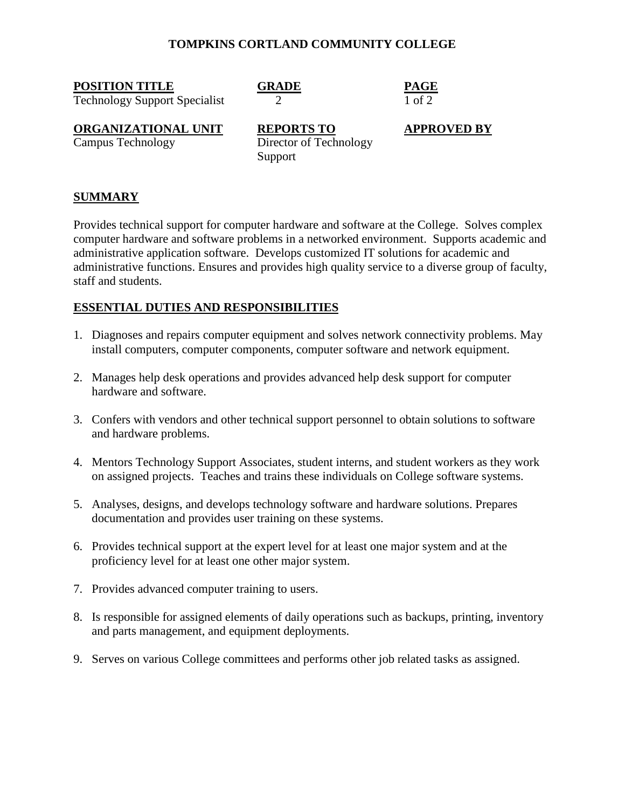**POSITION TITLE GRADE PAGE**

Technology Support Specialist 2 1 of 2

**ORGANIZATIONAL UNIT**<br>
Campus Technology<br>
Director of Technology<br> **APPROVED BY** Director of Technology Support

# **SUMMARY**

Provides technical support for computer hardware and software at the College. Solves complex computer hardware and software problems in a networked environment. Supports academic and administrative application software. Develops customized IT solutions for academic and administrative functions. Ensures and provides high quality service to a diverse group of faculty, staff and students.

# **ESSENTIAL DUTIES AND RESPONSIBILITIES**

- 1. Diagnoses and repairs computer equipment and solves network connectivity problems. May install computers, computer components, computer software and network equipment.
- 2. Manages help desk operations and provides advanced help desk support for computer hardware and software.
- 3. Confers with vendors and other technical support personnel to obtain solutions to software and hardware problems.
- 4. Mentors Technology Support Associates, student interns, and student workers as they work on assigned projects. Teaches and trains these individuals on College software systems.
- 5. Analyses, designs, and develops technology software and hardware solutions. Prepares documentation and provides user training on these systems.
- 6. Provides technical support at the expert level for at least one major system and at the proficiency level for at least one other major system.
- 7. Provides advanced computer training to users.
- 8. Is responsible for assigned elements of daily operations such as backups, printing, inventory and parts management, and equipment deployments.
- 9. Serves on various College committees and performs other job related tasks as assigned.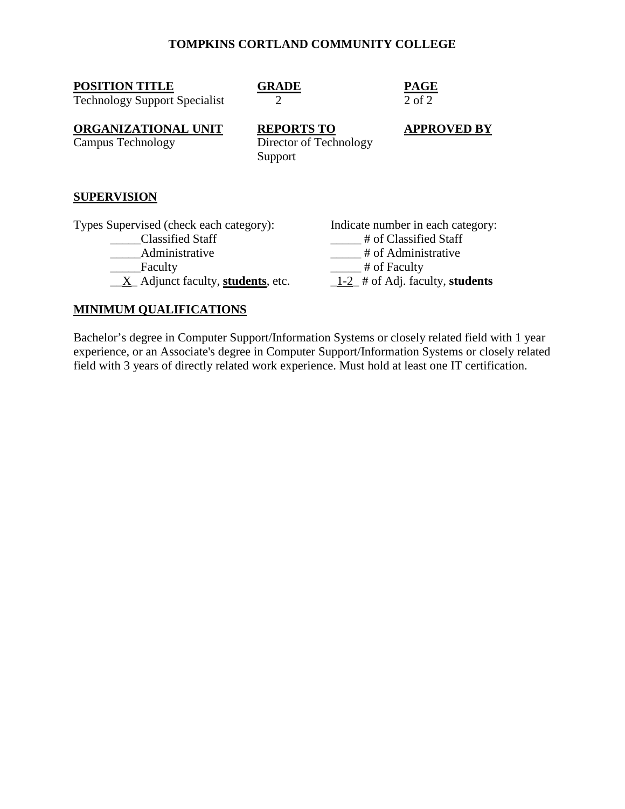| <b>POSITION TITLE</b><br><b>Technology Support Specialist</b>                        | GRADE<br>2                                             | <b>PAGE</b><br>$2$ of $2$                                                         |
|--------------------------------------------------------------------------------------|--------------------------------------------------------|-----------------------------------------------------------------------------------|
| <b>ORGANIZATIONAL UNIT</b><br>Campus Technology                                      | <b>REPORTS TO</b><br>Director of Technology<br>Support | <b>APPROVED BY</b>                                                                |
| <b>SUPERVISION</b>                                                                   |                                                        |                                                                                   |
| Types Supervised (check each category):<br><b>Classified Staff</b><br>Administrative |                                                        | Indicate number in each category:<br># of Classified Staff<br># of Administrative |

\_\_X\_ Adjunct faculty, **students**, etc. \_1-2\_ # of Adj. faculty, **students**

Lacture Taculty the set of Faculty the set of Faculty

# **MINIMUM QUALIFICATIONS**

Bachelor's degree in Computer Support/Information Systems or closely related field with 1 year experience, or an Associate's degree in Computer Support/Information Systems or closely related field with 3 years of directly related work experience. Must hold at least one IT certification.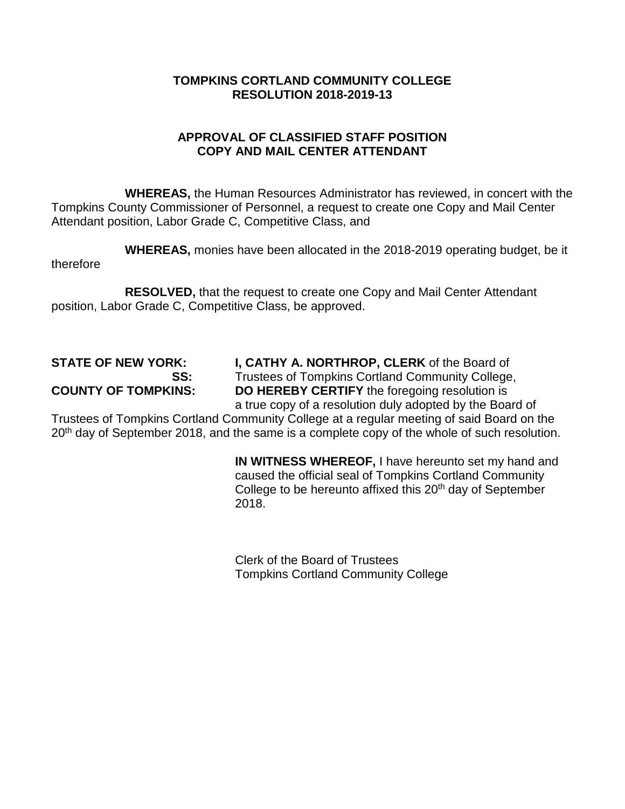# **APPROVAL OF CLASSIFIED STAFF POSITION COPY AND MAIL CENTER ATTENDANT**

**WHEREAS,** the Human Resources Administrator has reviewed, in concert with the Tompkins County Commissioner of Personnel, a request to create one Copy and Mail Center Attendant position, Labor Grade C, Competitive Class, and

**WHEREAS,** monies have been allocated in the 2018-2019 operating budget, be it therefore

**RESOLVED,** that the request to create one Copy and Mail Center Attendant position, Labor Grade C, Competitive Class, be approved.

**STATE OF NEW YORK: I, CATHY A. NORTHROP, CLERK** of the Board of **SS**: **I** Trustees of Tompkins Cortland Community College **SS:** Trustees of Tompkins Cortland Community College,<br>**COUNTY OF TOMPKINS: DO HEREBY CERTIFY** the foregoing resolution is **DO HEREBY CERTIFY** the foregoing resolution is a true copy of a resolution duly adopted by the Board of

Trustees of Tompkins Cortland Community College at a regular meeting of said Board on the 20<sup>th</sup> day of September 2018, and the same is a complete copy of the whole of such resolution.

> **IN WITNESS WHEREOF,** I have hereunto set my hand and caused the official seal of Tompkins Cortland Community College to be hereunto affixed this 20<sup>th</sup> day of September 2018.

Clerk of the Board of Trustees Tompkins Cortland Community College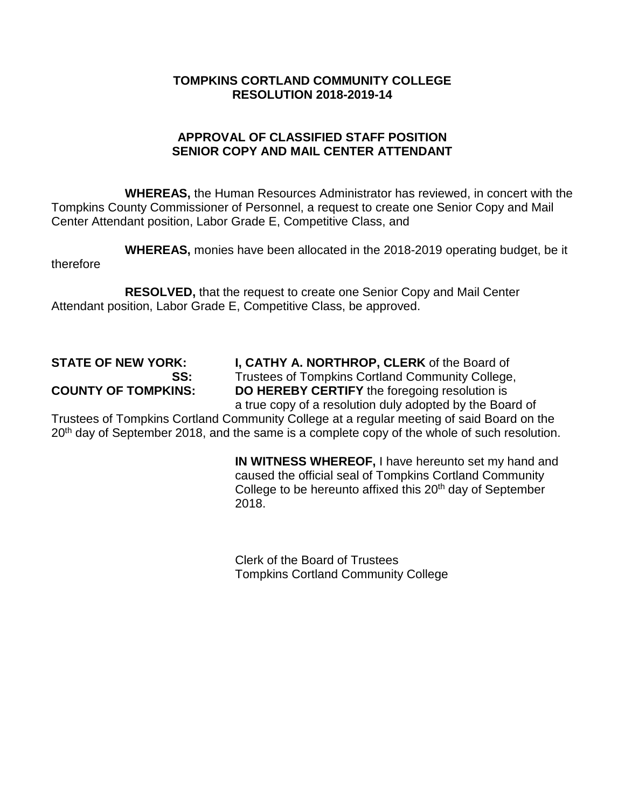# **APPROVAL OF CLASSIFIED STAFF POSITION SENIOR COPY AND MAIL CENTER ATTENDANT**

**WHEREAS,** the Human Resources Administrator has reviewed, in concert with the Tompkins County Commissioner of Personnel, a request to create one Senior Copy and Mail Center Attendant position, Labor Grade E, Competitive Class, and

**WHEREAS,** monies have been allocated in the 2018-2019 operating budget, be it therefore

**RESOLVED,** that the request to create one Senior Copy and Mail Center Attendant position, Labor Grade E, Competitive Class, be approved.

**STATE OF NEW YORK: I, CATHY A. NORTHROP, CLERK** of the Board of **SS**: **I** Trustees of Tompkins Cortland Community College **SS:** Trustees of Tompkins Cortland Community College,<br>**COUNTY OF TOMPKINS: DO HEREBY CERTIFY** the foregoing resolution is **DO HEREBY CERTIFY** the foregoing resolution is a true copy of a resolution duly adopted by the Board of

Trustees of Tompkins Cortland Community College at a regular meeting of said Board on the 20<sup>th</sup> day of September 2018, and the same is a complete copy of the whole of such resolution.

> **IN WITNESS WHEREOF,** I have hereunto set my hand and caused the official seal of Tompkins Cortland Community College to be hereunto affixed this 20<sup>th</sup> day of September 2018.

Clerk of the Board of Trustees Tompkins Cortland Community College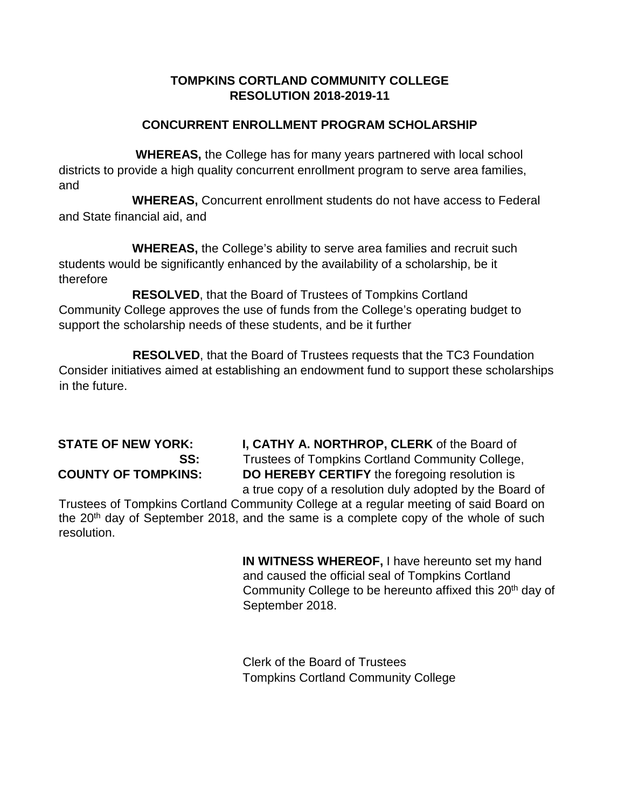# **CONCURRENT ENROLLMENT PROGRAM SCHOLARSHIP**

**WHEREAS,** the College has for many years partnered with local school districts to provide a high quality concurrent enrollment program to serve area families, and

**WHEREAS,** Concurrent enrollment students do not have access to Federal and State financial aid, and

**WHEREAS,** the College's ability to serve area families and recruit such students would be significantly enhanced by the availability of a scholarship, be it therefore

 **RESOLVED**, that the Board of Trustees of Tompkins Cortland Community College approves the use of funds from the College's operating budget to support the scholarship needs of these students, and be it further

 **RESOLVED**, that the Board of Trustees requests that the TC3 Foundation Consider initiatives aimed at establishing an endowment fund to support these scholarships in the future.

**STATE OF NEW YORK: I, CATHY A. NORTHROP, CLERK** of the Board of **SS:** Trustees of Tompkins Cortland Community College, **COUNTY OF TOMPKINS: DO HEREBY CERTIFY** the foregoing resolution is a true copy of a resolution duly adopted by the Board of

Trustees of Tompkins Cortland Community College at a regular meeting of said Board on the 20<sup>th</sup> day of September 2018, and the same is a complete copy of the whole of such resolution.

> **IN WITNESS WHEREOF,** I have hereunto set my hand and caused the official seal of Tompkins Cortland Community College to be hereunto affixed this 20<sup>th</sup> day of September 2018.

Clerk of the Board of Trustees Tompkins Cortland Community College